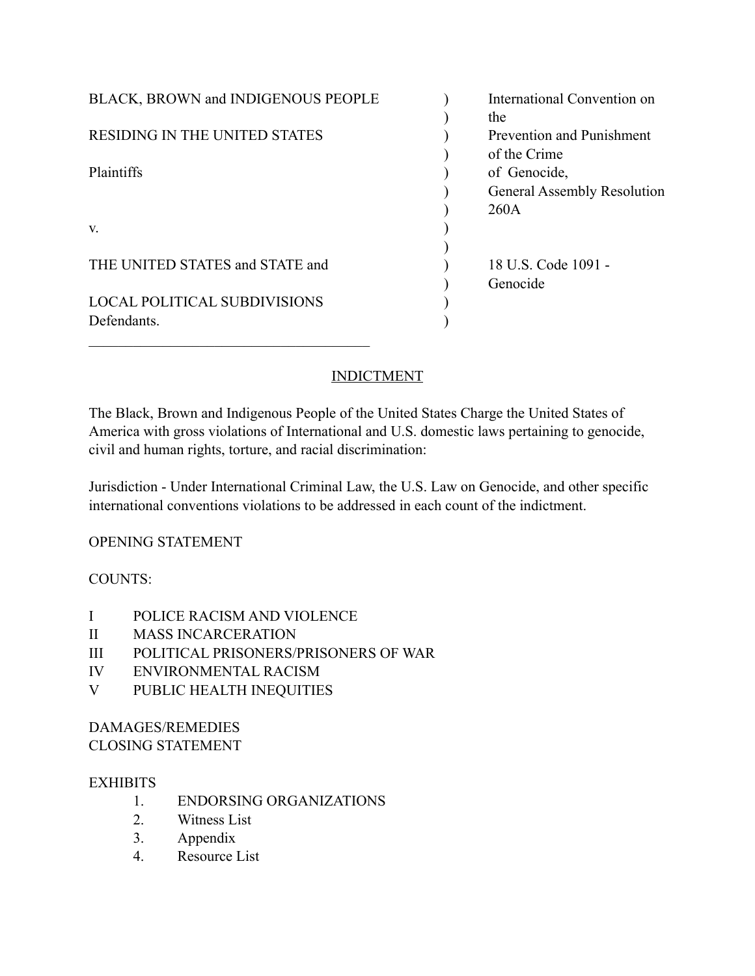| <b>BLACK, BROWN and INDIGENOUS PEOPLE</b> | International Convention on        |
|-------------------------------------------|------------------------------------|
|                                           | the                                |
| <b>RESIDING IN THE UNITED STATES</b>      | <b>Prevention and Punishment</b>   |
|                                           | of the Crime                       |
| Plaintiffs                                | of Genocide,                       |
|                                           | <b>General Assembly Resolution</b> |
|                                           | 260A                               |
| V.                                        |                                    |
|                                           |                                    |
| THE UNITED STATES and STATE and           | 18 U.S. Code 1091 -                |
|                                           | Genocide                           |
| <b>LOCAL POLITICAL SUBDIVISIONS</b>       |                                    |
| Defendants.                               |                                    |
|                                           |                                    |

## INDICTMENT

The Black, Brown and Indigenous People of the United States Charge the United States of America with gross violations of International and U.S. domestic laws pertaining to genocide, civil and human rights, torture, and racial discrimination:

Jurisdiction - Under International Criminal Law, the U.S. Law on Genocide, and other specific international conventions violations to be addressed in each count of the indictment.

## OPENING STATEMENT

## COUNTS:

- I POLICE RACISM AND VIOLENCE
- II MASS INCARCERATION
- III POLITICAL PRISONERS/PRISONERS OF WAR
- IV ENVIRONMENTAL RACISM
- V PUBLIC HEALTH INEQUITIES

## DAMAGES/REMEDIES CLOSING STATEMENT

## **EXHIBITS**

- 1. ENDORSING ORGANIZATIONS
- 2. Witness List
- 3. Appendix
- 4. Resource List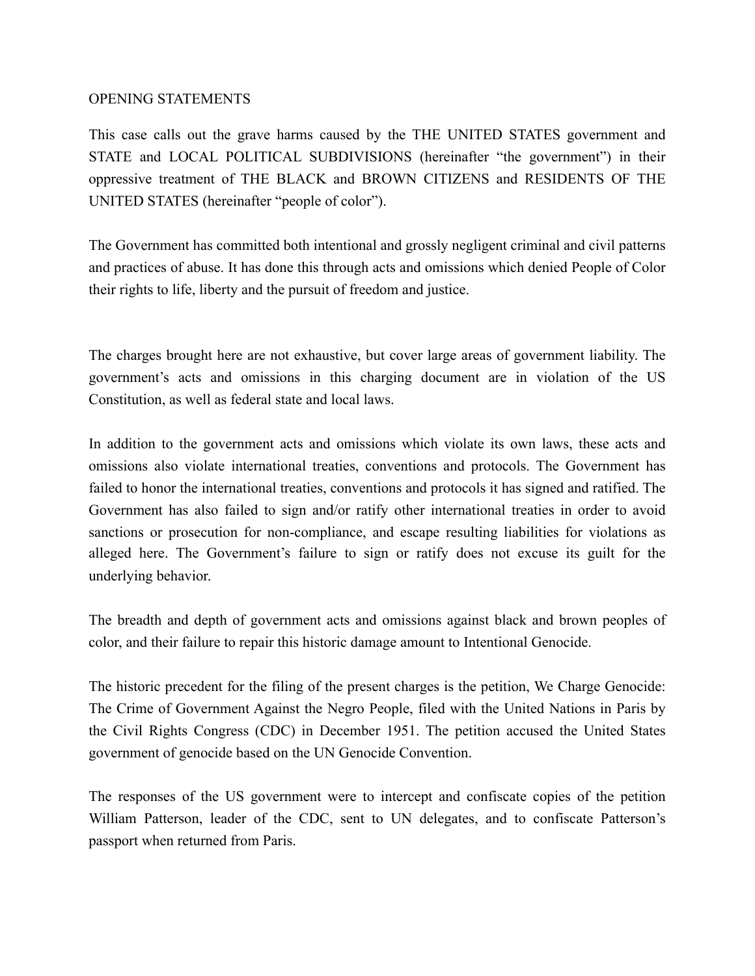### OPENING STATEMENTS

This case calls out the grave harms caused by the THE UNITED STATES government and STATE and LOCAL POLITICAL SUBDIVISIONS (hereinafter "the government") in their oppressive treatment of THE BLACK and BROWN CITIZENS and RESIDENTS OF THE UNITED STATES (hereinafter "people of color").

The Government has committed both intentional and grossly negligent criminal and civil patterns and practices of abuse. It has done this through acts and omissions which denied People of Color their rights to life, liberty and the pursuit of freedom and justice.

The charges brought here are not exhaustive, but cover large areas of government liability. The government's acts and omissions in this charging document are in violation of the US Constitution, as well as federal state and local laws.

In addition to the government acts and omissions which violate its own laws, these acts and omissions also violate international treaties, conventions and protocols. The Government has failed to honor the international treaties, conventions and protocols it has signed and ratified. The Government has also failed to sign and/or ratify other international treaties in order to avoid sanctions or prosecution for non-compliance, and escape resulting liabilities for violations as alleged here. The Government's failure to sign or ratify does not excuse its guilt for the underlying behavior.

The breadth and depth of government acts and omissions against black and brown peoples of color, and their failure to repair this historic damage amount to Intentional Genocide.

The historic precedent for the filing of the present charges is the petition, We Charge Genocide: The Crime of Government Against the Negro People, filed with the United Nations in Paris by the Civil Rights Congress (CDC) in December 1951. The petition accused the United States government of genocide based on the UN Genocide Convention.

The responses of the US government were to intercept and confiscate copies of the petition William Patterson, leader of the CDC, sent to UN delegates, and to confiscate Patterson's passport when returned from Paris.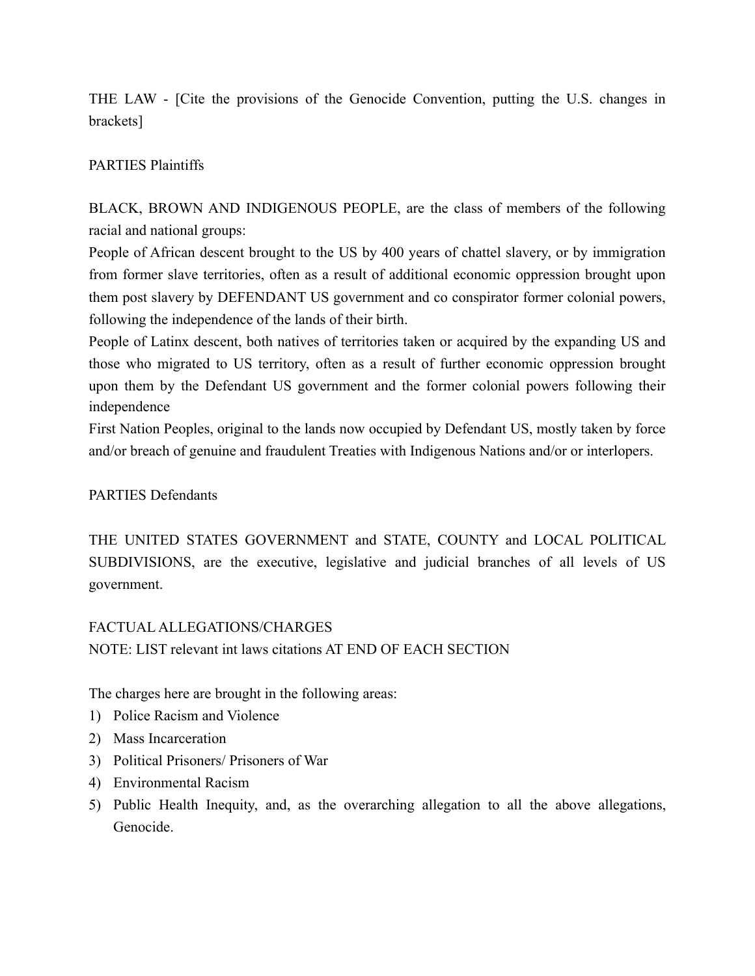THE LAW - [Cite the provisions of the Genocide Convention, putting the U.S. changes in brackets]

## PARTIES Plaintiffs

BLACK, BROWN AND INDIGENOUS PEOPLE, are the class of members of the following racial and national groups:

People of African descent brought to the US by 400 years of chattel slavery, or by immigration from former slave territories, often as a result of additional economic oppression brought upon them post slavery by DEFENDANT US government and co conspirator former colonial powers, following the independence of the lands of their birth.

People of Latinx descent, both natives of territories taken or acquired by the expanding US and those who migrated to US territory, often as a result of further economic oppression brought upon them by the Defendant US government and the former colonial powers following their independence

First Nation Peoples, original to the lands now occupied by Defendant US, mostly taken by force and/or breach of genuine and fraudulent Treaties with Indigenous Nations and/or or interlopers.

## PARTIES Defendants

THE UNITED STATES GOVERNMENT and STATE, COUNTY and LOCAL POLITICAL SUBDIVISIONS, are the executive, legislative and judicial branches of all levels of US government.

## FACTUAL ALLEGATIONS/CHARGES

NOTE: LIST relevant int laws citations AT END OF EACH SECTION

The charges here are brought in the following areas:

- 1) Police Racism and Violence
- 2) Mass Incarceration
- 3) Political Prisoners/ Prisoners of War
- 4) Environmental Racism
- 5) Public Health Inequity, and, as the overarching allegation to all the above allegations, Genocide.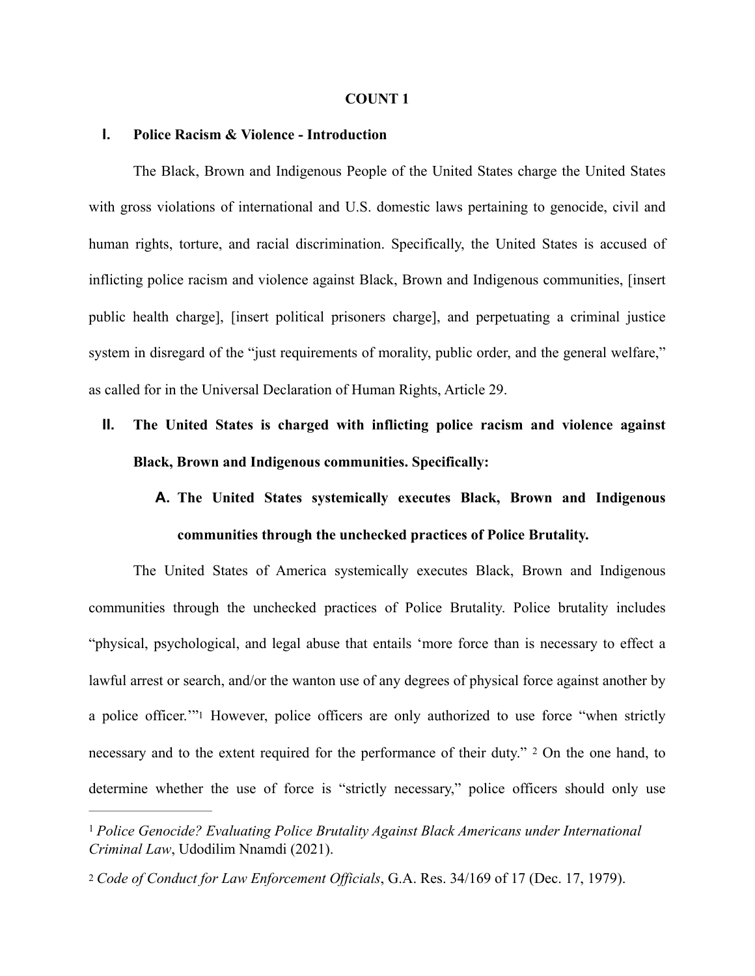#### **COUNT 1**

#### **I. Police Racism & Violence - Introduction**

 The Black, Brown and Indigenous People of the United States charge the United States with gross violations of international and U.S. domestic laws pertaining to genocide, civil and human rights, torture, and racial discrimination. Specifically, the United States is accused of inflicting police racism and violence against Black, Brown and Indigenous communities, [insert public health charge], [insert political prisoners charge], and perpetuating a criminal justice system in disregard of the "just requirements of morality, public order, and the general welfare," as called for in the Universal Declaration of Human Rights, Article 29.

**II. The United States is charged with inflicting police racism and violence against Black, Brown and Indigenous communities. Specifically:**

## **A. The United States systemically executes Black, Brown and Indigenous communities through the unchecked practices of Police Brutality.**

The United States of America systemically executes Black, Brown and Indigenous communities through the unchecked practices of Police Brutality. Police brutality includes "physical, psychological, and legal abuse that entails 'more force than is necessary to effect a lawful arrest or search, and/or the wanton use of any degrees of physical force against another by a police officer.'["1](#page-3-0) However, police officers are only authorized to use force "when strictly necessary and to the extent required for the performance of their duty."  $2$  On the one hand, to determine whether the use of force is "strictly necessary," police officers should only use

<span id="page-3-3"></span><span id="page-3-2"></span><span id="page-3-0"></span><sup>&</sup>lt;sup>[1](#page-3-2)</sup> Police Genocide? Evaluating Police Brutality Against Black Americans under International *Criminal Law*, Udodilim Nnamdi (2021).

<span id="page-3-1"></span>[<sup>2</sup>](#page-3-3) *Code of Conduct for Law Enforcement Officials*, G.A. Res. 34/169 of 17 (Dec. 17, 1979).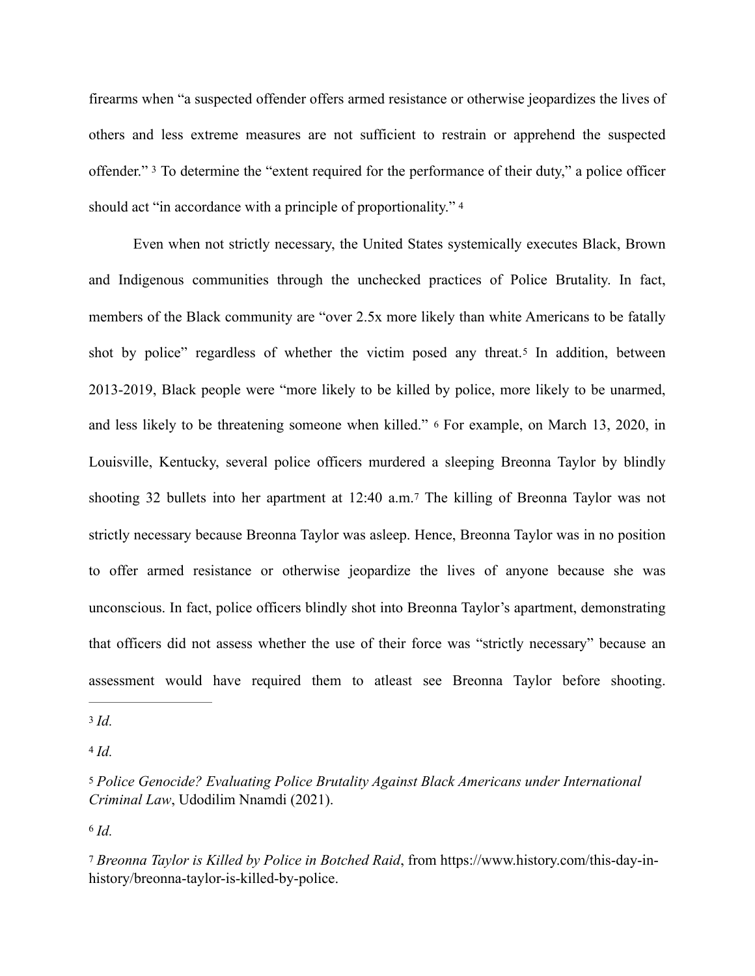<span id="page-4-5"></span>firearms when "a suspected offender offers armed resistance or otherwise jeopardizes the lives of others and less extreme measures are not sufficient to restrain or apprehend the suspected offender."<sup>3</sup>To determine the "extent required for the performance of their duty," a police officer should act "in accordance with a principle of proportionality."<sup>4</sup>

<span id="page-4-8"></span><span id="page-4-7"></span><span id="page-4-6"></span> Even when not strictly necessary, the United States systemically executes Black, Brown and Indigenous communities through the unchecked practices of Police Brutality. In fact, members of the Black community are "over 2.5x more likely than white Americans to be fatally shot by police" regardless of whether the victim posed any threat.[5](#page-4-2) In addition, between 2013-2019, Black people were "more likely to be killed by police, more likely to be unarmed, and less likely to be threatening someone when killed." [6](#page-4-3) For example, on March 13, 2020, in Louisville, Kentucky, several police officers murdered a sleeping Breonna Taylor by blindly shooting 32 bullets into her apartment at 12:40 a.m.[7](#page-4-4) The killing of Breonna Taylor was not strictly necessary because Breonna Taylor was asleep. Hence, Breonna Taylor was in no position to offer armed resistance or otherwise jeopardize the lives of anyone because she was unconscious. In fact, police officers blindly shot into Breonna Taylor's apartment, demonstrating that officers did not assess whether the use of their force was "strictly necessary" because an assessment would have required them to atleast see Breonna Taylor before shooting.

<span id="page-4-9"></span><span id="page-4-0"></span>[<sup>3</sup>](#page-4-5) *Id.*

<span id="page-4-1"></span> $4$   $Id.$ 

<span id="page-4-2"></span>[<sup>5</sup>](#page-4-7) *Police Genocide? Evaluating Police Brutality Against Black Americans under International Criminal Law*, Udodilim Nnamdi (2021).

<span id="page-4-4"></span><span id="page-4-3"></span>[<sup>7</sup>](#page-4-9) *Breonna Taylor is Killed by Police in Botched Raid*, from [https://www.history.com/this-day-in](https://www.history.com/this-day-in-history/breonna-taylor-is-killed-by-police)[history/breonna-taylor-is-killed-by-polic](https://www.history.com/this-day-in-history/breonna-taylor-is-killed-by-police)e.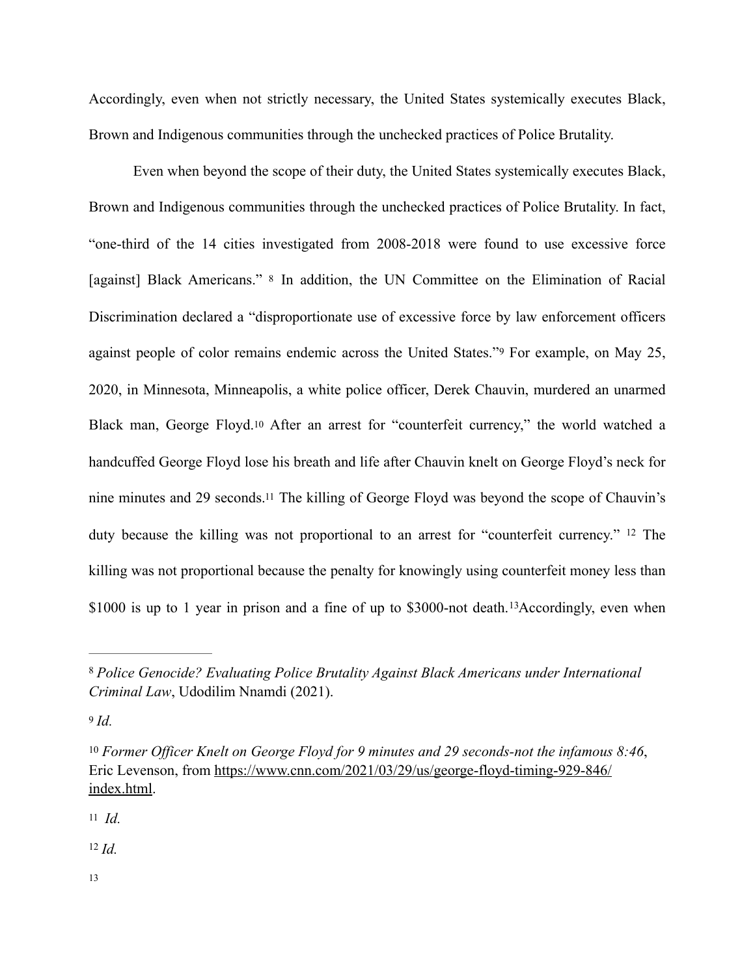Accordingly, even when not strictly necessary, the United States systemically executes Black, Brown and Indigenous communities through the unchecked practices of Police Brutality.

<span id="page-5-8"></span><span id="page-5-7"></span><span id="page-5-6"></span> Even when beyond the scope of their duty, the United States systemically executes Black, Brown and Indigenous communities through the unchecked practices of Police Brutality. In fact, "one-third of the 14 cities investigated from 2008-2018 were found to use excessive force [against] Black Americans." [8](#page-5-0) In addition, the UN Committee on the Elimination of Racial Discrimination declared a "disproportionate use of excessive force by law enforcement officers against people of color remains endemic across the United States."[9](#page-5-1) For example, on May 25, 2020, in Minnesota, Minneapolis, a white police officer, Derek Chauvin, murdered an unarmed Black man, George Floyd[.10](#page-5-2) After an arrest for "counterfeit currency," the world watched a handcuffed George Floyd lose his breath and life after Chauvin knelt on George Floyd's neck for nine minutes and 29 seconds[.11](#page-5-3) The killing of George Floyd was beyond the scope of Chauvin's duty because the killing was not proportional to an arrest for "counterfeit currency." <sup>[12](#page-5-4)</sup> The killing was not proportional because the penalty for knowingly using counterfeit money less than  $$1000$  is up to 1 year in prison and a fine of up to  $$3000$ -not death. <sup>13</sup>[A](#page-5-5)ccordingly, even when

<span id="page-5-1"></span>[9](#page-5-7) *Id.* 

<span id="page-5-3"></span>[11](#page-5-9) *Id.*

<span id="page-5-4"></span> $^{12}$  $^{12}$  $^{12}$  *Id.* 

<span id="page-5-5"></span>[13](#page-5-11)

<span id="page-5-11"></span><span id="page-5-10"></span><span id="page-5-9"></span><span id="page-5-0"></span>*Police Genocide? Evaluating Police Brutality Against Black Americans under International* [8](#page-5-6) *Criminal Law*, Udodilim Nnamdi (2021).

<span id="page-5-2"></span><sup>&</sup>lt;sup>[10](#page-5-8)</sup> Former Officer Knelt on George Floyd for 9 minutes and 29 seconds-not the infamous 8:46, Eric Levenson, from [https://www.cnn.com/2021/03/29/us/george-floyd-timing-929-846/](https://www.cnn.com/2021/03/29/us/george-floyd-timing-929-846/index.html) [index.html.](https://www.cnn.com/2021/03/29/us/george-floyd-timing-929-846/index.html)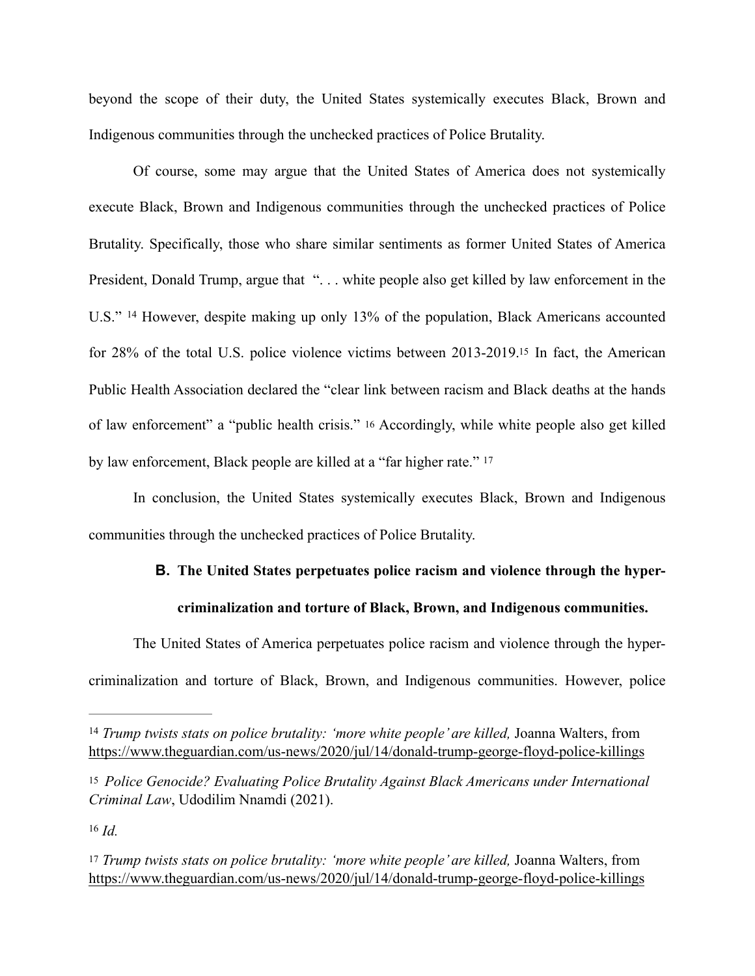beyond the scope of their duty, the United States systemically executes Black, Brown and Indigenous communities through the unchecked practices of Police Brutality.

<span id="page-6-4"></span> Of course, some may argue that the United States of America does not systemically execute Black, Brown and Indigenous communities through the unchecked practices of Police Brutality. Specifically, those who share similar sentiments as former United States of America President, Donald Trump, argue that "... white people also get killed by law enforcement in the U.S." <sup>[14](#page-6-0)</sup> However, despite making up only 13% of the population, Black Americans accounted for 28% of the total U.S. police violence victims between 2013-2019[.15](#page-6-1) In fact, the American Public Health Association declared the "clear link between racism and Black deaths at the hands of law enforcement" a "public health crisis." [16](#page-6-2) Accordingly, while white people also get killed by law enforcement, Black people are killed at a "far higher rate." [17](#page-6-3)

In conclusion, the United States systemically executes Black, Brown and Indigenous communities through the unchecked practices of Police Brutality.

# <span id="page-6-7"></span><span id="page-6-6"></span><span id="page-6-5"></span>**B. The United States perpetuates police racism and violence through the hypercriminalization and torture of Black, Brown, and Indigenous communities.**

The United States of America perpetuates police racism and violence through the hypercriminalization and torture of Black, Brown, and Indigenous communities. However, police

<span id="page-6-0"></span><sup>&</sup>lt;sup>[14](#page-6-4)</sup> Trump twists stats on police brutality: 'more white people' are killed, Joanna Walters, from <https://www.theguardian.com/us-news/2020/jul/14/donald-trump-george-floyd-police-killings>

<span id="page-6-1"></span>[<sup>15</sup>](#page-6-5) *Police Genocide? Evaluating Police Brutality Against Black Americans under International Criminal Law*, Udodilim Nnamdi (2021).

<span id="page-6-3"></span><span id="page-6-2"></span>[<sup>17</sup>](#page-6-7) *Trump twists stats on police brutality: 'more white people' are killed,* Joanna Walters, from <https://www.theguardian.com/us-news/2020/jul/14/donald-trump-george-floyd-police-killings>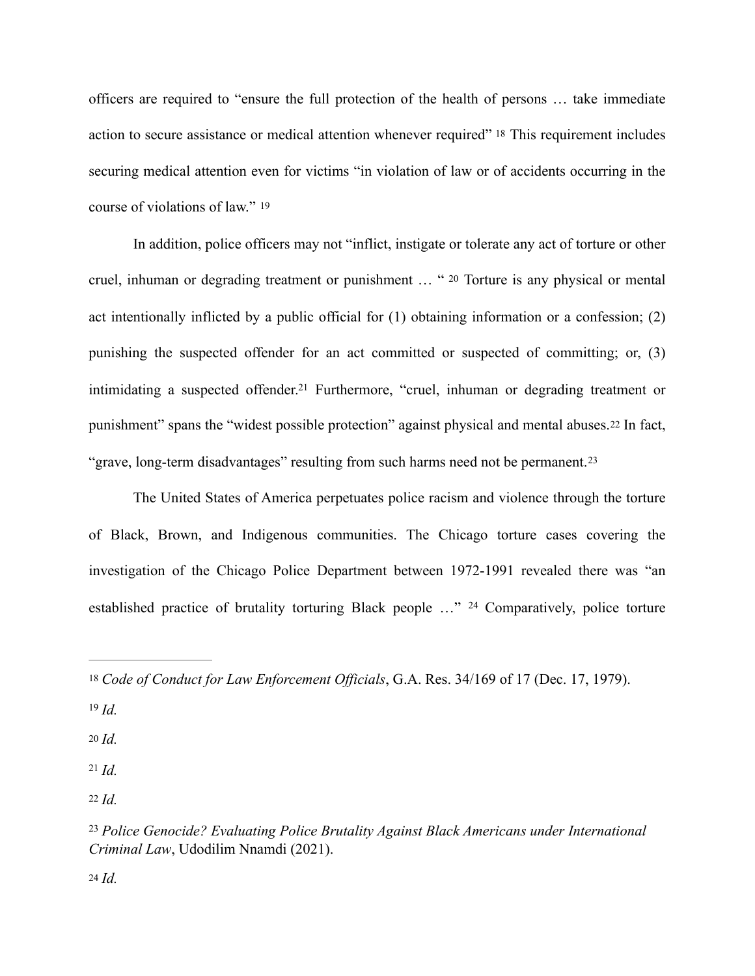<span id="page-7-7"></span>officers are required to "ensure the full protection of the health of persons … take immediate action to secure assistance or medical attention whenever required" [18](#page-7-0) This requirement includes securing medical attention even for victims "in violation of law or of accidents occurring in the course of violations of law." [19](#page-7-1)

<span id="page-7-9"></span><span id="page-7-8"></span>In addition, police officers may not "inflict, instigate or tolerate any act of torture or other cruel, inhuman or degrading treatment or punishment … " [20](#page-7-2) Torture is any physical or mental act intentionally inflicted by a public official for (1) obtaining information or a confession; (2) punishing the suspected offender for an act committed or suspected of committing; or, (3) intimidating a suspected offender[.](#page-7-3)<sup>[21](#page-7-3)</sup> Furthermore, "cruel, inhuman or degrading treatment or punishment" spans the "widest possible protection" against physical and mental abuses.[22](#page-7-4) In fact, "grave, long-term disadvantages" resulting from such harms need not be permanent.[23](#page-7-5)

<span id="page-7-12"></span><span id="page-7-11"></span><span id="page-7-10"></span>The United States of America perpetuates police racism and violence through the torture of Black, Brown, and Indigenous communities. The Chicago torture cases covering the investigation of the Chicago Police Department between 1972-1991 revealed there was "an established practice of brutality torturing Black people ..." <sup>[24](#page-7-6)</sup> Comparatively, police torture

<span id="page-7-1"></span> $19 \, \text{Id}$  $19 \, \text{Id}$ 

<span id="page-7-2"></span>[20](#page-7-9) *Id.*

<span id="page-7-4"></span><span id="page-7-3"></span> $21$  *Id.* [22](#page-7-11) *Id.*

<span id="page-7-13"></span><span id="page-7-0"></span>[<sup>18</sup>](#page-7-7) *Code of Conduct for Law Enforcement Officials*, G.A. Res. 34/169 of 17 (Dec. 17, 1979).

<span id="page-7-6"></span><span id="page-7-5"></span><sup>&</sup>lt;sup>[23](#page-7-12)</sup> Police Genocide? Evaluating Police Brutality Against Black Americans under International *Criminal Law*, Udodilim Nnamdi (2021).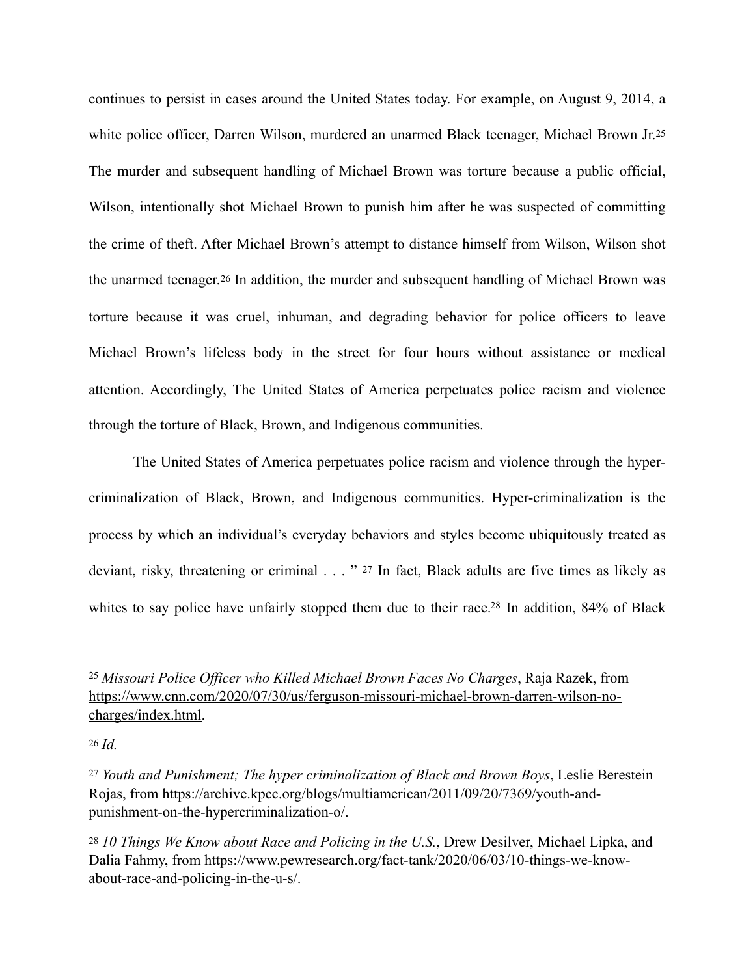<span id="page-8-5"></span><span id="page-8-4"></span>continues to persist in cases around the United States today. For example, on August 9, 2014, a white police officer, Darren Wilson, murdered an unarmed Black teenager, Michael Brown Jr.[25](#page-8-0) The murder and subsequent handling of Michael Brown was torture because a public official, Wilson, intentionally shot Michael Brown to punish him after he was suspected of committing the crime of theft. After Michael Brown's attempt to distance himself from Wilson, Wilson shot the unarmed teenager.[26](#page-8-1) In addition, the murder and subsequent handling of Michael Brown was torture because it was cruel, inhuman, and degrading behavior for police officers to leave Michael Brown's lifeless body in the street for four hours without assistance or medical attention. Accordingly, The United States of America perpetuates police racism and violence through the torture of Black, Brown, and Indigenous communities.

<span id="page-8-6"></span>The United States of America perpetuates police racism and violence through the hypercriminalization of Black, Brown, and Indigenous communities. Hyper-criminalization is the process by which an individual's everyday behaviors and styles become ubiquitously treated as deviant, risky, threatening or criminal . . . " [27](#page-8-2) In fact, Black adults are five times as likely as whites to say police have unfairly stopped them due to their race[.](#page-8-3)<sup>[28](#page-8-3)</sup> In addition,  $84\%$  of Black

<span id="page-8-7"></span><span id="page-8-0"></span>*Missouri Police Officer who Killed Michael Brown Faces No Charges*, Raja Razek, from [25](#page-8-4) [https://www.cnn.com/2020/07/30/us/ferguson-missouri-michael-brown-darren-wilson-no](https://www.cnn.com/2020/07/30/us/ferguson-missouri-michael-brown-darren-wilson-no-charges/index.html)[charges/index.html](https://www.cnn.com/2020/07/30/us/ferguson-missouri-michael-brown-darren-wilson-no-charges/index.html).

<span id="page-8-1"></span>[<sup>26</sup>](#page-8-5) *Id.* 

<span id="page-8-2"></span>*Youth and Punishment; The hyper criminalization of Black and Brown Boys*, Leslie Berestein [27](#page-8-6) Rojas, from https://archive.kpcc.org/blogs/multiamerican/2011/09/20/7369/youth-andpunishment-on-the-hypercriminalization-o/.

<span id="page-8-3"></span>[<sup>28</sup>](#page-8-7) *10 Things We Know about Race and Policing in the U.S.*, Drew Desilver, Michael Lipka, and Dalia Fahmy, from [https://www.pewresearch.org/fact-tank/2020/06/03/10-things-we-know](https://www.pewresearch.org/fact-tank/2020/06/03/10-things-we-know-about-race-and-policing-in-the-u-s/)[about-race-and-policing-in-the-u-s/](https://www.pewresearch.org/fact-tank/2020/06/03/10-things-we-know-about-race-and-policing-in-the-u-s/).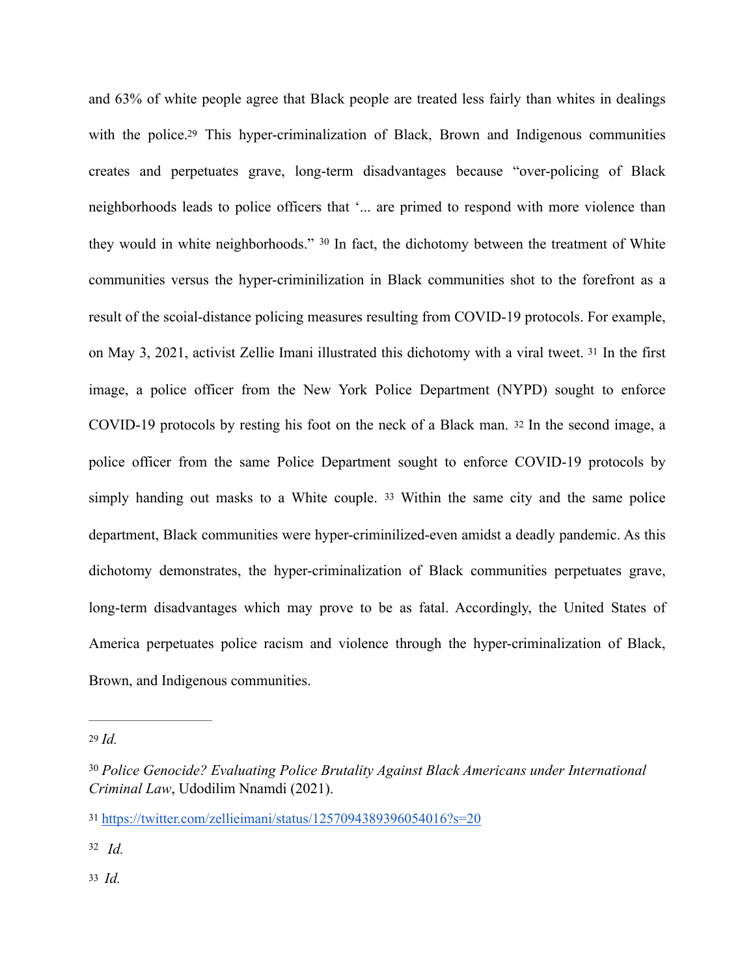<span id="page-9-7"></span><span id="page-9-6"></span><span id="page-9-5"></span>and 63% of white people agree that Black people are treated less fairly than whites in dealings with the police.<sup>29</sup> This hyper-criminalization of Black, Brown and Indigenous communities creates and perpetuates grave, long-term disadvantages because "over-policing of Black neighborhoods leads to police officers that '... are primed to respond with more violence than they would in white neighborhoods."  $30$  In fact, the dichotomy between the treatment of White communities versus the hyper-criminilization in Black communities shot to the forefront as a result of the scoial-distance policing measures resulting from COVID-19 protocols. For example, on May 3, 2021, activist Zellie Imani illustrated this dichotomy with a viral tweet. [31](#page-9-2) In the first image, a police officer from the New York Police Department (NYPD) sought to enforce COVID-19 protocols by resting his foot on the neck of a Black man. [32](#page-9-3) In the second image, a police officer from the same Police Department sought to enforce COVID-19 protocols by simply handing out masks to a White couple. [33](#page-9-4) Within the same city and the same police department, Black communities were hyper-criminilized-even amidst a deadly pandemic. As this dichotomy demonstrates, the hyper-criminalization of Black communities perpetuates grave, long-term disadvantages which may prove to be as fatal. Accordingly, the United States of America perpetuates police racism and violence through the hyper-criminalization of Black, Brown, and Indigenous communities.

<span id="page-9-4"></span><span id="page-9-3"></span>*Id.* [32](#page-9-8)

<span id="page-9-9"></span><span id="page-9-8"></span><span id="page-9-0"></span>[<sup>29</sup>](#page-9-5) *Id.*

<span id="page-9-1"></span><sup>&</sup>lt;sup>[30](#page-9-6)</sup> Police Genocide? Evaluating Police Brutality Against Black Americans under International *Criminal Law*, Udodilim Nnamdi (2021).

<span id="page-9-2"></span>[<sup>31</sup>](#page-9-7) <https://twitter.com/zellieimani/status/1257094389396054016?s=20>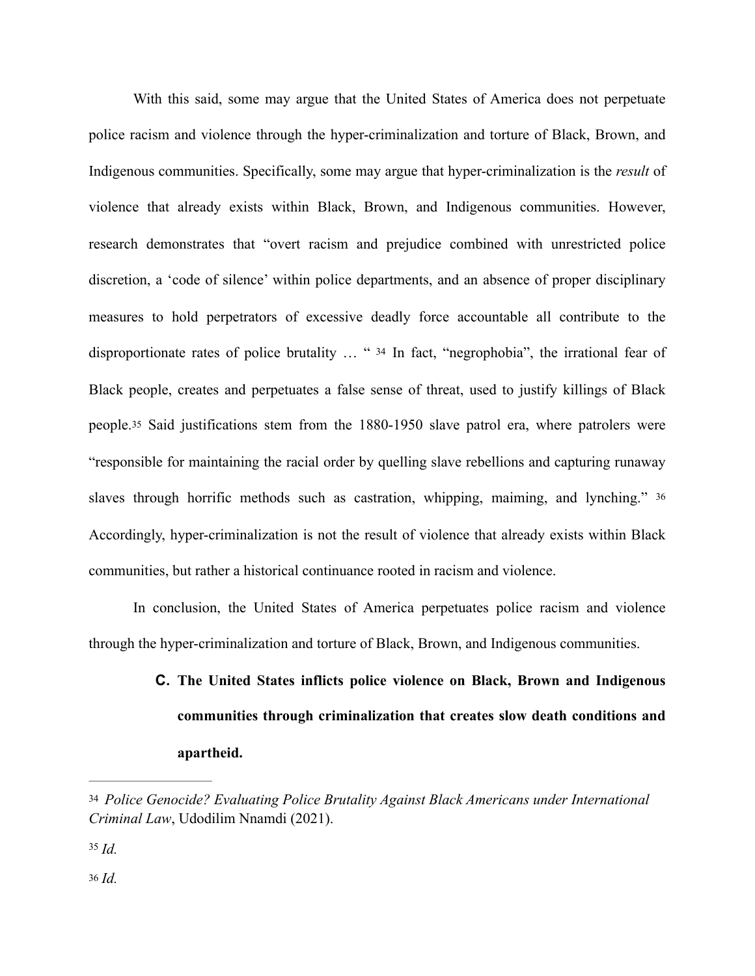<span id="page-10-3"></span> With this said, some may argue that the United States of America does not perpetuate police racism and violence through the hyper-criminalization and torture of Black, Brown, and Indigenous communities. Specifically, some may argue that hyper-criminalization is the *result* of violence that already exists within Black, Brown, and Indigenous communities. However, research demonstrates that "overt racism and prejudice combined with unrestricted police discretion, a 'code of silence' within police departments, and an absence of proper disciplinary measures to hold perpetrators of excessive deadly force accountable all contribute to the disproportionate rates of police brutality … " [34](#page-10-0) In fact, "negrophobia", the irrational fear of Black people, creates and perpetuates a false sense of threat, used to justify killings of Black people.[35](#page-10-1) Said justifications stem from the 1880-1950 slave patrol era, where patrolers were "responsible for maintaining the racial order by quelling slave rebellions and capturing runaway slaves through horrific methods such as castration, whipping, maiming, and lynching." [36](#page-10-2) Accordingly, hyper-criminalization is not the result of violence that already exists within Black communities, but rather a historical continuance rooted in racism and violence.

<span id="page-10-4"></span>In conclusion, the United States of America perpetuates police racism and violence through the hyper-criminalization and torture of Black, Brown, and Indigenous communities.

# <span id="page-10-5"></span>**C. The United States inflicts police violence on Black, Brown and Indigenous communities through criminalization that creates slow death conditions and apartheid.**

<span id="page-10-0"></span>[<sup>34</sup>](#page-10-3) *Police Genocide? Evaluating Police Brutality Against Black Americans under International Criminal Law*, Udodilim Nnamdi (2021).

<span id="page-10-2"></span><span id="page-10-1"></span> $35 \, Id.$  $35 \, Id.$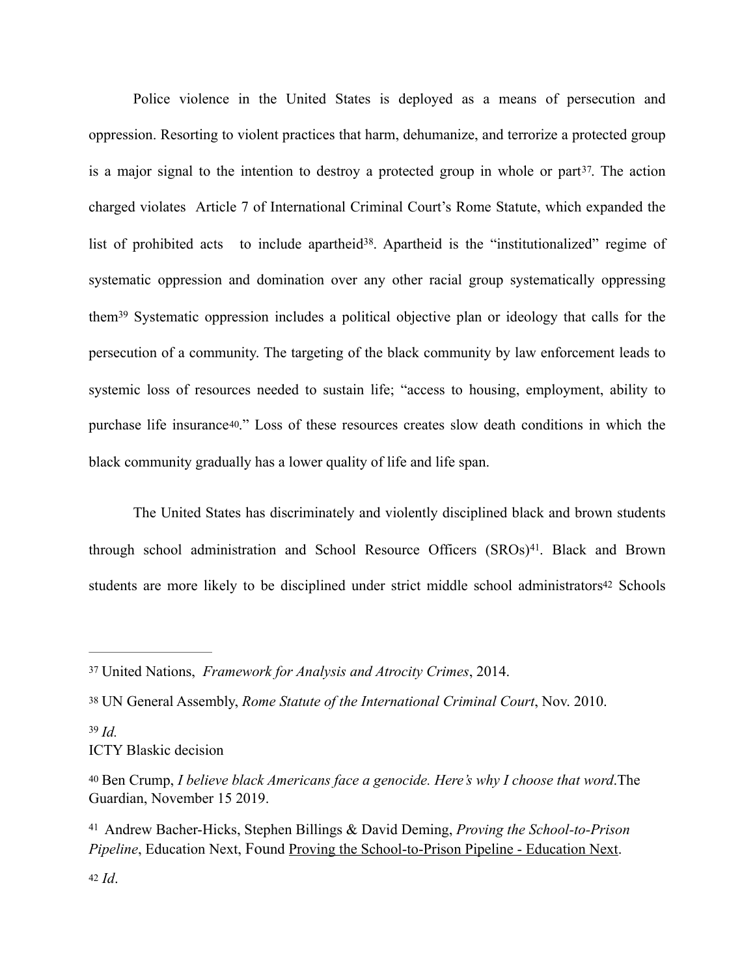<span id="page-11-7"></span><span id="page-11-6"></span>Police violence in the United States is deployed as a means of persecution and oppression. Resorting to violent practices that harm, dehumanize, and terrorize a protected group is a major signal to the intention to destroy a protected group in whole or part $37$ [.](#page-11-0) The action charged violates Article 7 of International Criminal Court's Rome Statute, which expanded the list of prohibited acts to include apartheid<sup>38</sup>[.](#page-11-1) Apartheid is the "institutionalized" regime of systematic oppression and domination over any other racial group systematically oppressing them<sup>39</sup>Systematic oppression includes a political objective plan or ideology that calls for the persecution of a community. The targeting of the black community by law enforcement leads to systemic loss of resources needed to sustain life; "access to housing, employment, ability to purchase life insurance[40.](#page-11-3)" Loss of these resources creates slow death conditions in which the black community gradually has a lower quality of life and life span.

<span id="page-11-11"></span><span id="page-11-10"></span><span id="page-11-9"></span><span id="page-11-8"></span>The United States has discriminately and violently disciplined black and brown students through school administration and School Resource Officers (SROs)<sup>41</sup>[.](#page-11-4) Black and Brown students are more likely to be disciplined under strict middle school administrators<sup>42</sup> Schools

<span id="page-11-2"></span> $39$  *Id.* ICTY Blaskic decision

<span id="page-11-0"></span>United Nations, *Framework for Analysis and Atrocity Crimes*, 2014. [37](#page-11-6)

<span id="page-11-1"></span>[<sup>38</sup>](#page-11-7) UN General Assembly, *Rome Statute of the International Criminal Court*, Nov. 2010.

<span id="page-11-3"></span>[<sup>40</sup>](#page-11-9) Ben Crump, *I believe black Americans face a genocide. Here's why I choose that word*.The Guardian, November 15 2019.

<span id="page-11-5"></span><span id="page-11-4"></span>Andrew Bacher-Hicks, Stephen Billings & David Deming, *Proving the School-to-Prison* [41](#page-11-10) *Pipeline*, Education Next, Found [Proving the School-to-Prison Pipeline - Education Next.](https://www.educationnext.org/proving-school-to-prison-pipeline-stricter-middle-schools-raise-risk-of-adult-arrests/)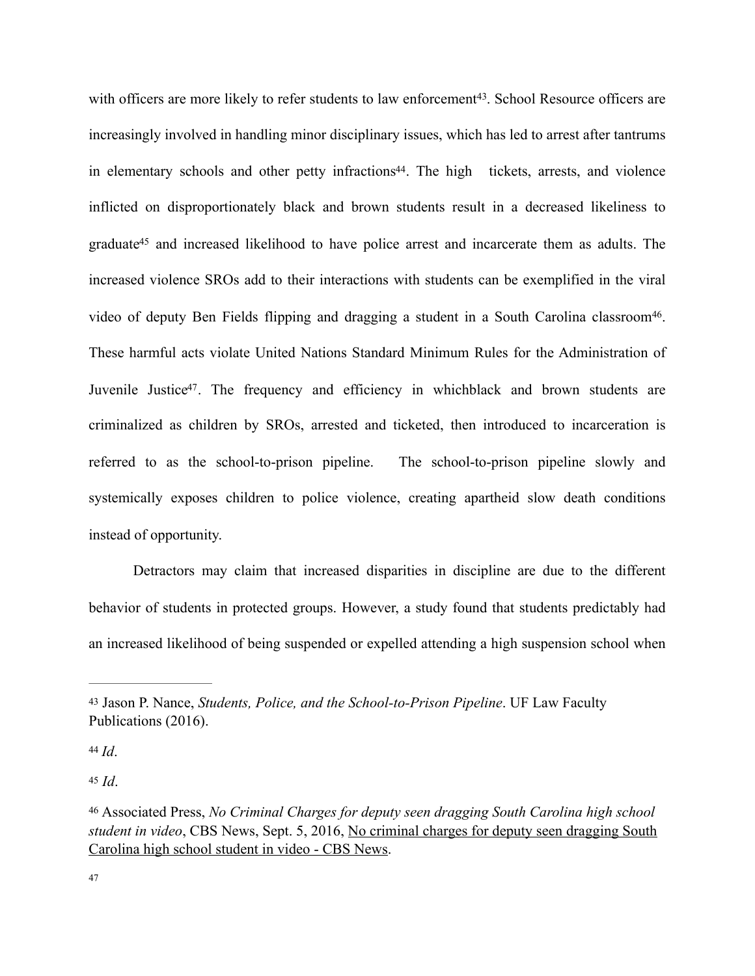<span id="page-12-8"></span><span id="page-12-7"></span><span id="page-12-6"></span><span id="page-12-5"></span>with officers are more likely to refer students to law enforcement<sup>43</sup>[.](#page-12-0) School Resource officers are increasingly involved in handling minor disciplinary issues, which has led to arrest after tantrums in elementary schools and other petty infractions<sup>[44](#page-12-1)</sup>. The high tickets, arrests, and violence inflicted on disproportionately black and brown students result in a decreased likeliness to graduat[e](#page-12-2)<sup>[45](#page-12-2)</sup> and increased likelihood to have police arrest and incarcerate them as adults. The increased violence SROs add to their interactions with students can be exemplified in the viral video of deputy Ben Fields flipping and dragging a student in a South Carolina classroom<sup>[46](#page-12-3)</sup>. These harmful acts violate United Nations Standard Minimum Rules for the Administration of Juvenile Justice<sup>[47](#page-12-4)</sup>. The frequency and efficiency in whichblack and brown students are criminalized as children by SROs, arrested and ticketed, then introduced to incarceration is referred to as the school-to-prison pipeline. The school-to-prison pipeline slowly and systemically exposes children to police violence, creating apartheid slow death conditions instead of opportunity.

<span id="page-12-9"></span>Detractors may claim that increased disparities in discipline are due to the different behavior of students in protected groups. However, a study found that students predictably had an increased likelihood of being suspended or expelled attending a high suspension school when

<span id="page-12-2"></span><span id="page-12-1"></span> $44$  *Id*.

<span id="page-12-0"></span>[<sup>43</sup>](#page-12-5) Jason P. Nance, *Students, Police, and the School-to-Prison Pipeline*. UF Law Faculty Publications (2016).

<span id="page-12-4"></span><span id="page-12-3"></span>Associated Press, *No Criminal Charges for deputy seen dragging South Carolina high school* [46](#page-12-8) *student in video*, CBS News, Sept. 5, 2016, [No criminal charges for deputy seen dragging South](https://www.cbsnews.com/news/no-criminal-charges-for-deputy-who-dragged-south-carolina-high-school-student/)  [Carolina high school student in video - CBS News.](https://www.cbsnews.com/news/no-criminal-charges-for-deputy-who-dragged-south-carolina-high-school-student/)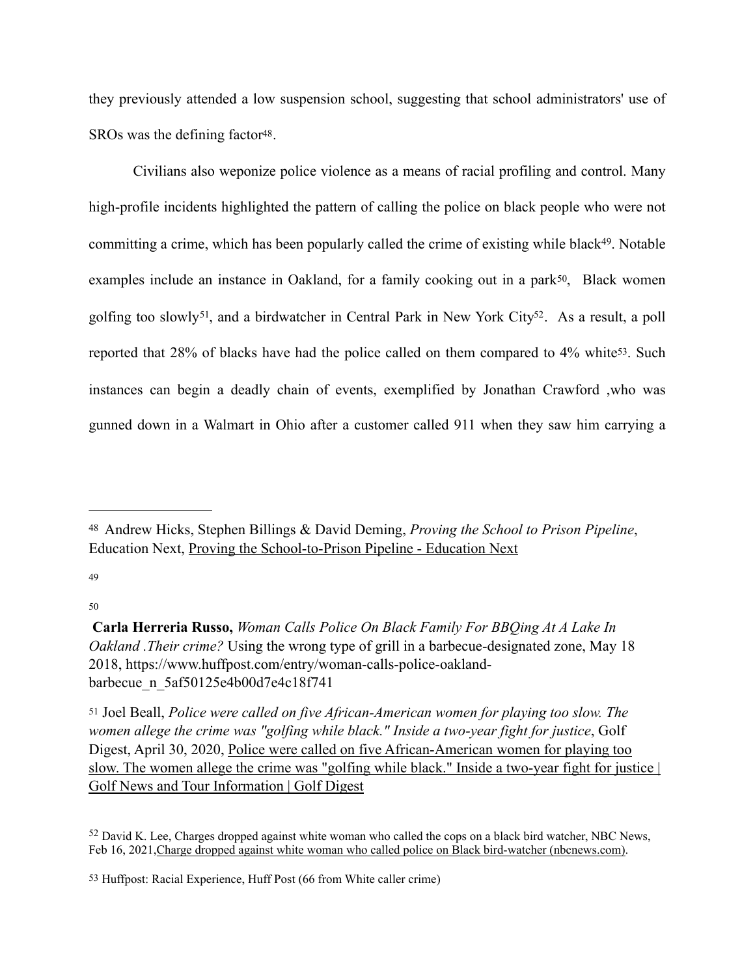<span id="page-13-6"></span>they previously attended a low suspension school, suggesting that school administrators' use of SROs was the defining factor<sup>48</sup>.

<span id="page-13-11"></span><span id="page-13-10"></span><span id="page-13-9"></span><span id="page-13-8"></span><span id="page-13-7"></span>Civilians also weponize police violence as a means of racial profiling and control. Many high-profile incidents highlighted the pattern of calling the police on black people who were not committing a crime, which has been popularly called the crime of existing while black<sup>49</sup>[.](#page-13-1) Notable examples include an instance in Oakland, for a family cooking out in a park<sup>50</sup>, Black women golfing too slowly<sup>[51](#page-13-3)</sup>, and a birdwatcher in Central Park in New York City<sup>52</sup>. As a result, a poll reported that 28% of blacks have had the police called on them compared to 4% white[53.](#page-13-5) Such instances can begin a deadly chain of events, exemplified by Jonathan Crawford ,who was gunned down in a Walmart in Ohio after a customer called 911 when they saw him carrying a

<span id="page-13-1"></span>[49](#page-13-7)

<span id="page-13-2"></span>[50](#page-13-8)

<span id="page-13-0"></span>Andrew Hicks, Stephen Billings & David Deming, *Proving the School to Prison Pipeline*, [48](#page-13-6) Education Next, [Proving the School-to-Prison Pipeline - Education Next](https://www.educationnext.org/proving-school-to-prison-pipeline-stricter-middle-schools-raise-risk-of-adult-arrests/)

**[Carla Herreria Russo](https://www.huffpost.com/author/carla-herreria),** *Woman Calls Police On Black Family For BBQing At A Lake In Oakland .Their crime?* Using the wrong type of grill in a barbecue-designated zone, May 18 2018, https://www.huffpost.com/entry/woman-calls-police-oaklandbarbecue\_n\_5af50125e4b00d7e4c18f741

<span id="page-13-3"></span>[<sup>51</sup>](#page-13-9) Joel Beall, *Police were called on five African-American women for playing too slow. The women allege the crime was "golfing while black." Inside a two-year fight for justice*, Golf Digest, April 30, 2020, [Police were called on five African-American women for playing too](https://www.golfdigest.com/story/police-were-called-on-five-african-american-women-for-playing-too-slow-the-women-allege-the-crime-was-golfing-while-black-inside-a-two-year-fight-for-justice)  [slow. The women allege the crime was "golfing while black." Inside a two-year fight for justice |](https://www.golfdigest.com/story/police-were-called-on-five-african-american-women-for-playing-too-slow-the-women-allege-the-crime-was-golfing-while-black-inside-a-two-year-fight-for-justice)  [Golf News and Tour Information | Golf Digest](https://www.golfdigest.com/story/police-were-called-on-five-african-american-women-for-playing-too-slow-the-women-allege-the-crime-was-golfing-while-black-inside-a-two-year-fight-for-justice)

<span id="page-13-4"></span> $52$  David K. Lee, Charges dropped against white woman who called the cops on a black bird watcher. NBC News, Feb 16, 2021, [Charge dropped against white woman who called police on Black bird-watcher \(nbcnews.com\)](https://www.nbcnews.com/news/us-news/charge-dropped-against-white-woman-who-called-police-black-bird-n1257987).

<span id="page-13-5"></span>[<sup>53</sup>](#page-13-11) Huffpost: Racial Experience, Huff Post (66 from White caller crime)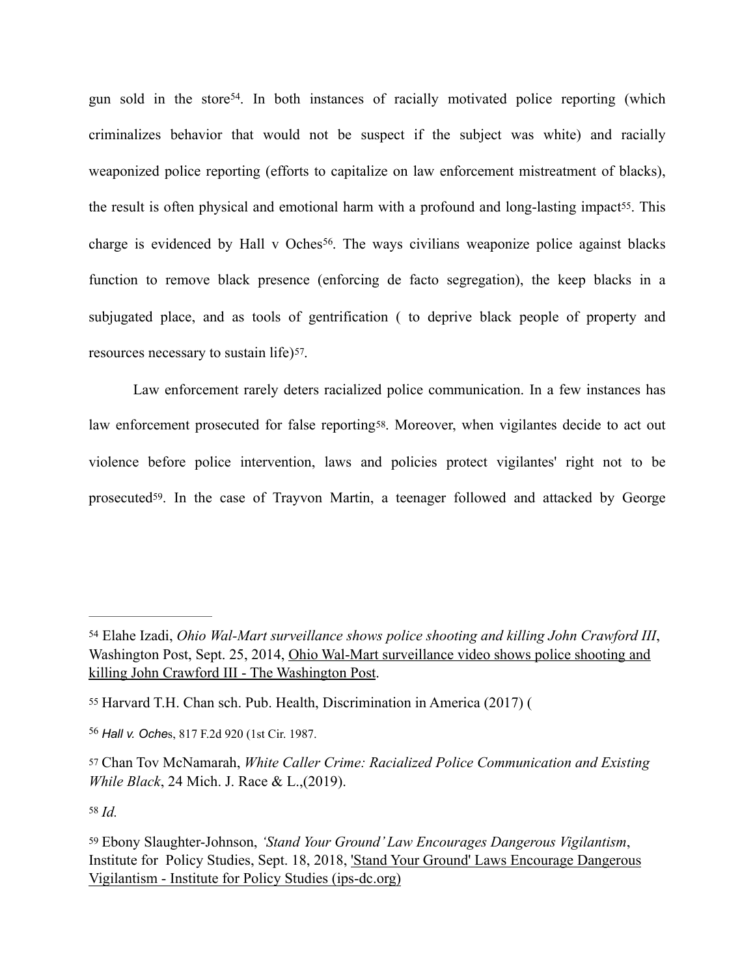<span id="page-14-8"></span><span id="page-14-7"></span><span id="page-14-6"></span>gun sold in the store<sup>54</sup>[.](#page-14-0) In both instances of racially motivated police reporting (which criminalizes behavior that would not be suspect if the subject was white) and racially weaponized police reporting (efforts to capitalize on law enforcement mistreatment of blacks), the result is often physical and emotional harm with a profound and long-lasting impact<sup>55</sup>. This charge is evidenced by Hall v Oches<sup>56</sup>[.](#page-14-2) The ways civilians weaponize police against blacks function to remove black presence (enforcing de facto segregation), the keep blacks in a subjugated place, and as tools of gentrification ( to deprive black people of property and resources necessary to sustain life)<sup>57</sup>.

<span id="page-14-11"></span><span id="page-14-10"></span><span id="page-14-9"></span>Law enforcement rarely deters racialized police communication. In a few instances has law enforcement prosecuted for false reporting<sup>58</sup>. Moreover, when vigilantes decide to act out violence before police intervention, laws and policies protect vigilantes' right not to be prosecuted[59.](#page-14-5) In the case of Trayvon Martin, a teenager followed and attacked by George

<span id="page-14-0"></span><sup>&</sup>lt;sup>[54](#page-14-6)</sup> Elahe Izadi, *Ohio Wal-Mart surveillance shows police shooting and killing John Crawford III*, Washington Post, Sept. 25, 2014, [Ohio Wal-Mart surveillance video shows police shooting and](https://www.washingtonpost.com/news/post-nation/wp/2014/09/25/ohio-wal-mart-surveillance-video-shows-police-shooting-and-killing-john-crawford-iii/)  [killing John Crawford III - The Washington Post.](https://www.washingtonpost.com/news/post-nation/wp/2014/09/25/ohio-wal-mart-surveillance-video-shows-police-shooting-and-killing-john-crawford-iii/)

<span id="page-14-1"></span>[<sup>55</sup>](#page-14-7) Harvard T.H. Chan sch. Pub. Health, Discrimination in America (2017) (

<span id="page-14-2"></span>*Hall v. Oche*s, 817 F.2d 920 (1st Cir. 1987. [56](#page-14-8)

<span id="page-14-3"></span>[<sup>57</sup>](#page-14-9) Chan Tov McNamarah, *White Caller Crime: Racialized Police Communication and Existing While Black*, 24 Mich. J. Race & L.,(2019).

<span id="page-14-5"></span><span id="page-14-4"></span>[<sup>59</sup>](#page-14-11) Ebony Slaughter-Johnson, *'Stand Your Ground' Law Encourages Dangerous Vigilantism*, Institute for Policy Studies, Sept. 18, 2018, ['Stand Your Ground' Laws Encourage Dangerous](https://ips-dc.org/stand-your-ground-laws-encourage-dangerous-vigilantism/)  [Vigilantism - Institute for Policy Studies \(ips-dc.org\)](https://ips-dc.org/stand-your-ground-laws-encourage-dangerous-vigilantism/)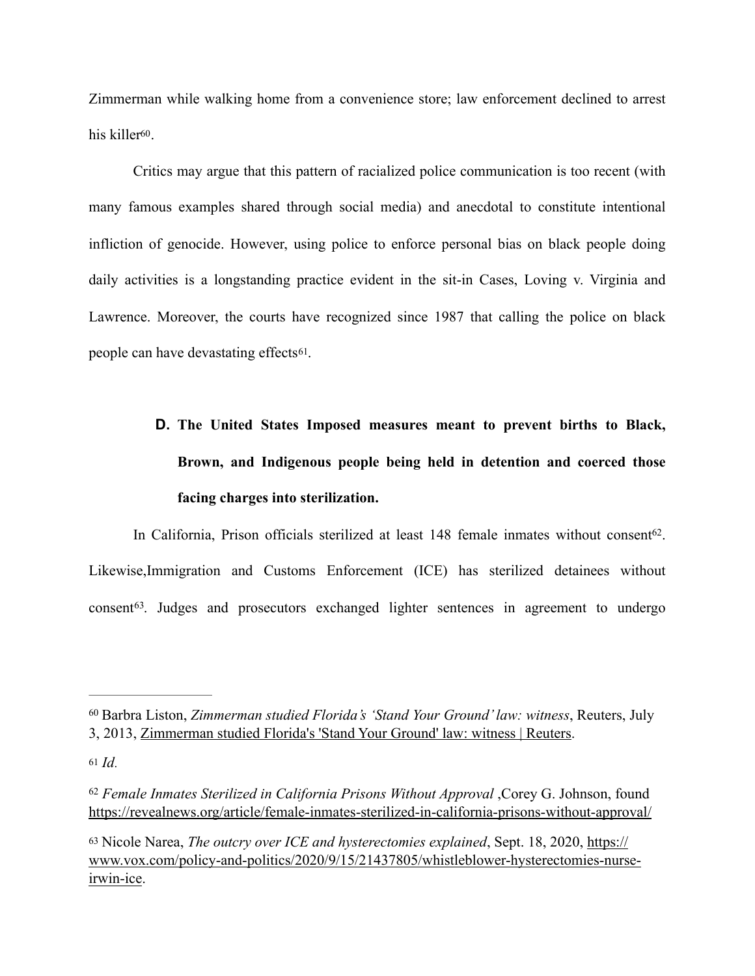<span id="page-15-4"></span>Zimmerman while walking home from a convenience store; law enforcement declined to arrest his killer<sup>60</sup>.

Critics may argue that this pattern of racialized police communication is too recent (with many famous examples shared through social media) and anecdotal to constitute intentional infliction of genocide. However, using police to enforce personal bias on black people doing daily activities is a longstanding practice evident in the sit-in Cases, Loving v. Virginia and Lawrence. Moreover, the courts have recognized since 1987 that calling the police on black people can have devastating effects[61.](#page-15-1)

# <span id="page-15-6"></span><span id="page-15-5"></span>**D. The United States Imposed measures meant to prevent births to Black, Brown, and Indigenous people being held in detention and coerced those facing charges into sterilization.**

<span id="page-15-7"></span>In California, Prison officials sterilized at least  $148$  female inmates without consent<sup>[62](#page-15-2)</sup>. Likewise,Immigration and Customs Enforcement (ICE) has sterilized detainees without  $constant<sup>63</sup>$  $constant<sup>63</sup>$  $constant<sup>63</sup>$ [.](#page-15-3) Judges and prosecutors exchanged lighter sentences in agreement to undergo

<span id="page-15-0"></span>Barbra Liston, *Zimmerman studied Florida's 'Stand Your Ground' law: witness*, Reuters, July [60](#page-15-4) 3, 2013, [Zimmerman studied Florida's 'Stand Your Ground' law: witness | Reuters.](https://www.reuters.com/article/us-usa-florida-shooting/zimmerman-studied-floridas-stand-your-ground-law-witness-idUSBRE9620RL20130703)

<span id="page-15-1"></span>[<sup>61</sup>](#page-15-5) *Id*.

<span id="page-15-2"></span><sup>&</sup>lt;sup>[62](#page-15-6)</sup> Female Inmates Sterilized in California Prisons Without Approval ,Corey G. Johnson, found <https://revealnews.org/article/female-inmates-sterilized-in-california-prisons-without-approval/>

<span id="page-15-3"></span>[<sup>63</sup>](#page-15-7) Nicole Narea, *The outcry over ICE and hysterectomies explained*, Sept. 18, 2020, [https://](https://www.vox.com/policy-and-politics/2020/9/15/21437805/whistleblower-hysterectomies-nurse-irwin-ice) [www.vox.com/policy-and-politics/2020/9/15/21437805/whistleblower-hysterectomies-nurse](https://www.vox.com/policy-and-politics/2020/9/15/21437805/whistleblower-hysterectomies-nurse-irwin-ice)[irwin-ice](https://www.vox.com/policy-and-politics/2020/9/15/21437805/whistleblower-hysterectomies-nurse-irwin-ice).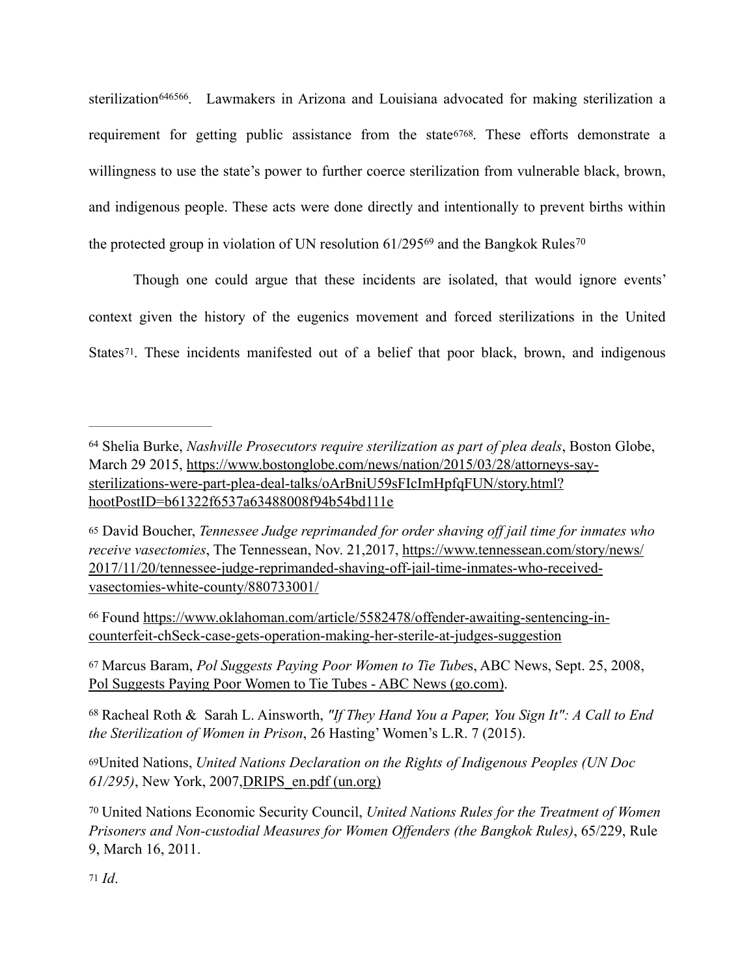<span id="page-16-12"></span><span id="page-16-11"></span><span id="page-16-10"></span><span id="page-16-9"></span><span id="page-16-8"></span>sterilization 646566[.](#page-16-2) Lawmakers in Arizona and Louisiana advocated for making sterilization a requirement for getting public assistance from the state[67](#page-16-3)[68.](#page-16-4) These efforts demonstrate a willingness to use the state's power to further coerce sterilization from vulnerable black, brown, and indigenous people. These acts were done directly and intentionally to prevent births within theprotected group in violation of UN resolution  $61/295^{69}$  and the Bangkok Rules<sup>[70](#page-16-6)</sup>

<span id="page-16-15"></span><span id="page-16-14"></span><span id="page-16-13"></span>Though one could argue that these incidents are isolated, that would ignore events' context given the history of the eugenics movement and forced sterilizations in the United States<sup>71</sup>. These incidents manifested out of a belief that poor black, brown, and indigenous

<span id="page-16-3"></span>[67](#page-16-11) Marcus Baram, *Pol Suggests Paying Poor Women to Tie Tube*s, ABC News, Sept. 25, 2008, [Pol Suggests Paying Poor Women to Tie Tubes - ABC News \(go.com\).](https://abcnews.go.com/US/story?id=5886592&page=1)

<span id="page-16-4"></span>Racheal Roth & Sarah L. Ainsworth, *"If They Hand You a Paper, You Sign It": A Call to End* [68](#page-16-12) *the Sterilization of Women in Prison*, 26 Hasting' Women's L.R. 7 (2015).

<span id="page-16-5"></span>[69](#page-16-13)United Nations, *United Nations Declaration on the Rights of Indigenous Peoples (UN Doc 61/295)*, New York, 2007[,DRIPS\\_en.pdf \(un.org\)](https://www.un.org/esa/socdev/unpfii/documents/DRIPS_en.pdf)

<span id="page-16-0"></span>Shelia Burke, *Nashville Prosecutors require sterilization as part of plea deals*, Boston Globe, [64](#page-16-8) March 29 2015, [https://www.bostonglobe.com/news/nation/2015/03/28/attorneys-say](https://www.bostonglobe.com/news/nation/2015/03/28/attorneys-say-sterilizations-were-part-plea-deal-talks/oArBniU59sFIcImHpfqFUN/story.html?hootPostID=b61322f6537a63488008f94b54bd111e)[sterilizations-were-part-plea-deal-talks/oArBniU59sFIcImHpfqFUN/story.html?](https://www.bostonglobe.com/news/nation/2015/03/28/attorneys-say-sterilizations-were-part-plea-deal-talks/oArBniU59sFIcImHpfqFUN/story.html?hootPostID=b61322f6537a63488008f94b54bd111e) [hootPostID=b61322f6537a63488008f94b54bd111e](https://www.bostonglobe.com/news/nation/2015/03/28/attorneys-say-sterilizations-were-part-plea-deal-talks/oArBniU59sFIcImHpfqFUN/story.html?hootPostID=b61322f6537a63488008f94b54bd111e)

<span id="page-16-1"></span>[<sup>65</sup>](#page-16-9) David Boucher, *Tennessee Judge reprimanded for order shaving off jail time for inmates who receive vasectomies*, The Tennessean, Nov. 21,2017, [https://www.tennessean.com/story/news/](https://www.tennessean.com/story/news/2017/11/20/tennessee-judge-reprimanded-shaving-off-jail-time-inmates-who-received-vasectomies-white-county/880733001/) [2017/11/20/tennessee-judge-reprimanded-shaving-off-jail-time-inmates-who-received](https://www.tennessean.com/story/news/2017/11/20/tennessee-judge-reprimanded-shaving-off-jail-time-inmates-who-received-vasectomies-white-county/880733001/)[vasectomies-white-county/880733001/](https://www.tennessean.com/story/news/2017/11/20/tennessee-judge-reprimanded-shaving-off-jail-time-inmates-who-received-vasectomies-white-county/880733001/)

<span id="page-16-2"></span>Found [https://www.oklahoman.com/article/5582478/offender-awaiting-sentencing-in-](https://www.oklahoman.com/article/5582478/offender-awaiting-sentencing-in-counterfeit-check-case-gets-operation-making-her-sterile-at-judges-suggestion) [66](#page-16-10) [counterfeit-chSeck-case-gets-operation-making-her-sterile-at-judges-suggestion](https://www.oklahoman.com/article/5582478/offender-awaiting-sentencing-in-counterfeit-check-case-gets-operation-making-her-sterile-at-judges-suggestion)

<span id="page-16-7"></span><span id="page-16-6"></span>United Nations Economic Security Council, *United Nations Rules for the Treatment of Women* [70](#page-16-14) *Prisoners and Non-custodial Measures for Women Offenders (the Bangkok Rules)*, 65/229, Rule 9, March 16, 2011.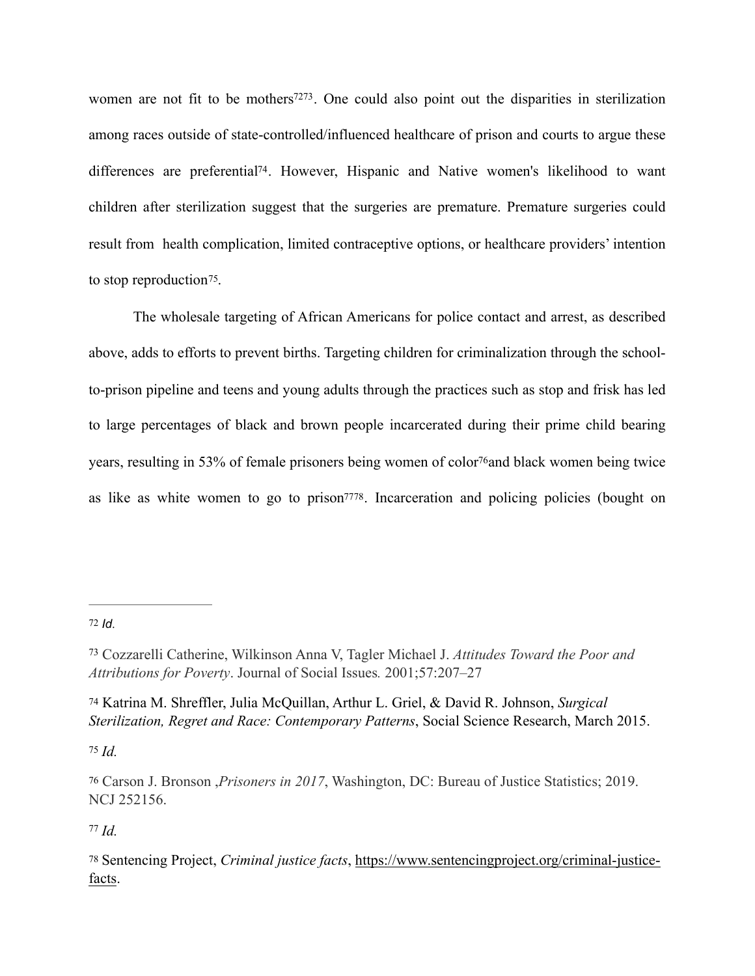<span id="page-17-9"></span><span id="page-17-8"></span><span id="page-17-7"></span>women are not fit to be mothers<sup> $7273$  $7273$ </sup>. One could also point out the disparities in sterilization among races outside of state-controlled/influenced healthcare of prison and courts to argue these differences are preferential<sup>[74](#page-17-2)</sup>. However, Hispanic and Native women's likelihood to want children after sterilization suggest that the surgeries are premature. Premature surgeries could result from health complication, limited contraceptive options, or healthcare providers' intention to stop reproduction[75.](#page-17-3)

<span id="page-17-11"></span><span id="page-17-10"></span>The wholesale targeting of African Americans for police contact and arrest, as described above, adds to efforts to prevent births. Targeting children for criminalization through the schoolto-prison pipeline and teens and young adults through the practices such as stop and frisk has led to large percentages of black and brown people incarcerated during their prime child bearing years, resulting in 53% of female prisoners being women of color<sup>[76](#page-17-4)</sup> and black women being twice as like as white women to go to prison<sup>77[78](#page-17-6)</sup>. Incarceration and policing policies (bought on

<span id="page-17-3"></span> $75$  *Id.* 

<span id="page-17-13"></span><span id="page-17-12"></span><span id="page-17-0"></span>[<sup>72</sup>](#page-17-7) *Id*.

<span id="page-17-1"></span>Cozzarelli Catherine, Wilkinson Anna V, Tagler Michael J. *Attitudes Toward the Poor and* [73](#page-17-8) *Attributions for Poverty*. Journal of Social Issues*.* 2001;57:207–27

<span id="page-17-2"></span>[<sup>74</sup>](#page-17-9) Katrina M. Shreffler, Julia McQuillan, Arthur L. Griel, & David R. Johnson, *Surgical Sterilization, Regret and Race: Contemporary Patterns*, Social Science Research, March 2015.

<span id="page-17-4"></span>[<sup>76</sup>](#page-17-11) Carson J. Bronson ,*Prisoners in 2017*, Washington, DC: Bureau of Justice Statistics; 2019. NCJ 252156.

<span id="page-17-6"></span><span id="page-17-5"></span>[<sup>78</sup>](#page-17-13) Sentencing Project, *Criminal justice facts*, [https://www.sentencingproject.org/criminal-justice](https://www.sentencingproject.org/criminal-justice-facts)[facts.](https://www.sentencingproject.org/criminal-justice-facts)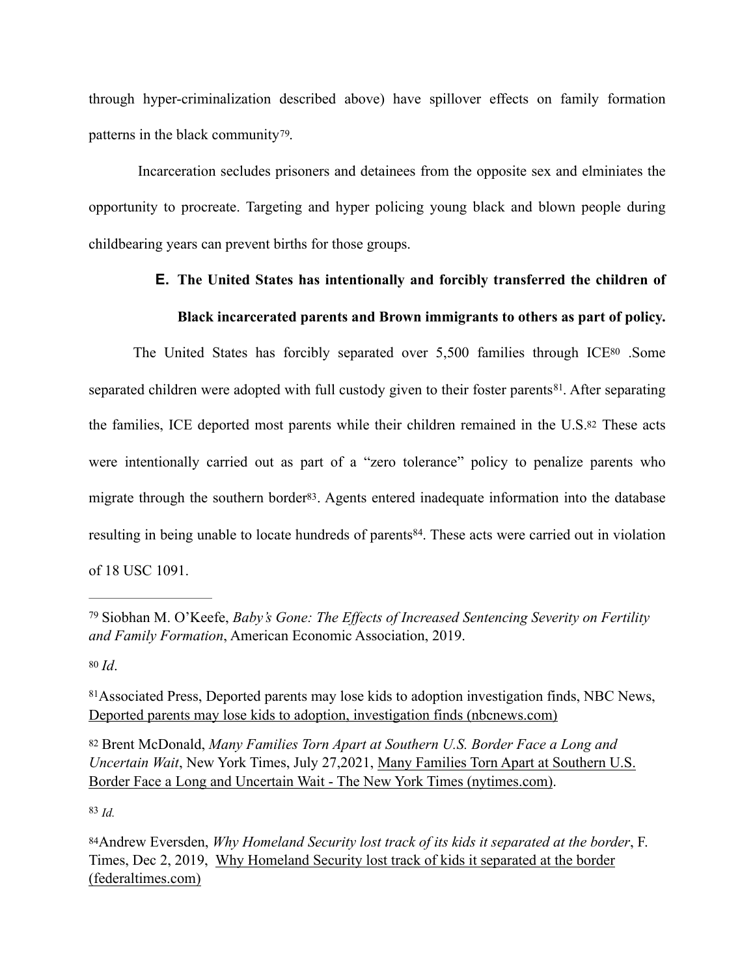through hyper-criminalization described above) have spillover effects on family formation patterns in the black community[79.](#page-18-0)

 Incarceration secludes prisoners and detainees from the opposite sex and elminiates the opportunity to procreate. Targeting and hyper policing young black and blown people during childbearing years can prevent births for those groups.

# <span id="page-18-6"></span>**E. The United States has intentionally and forcibly transferred the children of**

## <span id="page-18-11"></span><span id="page-18-10"></span><span id="page-18-9"></span><span id="page-18-8"></span><span id="page-18-7"></span>**Black incarcerated parents and Brown immigrants to others as part of policy.**

 The United States has forcibly separated over 5,500 families through IC[E80](#page-18-1) .Some separated children were adopted with full custody given to their foster parents<sup>81</sup>[.](#page-18-2) After separating the families, ICE deported most parents while their children remained in the U.S[.82](#page-18-3) These acts were intentionally carried out as part of a "zero tolerance" policy to penalize parents who migrate through the southern border<sup>83</sup>. Agents entered inadequate information into the database resulting in being unable to locate hundreds of parents<sup>84</sup>[.](#page-18-5) These acts were carried out in violation of 18 USC 1091.

<span id="page-18-1"></span>[80](#page-18-7) *Id*.

<span id="page-18-3"></span>[82](#page-18-9) Brent McDonald, *Many Families Torn Apart at Southern U.S. Border Face a Long and Uncertain Wait*, New York Times, July 27,2021, [Many Families Torn Apart at Southern U.S.](https://www.nytimes.com/2021/05/04/world/americas/guatemala-separation-long-wait.html)  [Border Face a Long and Uncertain Wait - The New York Times \(nytimes.com\).](https://www.nytimes.com/2021/05/04/world/americas/guatemala-separation-long-wait.html)

<span id="page-18-0"></span>Siobhan M. O'Keefe, *Baby's Gone: The Effects of Increased Sentencing Severity on Fertility* [79](#page-18-6) *and Family Formation*, American Economic Association, 2019.

<span id="page-18-2"></span><sup>&</sup>lt;sup>[81](#page-18-8)</sup> Associated Press, Deported parents may lose kids to adoption investigation finds, NBC News, [Deported parents may lose kids to adoption, investigation finds \(nbcnews.com\)](https://www.nbcnews.com/news/latino/deported-parents-may-lose-kids-adoption-investigation-finds-n918261)

<span id="page-18-5"></span><span id="page-18-4"></span>[<sup>84</sup>](#page-18-11)Andrew Eversden, *Why Homeland Security lost track of its kids it separated at the border*, F. Times, Dec 2, 2019, [Why Homeland Security lost track of kids it separated at the border](https://www.federaltimes.com/it-networks/2019/12/02/why-homeland-security-lost-track-of-kids-it-separated-at-the-border/)  [\(federaltimes.com\)](https://www.federaltimes.com/it-networks/2019/12/02/why-homeland-security-lost-track-of-kids-it-separated-at-the-border/)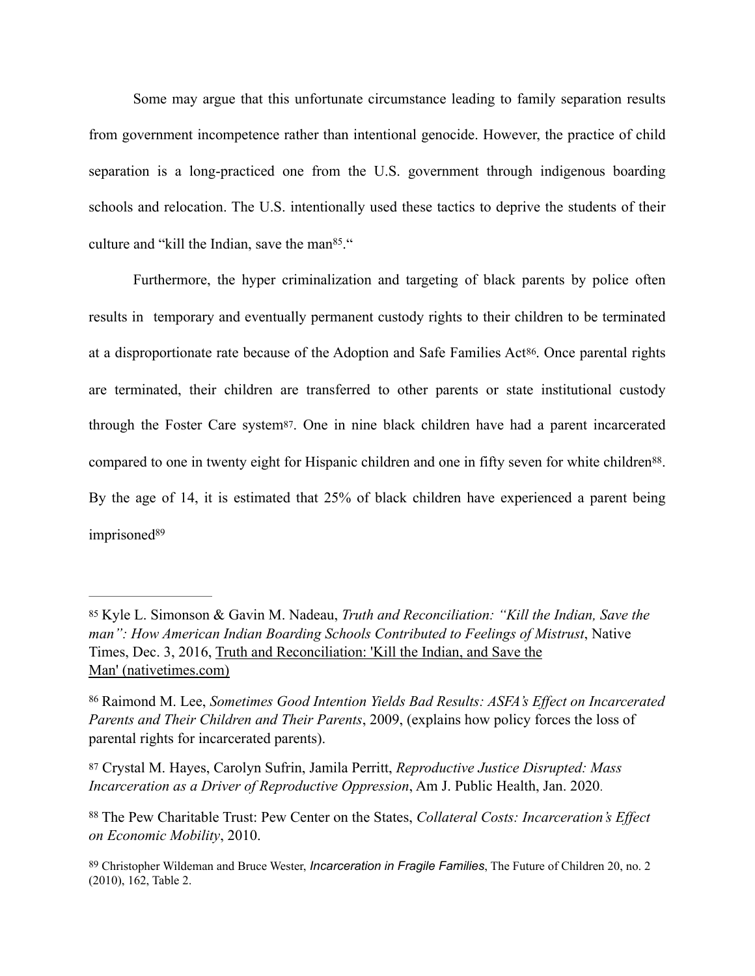Some may argue that this unfortunate circumstance leading to family separation results from government incompetence rather than intentional genocide. However, the practice of child separation is a long-practiced one from the U.S. government through indigenous boarding schools and relocation. The U.S. intentionally used these tactics to deprive the students of their culture and "kill the Indian, save the man $85$ [.](#page-19-0)"

<span id="page-19-7"></span><span id="page-19-6"></span><span id="page-19-5"></span> Furthermore, the hyper criminalization and targeting of black parents by police often results in temporary and eventually permanent custody rights to their children to be terminated at a disproportionate rate because of the Adoption and Safe Families Act[86.](#page-19-1) Once parental rights are terminated, their children are transferred to other parents or state institutional custody through the Foster Care system[87.](#page-19-2) One in nine black children have had a parent incarcerated compared to one in twenty eight for Hispanic children and one in fifty seven for white children<sup>[88](#page-19-3)</sup>. By the age of 14, it is estimated that 25% of black children have experienced a parent being imprisoned<sup>[89](#page-19-4)</sup>

<span id="page-19-9"></span><span id="page-19-8"></span><span id="page-19-0"></span>[<sup>85</sup>](#page-19-5) Kyle L. Simonson & Gavin M. Nadeau, *Truth and Reconciliation: "Kill the Indian, Save the man": How American Indian Boarding Schools Contributed to Feelings of Mistrust*, Native Times, Dec. 3, 2016, [Truth and Reconciliation: 'Kill the Indian, and Save the](https://www.nativetimes.com/archives/46-life/commentary/14059-truth-and-reconciliationkill-the-indian-and-save-the-man)  [Man' \(nativetimes.com\)](https://www.nativetimes.com/archives/46-life/commentary/14059-truth-and-reconciliationkill-the-indian-and-save-the-man)

<span id="page-19-1"></span>Raimond M. Lee, *Sometimes Good Intention Yields Bad Results: ASFA's Effect on Incarcerated* [86](#page-19-6) *Parents and Their Children and Their Parents*, 2009, (explains how policy forces the loss of parental rights for incarcerated parents).

<span id="page-19-2"></span>[<sup>87</sup>](#page-19-7) Crystal M. Hayes, Carolyn Sufrin, Jamila Perritt, *Reproductive Justice Disrupted: Mass Incarceration as a Driver of Reproductive Oppression*, Am J. Public Health, Jan. 2020.

<span id="page-19-3"></span>The Pew Charitable Trust: Pew Center on the States, *Collateral Costs: Incarceration's Effect* [88](#page-19-8) *on Economic Mobility*, 2010.

<span id="page-19-4"></span>[<sup>89</sup>](#page-19-9) Christopher Wildeman and Bruce Wester, *Incarceration in Fragile Families*, The Future of Children 20, no. 2 (2010), 162, Table 2.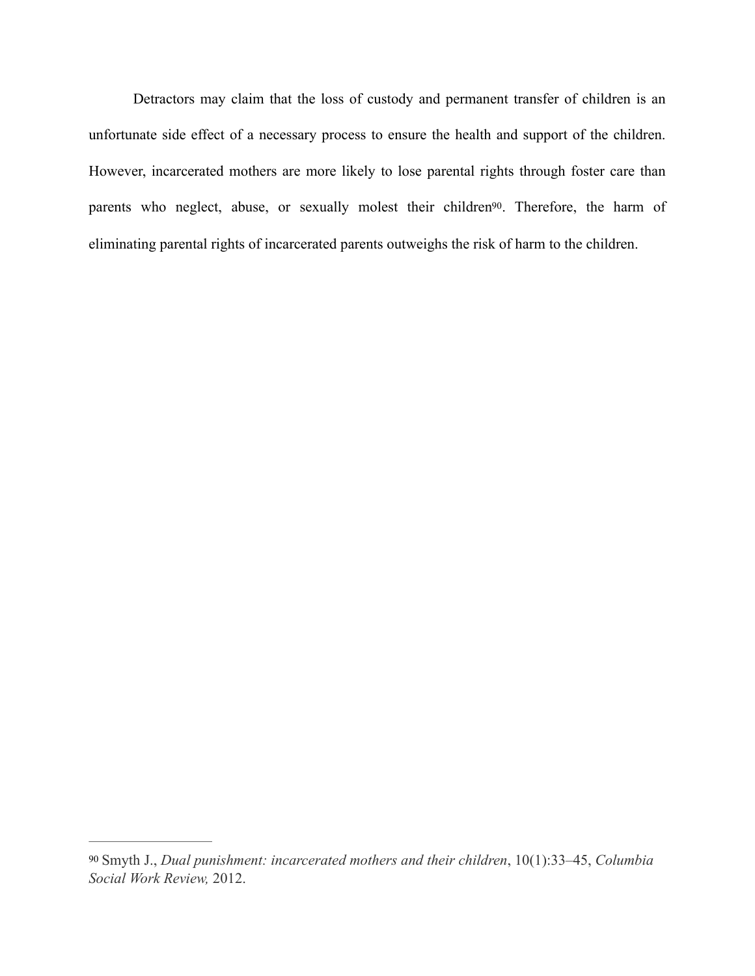<span id="page-20-1"></span> Detractors may claim that the loss of custody and permanent transfer of children is an unfortunate side effect of a necessary process to ensure the health and support of the children. However, incarcerated mothers are more likely to lose parental rights through foster care than parents who neglect, abuse, or sexually molest their children<sup>90</sup>. Therefore, the harm of eliminating parental rights of incarcerated parents outweighs the risk of harm to the children.

<span id="page-20-0"></span>[<sup>90</sup>](#page-20-1) Smyth J., *Dual punishment: incarcerated mothers and their children*, 10(1):33–45, *Columbia Social Work Review,* 2012.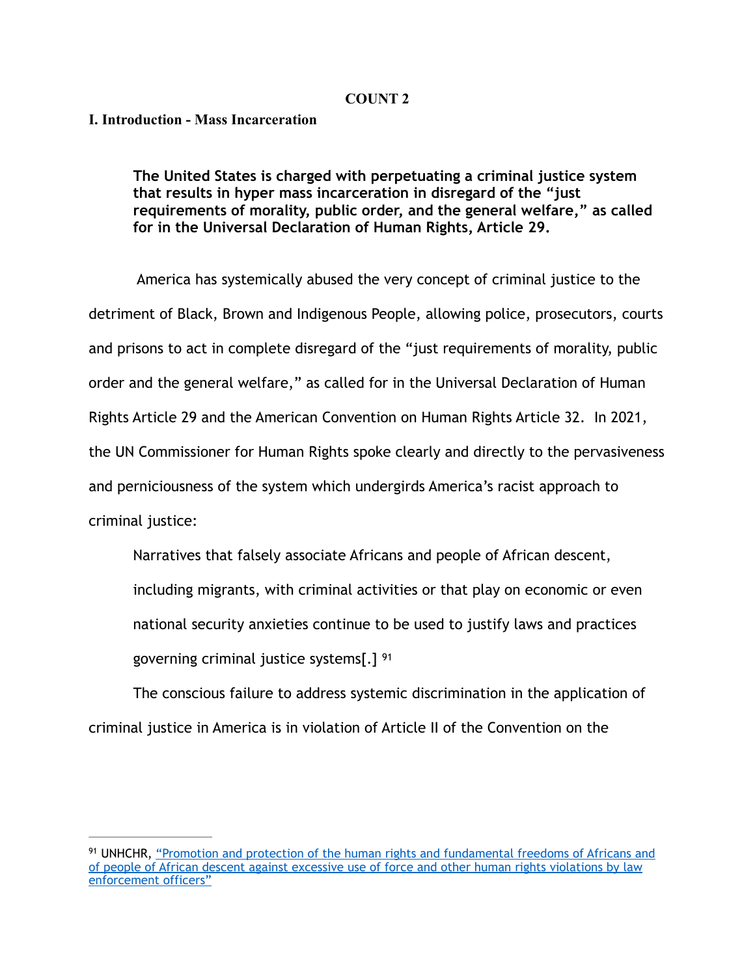#### **COUNT 2**

#### **I. Introduction - Mass Incarceration**

 **The United States is charged with perpetuating a criminal justice system that results in hyper mass incarceration in disregard of the "just requirements of morality, public order, and the general welfare," as called for in the Universal Declaration of Human Rights, Article 29.** 

 America has systemically abused the very concept of criminal justice to the detriment of Black, Brown and Indigenous People, allowing police, prosecutors, courts and prisons to act in complete disregard of the "just requirements of morality, public order and the general welfare," as called for in the Universal Declaration of Human Rights Article 29 and the American Convention on Human Rights Article 32. In 2021, the UN Commissioner for Human Rights spoke clearly and directly to the pervasiveness and perniciousness of the system which undergirds America's racist approach to criminal justice:

Narratives that falsely associate Africans and people of African descent,

including migrants, with criminal activities or that play on economic or even

national security anxieties continue to be used to justify laws and practices

<span id="page-21-1"></span>governing criminal justice systems[.] [91](#page-21-0)

 The conscious failure to address systemic discrimination in the application of criminal justice in America is in violation of Article II of the Convention on the

<span id="page-21-0"></span><sup>&</sup>lt;sup>91</sup>UNHCHR, "Promotion and protection of the human rights and fundamental freedoms of Africans and of people of African descent against excessive use of force and other human rights violations by law [enforcement officers"](https://undocs.org/A/HRC/47/53)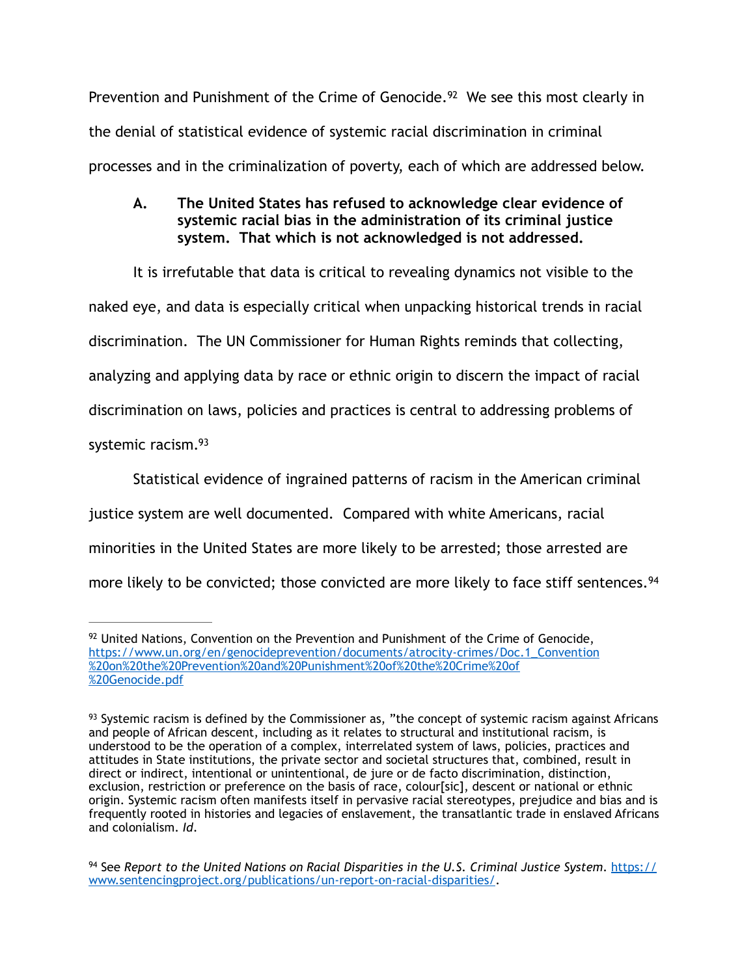Prevention and Punishment of the Crime of Genocide.<sup>[92](#page-22-0)</sup> We see this most clearly in the denial of statistical evidence of systemic racial discrimination in criminal processes and in the criminalization of poverty, each of which are addressed below.

<span id="page-22-3"></span>**A. The United States has refused to acknowledge clear evidence of systemic racial bias in the administration of its criminal justice system. That which is not acknowledged is not addressed.** 

 It is irrefutable that data is critical to revealing dynamics not visible to the naked eye, and data is especially critical when unpacking historical trends in racial discrimination. The UN Commissioner for Human Rights reminds that collecting, analyzing and applying data by race or ethnic origin to discern the impact of racial discrimination on laws, policies and practices is central to addressing problems of systemic racism[. 93](#page-22-1)

<span id="page-22-4"></span> Statistical evidence of ingrained patterns of racism in the American criminal justice system are well documented. Compared with white Americans, racial minorities in the United States are more likely to be arrested; those arrested are more likely to be convicted; those convicted are more likely to face stiff sentences.<sup>[94](#page-22-2)</sup>

<span id="page-22-5"></span><span id="page-22-0"></span> $92$ United Nations, Convention on the Prevention and Punishment of the Crime of Genocide, [https://www.un.org/en/genocideprevention/documents/atrocity-crimes/Doc.1\\_Convention](https://www.un.org/en/genocideprevention/documents/atrocity-crimes/Doc.1_Convention%2520on%2520the%2520Prevention%2520and%2520Punishment%2520of%2520the%2520Crime%2520of%2520Genocide.pdf)  [%20on%20the%20Prevention%20and%20Punishment%20of%20the%20Crime%20of](https://www.un.org/en/genocideprevention/documents/atrocity-crimes/Doc.1_Convention%2520on%2520the%2520Prevention%2520and%2520Punishment%2520of%2520the%2520Crime%2520of%2520Genocide.pdf)  [%20Genocide.pdf](https://www.un.org/en/genocideprevention/documents/atrocity-crimes/Doc.1_Convention%2520on%2520the%2520Prevention%2520and%2520Punishment%2520of%2520the%2520Crime%2520of%2520Genocide.pdf) 

<span id="page-22-1"></span> $93$ Systemic racism is defined by the Commissioner as, "the concept of systemic racism against Africans and people of African descent, including as it relates to structural and institutional racism, is understood to be the operation of a complex, interrelated system of laws, policies, practices and attitudes in State institutions, the private sector and societal structures that, combined, result in direct or indirect, intentional or unintentional, de jure or de facto discrimination, distinction, exclusion, restriction or preference on the basis of race, colour[sic], descent or national or ethnic origin. Systemic racism often manifests itself in pervasive racial stereotypes, prejudice and bias and is frequently rooted in histories and legacies of enslavement, the transatlantic trade in enslaved Africans and colonialism. *Id*.

<span id="page-22-2"></span>See *Report to the United Nations on Racial Disparities in the U.S. Criminal Justice System*. [https://](https://www.sentencingproject.org/publications/un-report-on-racial-disparities/) [94](#page-22-5) [www.sentencingproject.org/publications/un-report-on-racial-disparities/.](https://www.sentencingproject.org/publications/un-report-on-racial-disparities/)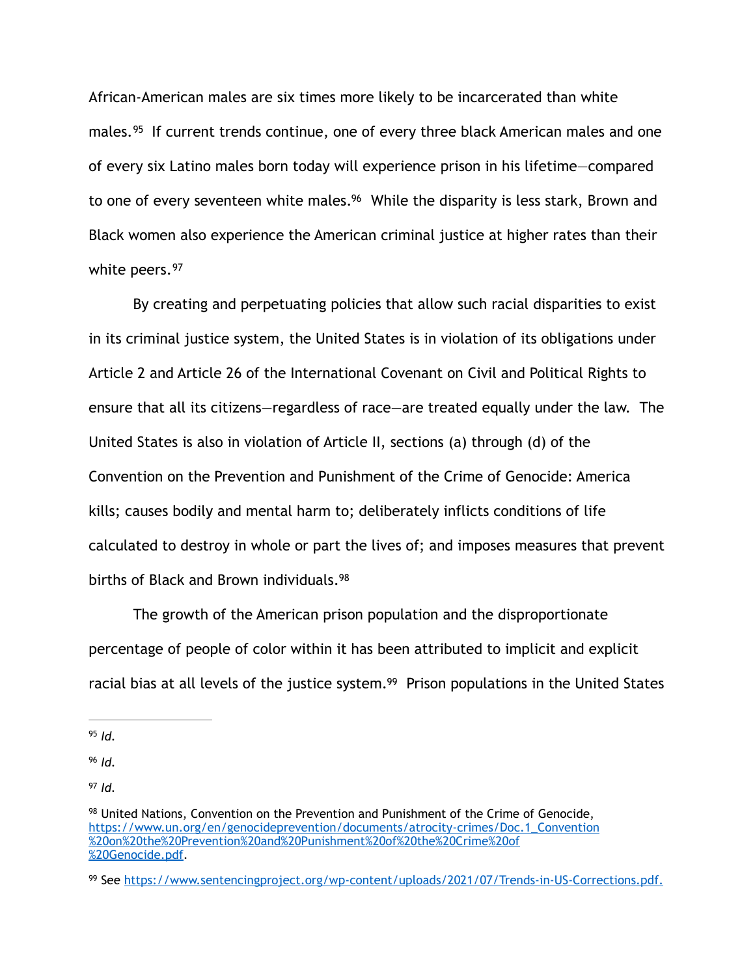<span id="page-23-6"></span><span id="page-23-5"></span>African-American males are six times more likely to be incarcerated than white males.<sup>[95](#page-23-0)</sup> If current trends continue, one of every three black American males and one of every six Latino males born today will experience prison in his lifetime—compared to one of every seventeen white males.<sup>[96](#page-23-1)</sup> While the disparity is less stark, Brown and Black women also experience the American criminal justice at higher rates than their white peers. [97](#page-23-2)

<span id="page-23-7"></span> By creating and perpetuating policies that allow such racial disparities to exist in its criminal justice system, the United States is in violation of its obligations under Article 2 and Article 26 of the International Covenant on Civil and Political Rights to ensure that all its citizens—regardless of race—are treated equally under the law. The United States is also in violation of Article II, sections (a) through (d) of the Convention on the Prevention and Punishment of the Crime of Genocide: America kills; causes bodily and mental harm to; deliberately inflicts conditions of life calculated to destroy in whole or part the lives of; and imposes measures that prevent births of Black and Brown individuals[. 98](#page-23-3)

<span id="page-23-8"></span>The growth of the American prison population and the disproportionate percentage of people of color within it has been attributed to implicit and explicit racial bias at all levels of the justice system.<sup>[99](#page-23-4)</sup> Prison populations in the United States

<span id="page-23-9"></span><span id="page-23-0"></span> $95$  *Id.* 

<span id="page-23-1"></span>*Id.* [96](#page-23-6)

<span id="page-23-2"></span> $97$  *Id.* 

<span id="page-23-3"></span><sup>&</sup>lt;sup>98</sup>United Nations, Convention on the Prevention and Punishment of the Crime of Genocide, [https://www.un.org/en/genocideprevention/documents/atrocity-crimes/Doc.1\\_Convention](https://www.un.org/en/genocideprevention/documents/atrocity-crimes/Doc.1_Convention%2520on%2520the%2520Prevention%2520and%2520Punishment%2520of%2520the%2520Crime%2520of%2520Genocide.pdf)  [%20on%20the%20Prevention%20and%20Punishment%20of%20the%20Crime%20of](https://www.un.org/en/genocideprevention/documents/atrocity-crimes/Doc.1_Convention%2520on%2520the%2520Prevention%2520and%2520Punishment%2520of%2520the%2520Crime%2520of%2520Genocide.pdf)  [%20Genocide.pdf.](https://www.un.org/en/genocideprevention/documents/atrocity-crimes/Doc.1_Convention%2520on%2520the%2520Prevention%2520and%2520Punishment%2520of%2520the%2520Crime%2520of%2520Genocide.pdf)

<span id="page-23-4"></span><sup>&</sup>lt;sup>99</sup> See <https://www.sentencingproject.org/wp-content/uploads/2021/07/Trends-in-US-Corrections.pdf>.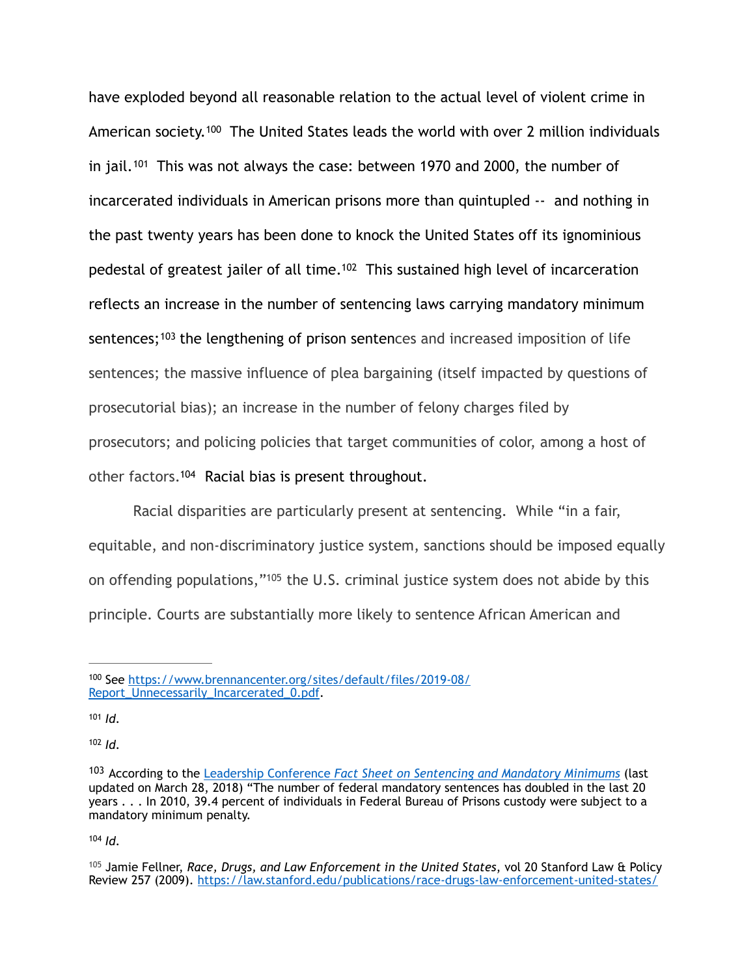<span id="page-24-8"></span><span id="page-24-7"></span><span id="page-24-6"></span>have exploded beyond all reasonable relation to the actual level of violent crime in Americansociety.<sup>[100](#page-24-0)</sup> The United States leads the world with over 2 million individuals in jail.  $101$  This was not always the case: between 1970 and 2000, the number of incarcerated individuals in American prisons more than quintupled -- and nothing in the past twenty years has been done to knock the United States off its ignominious pedestal of greatest jailer of all time.<sup>[102](#page-24-2)</sup> This sustained high level of incarceration reflects an increase in the number of sentencing laws carrying mandatory minimum sentences;  $103$  the lengthening of prison sentences and increased imposition of life sentences; the massive influence of plea bargaining (itself impacted by questions of prosecutorial bias); an increase in the number of felony charges filed by prosecutors; and policing policies that target communities of color, among a host of other factors.<sup>[104](#page-24-4)</sup> Racial bias is present throughout.

<span id="page-24-11"></span><span id="page-24-10"></span><span id="page-24-9"></span>Racial disparities are particularly present at sentencing. While "in a fair, equitable, and non-discriminatory justice system, sanctions should be imposed equally on offending populations,"<sup>[105](#page-24-5)</sup> the U.S. criminal justice system does not abide by this principle. Courts are substantially more likely to sentence African American and

<span id="page-24-0"></span><sup>100</sup> See [https://www.brennancenter.org/sites/default/files/2019-08/](https://www.brennancenter.org/sites/default/files/2019-08/Report_Unnecessarily_Incarcerated_0.pdf) Report Unnecessarily Incarcerated 0.pdf.

<span id="page-24-1"></span> $101$  *Id.* 

<span id="page-24-2"></span> $102$  *Id.* 

<span id="page-24-3"></span><sup>&</sup>lt;sup>[103](#page-24-9)</sup> According to the Leadership Conference *Fact Sheet on Sentencing and Mandatory Minimums* (last updated on March 28, 2018) "The number of federal mandatory sentences has doubled in the last 20 years . . . In 2010, 39.4 percent of individuals in Federal Bureau of Prisons custody were subject to a mandatory minimum penalty.

<span id="page-24-5"></span><span id="page-24-4"></span><sup>&</sup>lt;sup>[105](#page-24-11)</sup> Jamie Fellner, *Race, Drugs, and Law Enforcement in the United States*, vol 20 Stanford Law & Policy Review 257 (2009).<https://law.stanford.edu/publications/race-drugs-law-enforcement-united-states/>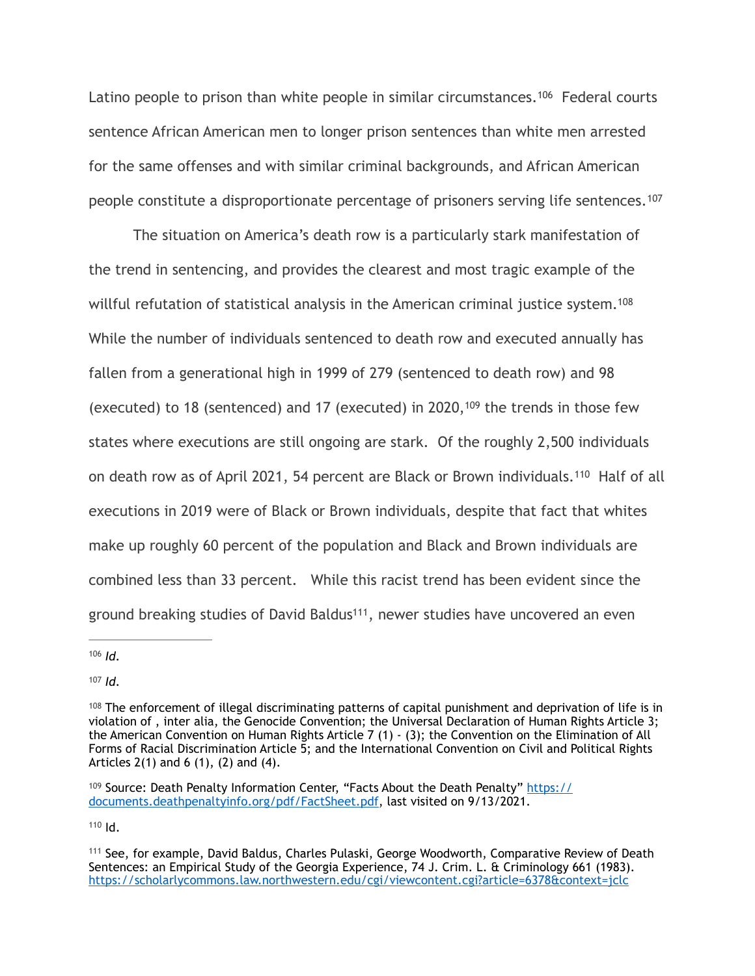<span id="page-25-6"></span>Latino people to prison than white people in similar circumstances[.](#page-25-0)<sup>[106](#page-25-0)</sup> Federal courts sentence African American men to longer prison sentences than white men arrested for the same offenses and with similar criminal backgrounds, and African American people constitute a disproportionate percentage of prisoners serving life sentences. [107](#page-25-1)

<span id="page-25-9"></span><span id="page-25-8"></span><span id="page-25-7"></span> The situation on America's death row is a particularly stark manifestation of the trend in sentencing, and provides the clearest and most tragic example of the willful refutation of statistical analysis in the American criminal justice system.<sup>108</sup> While the number of individuals sentenced to death row and executed annually has fallen from a generational high in 1999 of 279 (sentenced to death row) and 98 (executed)to 18 (sentenced) and 17 (executed) in 2020,  $109$  the trends in those few states where executions are still ongoing are stark. Of the roughly 2,500 individuals on death row as of April 2021, 54 percent are Black or Brown individuals.<sup>[110](#page-25-4)</sup> Half of all executions in 2019 were of Black or Brown individuals, despite that fact that whites make up roughly 60 percent of the population and Black and Brown individuals are combined less than 33 percent. While this racist trend has been evident since the ground breaking studies of David Baldus<sup>111</sup>[,](#page-25-5) newer studies have uncovered an even

<span id="page-25-11"></span><span id="page-25-10"></span><span id="page-25-0"></span> $106$  *Id.* 

<span id="page-25-1"></span> $107$  *Id.* 

<span id="page-25-2"></span> $108$  The enforcement of illegal discriminating patterns of capital punishment and deprivation of life is in violation of , inter alia, the Genocide Convention; the Universal Declaration of Human Rights Article 3; the American Convention on Human Rights Article 7 (1) - (3); the Convention on the Elimination of All Forms of Racial Discrimination Article 5; and the International Convention on Civil and Political Rights Articles 2(1) and 6 (1), (2) and (4).

<span id="page-25-3"></span> $109$  Source: Death Penalty Information Center, "Facts About the Death Penalty" [https://](https://documents.deathpenaltyinfo.org/pdf/FactSheet.pdf) [documents.deathpenaltyinfo.org/pdf/FactSheet.pdf](https://documents.deathpenaltyinfo.org/pdf/FactSheet.pdf), last visited on 9/13/2021.

<span id="page-25-5"></span><span id="page-25-4"></span><sup>&</sup>lt;sup>[111](#page-25-11)</sup> See, for example, David Baldus, Charles Pulaski, George Woodworth, Comparative Review of Death Sentences: an Empirical Study of the Georgia Experience, 74 J. Crim. L. & Criminology 661 (1983). <https://scholarlycommons.law.northwestern.edu/cgi/viewcontent.cgi?article=6378&context=jclc>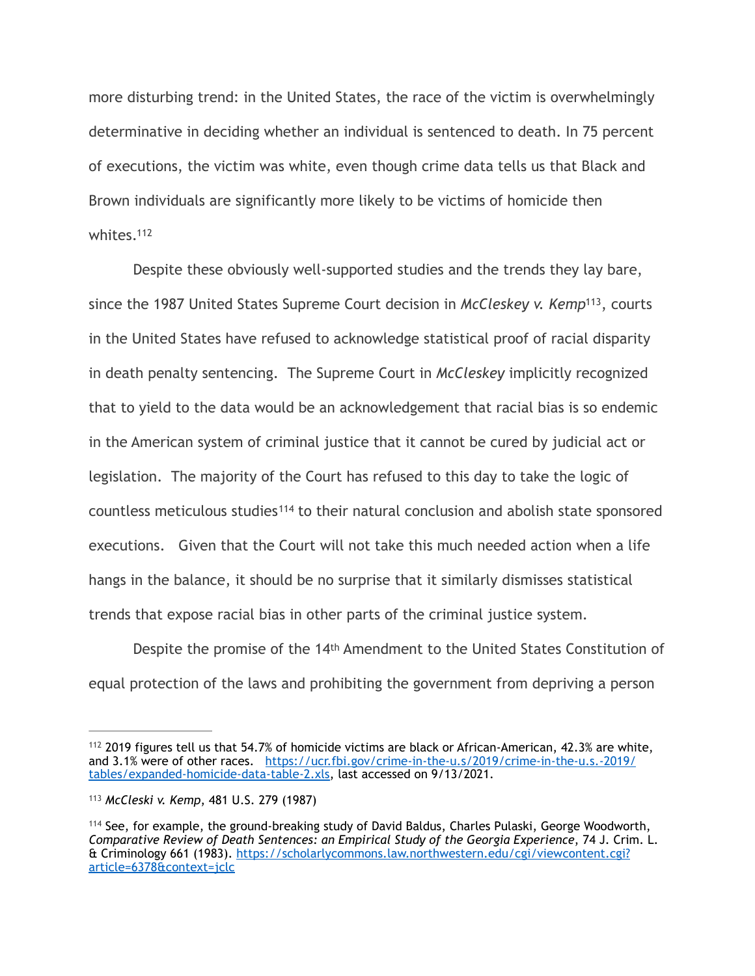more disturbing trend: in the United States, the race of the victim is overwhelmingly determinative in deciding whether an individual is sentenced to death. In 75 percent of executions, the victim was white, even though crime data tells us that Black and Brown individuals are significantly more likely to be victims of homicide then whites.<sup>112</sup>

<span id="page-26-4"></span><span id="page-26-3"></span> Despite these obviously well-supported studies and the trends they lay bare, since the 1987 United States Supreme Court decision in *McCleskey v. Kemp*<sup>113</sup>[,](#page-26-1) courts in the United States have refused to acknowledge statistical proof of racial disparity in death penalty sentencing. The Supreme Court in *McCleskey* implicitly recognized that to yield to the data would be an acknowledgement that racial bias is so endemic in the American system of criminal justice that it cannot be cured by judicial act or legislation. The majority of the Court has refused to this day to take the logic of countless meticulous studies<sup>[114](#page-26-2)</sup> to their natural conclusion and abolish state sponsored executions. Given that the Court will not take this much needed action when a life hangs in the balance, it should be no surprise that it similarly dismisses statistical trends that expose racial bias in other parts of the criminal justice system.

<span id="page-26-5"></span> Despite the promise of the 14th Amendment to the United States Constitution of equal protection of the laws and prohibiting the government from depriving a person

<span id="page-26-0"></span> $112$  2019 figures tell us that 54.7% of homicide victims are black or African-American, 42.3% are white, and 3.1% were of other races. [https://ucr.fbi.gov/crime-in-the-u.s/2019/crime-in-the-u.s.-2019/](https://ucr.fbi.gov/crime-in-the-u.s/2019/crime-in-the-u.s.-2019/tables/expanded-homicide-data-table-2.xls) [tables/expanded-homicide-data-table-2.xls, last accessed on 9/13/2021.](https://ucr.fbi.gov/crime-in-the-u.s/2019/crime-in-the-u.s.-2019/tables/expanded-homicide-data-table-2.xls)

<span id="page-26-1"></span><sup>&</sup>lt;sup>[113](#page-26-4)</sup> McCleski v. Kemp, 481 U.S. 279 (1987)

<span id="page-26-2"></span> $114$  See, for example, the ground-breaking study of David Baldus, Charles Pulaski, George Woodworth, *Comparative Review of Death Sentences: an Empirical Study of the Georgia Experience*, 74 J. Crim. L. & Criminology 661 (1983). [https://scholarlycommons.law.northwestern.edu/cgi/viewcontent.cgi?](https://scholarlycommons.law.northwestern.edu/cgi/viewcontent.cgi?article=6378&context=jclc) [article=6378&context=jclc](https://scholarlycommons.law.northwestern.edu/cgi/viewcontent.cgi?article=6378&context=jclc)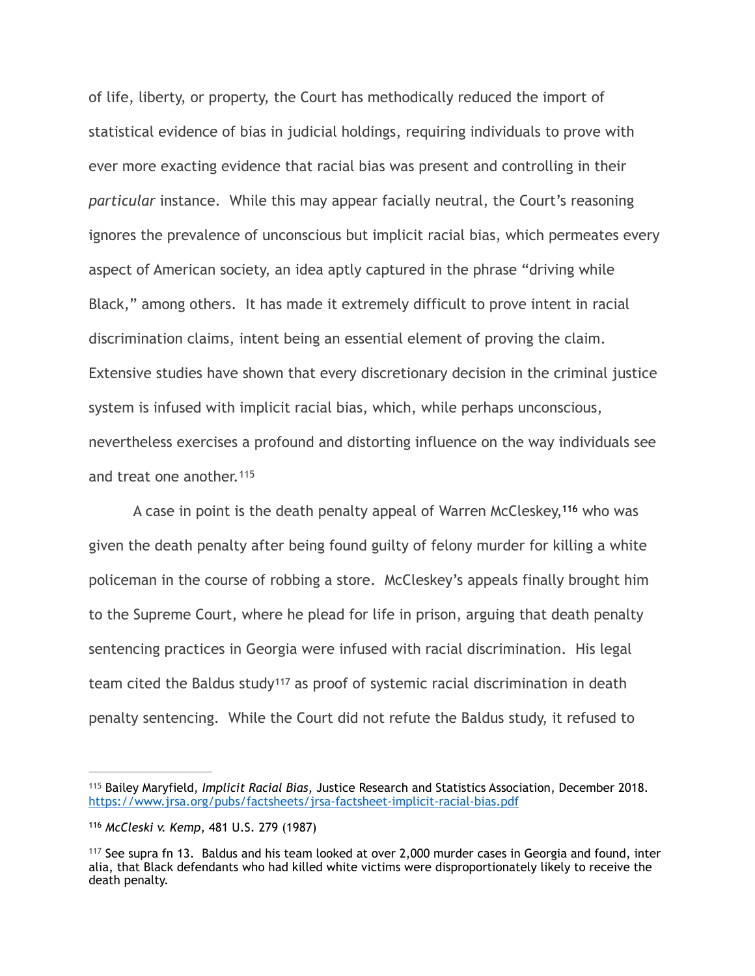of life, liberty, or property, the Court has methodically reduced the import of statistical evidence of bias in judicial holdings, requiring individuals to prove with ever more exacting evidence that racial bias was present and controlling in their *particular* instance. While this may appear facially neutral, the Court's reasoning ignores the prevalence of unconscious but implicit racial bias, which permeates every aspect of American society, an idea aptly captured in the phrase "driving while Black," among others. It has made it extremely difficult to prove intent in racial discrimination claims, intent being an essential element of proving the claim. Extensive studies have shown that every discretionary decision in the criminal justice system is infused with implicit racial bias, which, while perhaps unconscious, nevertheless exercises a profound and distorting influence on the way individuals see and treat one another. [115](#page-27-0)

<span id="page-27-4"></span><span id="page-27-3"></span>A case in point is the death penalty appeal of Warren McCleskey,<sup>[116](#page-27-1)</sup> who was given the death penalty after being found guilty of felony murder for killing a white policeman in the course of robbing a store. McCleskey's appeals finally brought him to the Supreme Court, where he plead for life in prison, arguing that death penalty sentencing practices in Georgia were infused with racial discrimination. His legal team cited the Baldus study<sup>[117](#page-27-2)</sup> as proof of systemic racial discrimination in death penalty sentencing. While the Court did not refute the Baldus study, it refused to

<span id="page-27-5"></span><span id="page-27-0"></span><sup>&</sup>lt;sup>[115](#page-27-3)</sup> Bailey Maryfield, *Implicit Racial Bias*, Justice Research and Statistics Association, December 2018. <https://www.jrsa.org/pubs/factsheets/jrsa-factsheet-implicit-racial-bias.pdf>

<span id="page-27-1"></span>[<sup>116</sup>](#page-27-4) McCleski v. Kemp, 481 U.S. 279 (1987)

<span id="page-27-2"></span> $117$  See supra fn 13. Baldus and his team looked at over 2,000 murder cases in Georgia and found, inter alia, that Black defendants who had killed white victims were disproportionately likely to receive the death penalty.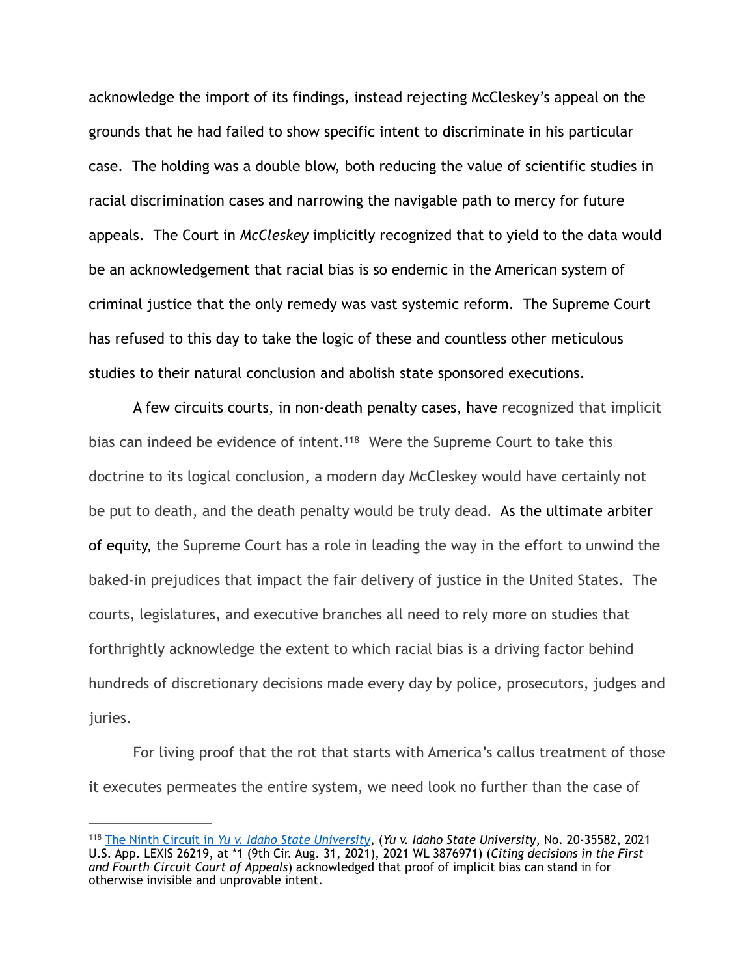acknowledge the import of its findings, instead rejecting McCleskey's appeal on the grounds that he had failed to show specific intent to discriminate in his particular case. The holding was a double blow, both reducing the value of scientific studies in racial discrimination cases and narrowing the navigable path to mercy for future appeals. The Court in *McCleskey* implicitly recognized that to yield to the data would be an acknowledgement that racial bias is so endemic in the American system of criminal justice that the only remedy was vast systemic reform. The Supreme Court has refused to this day to take the logic of these and countless other meticulous studies to their natural conclusion and abolish state sponsored executions.

<span id="page-28-1"></span> A few circuits courts, in non-death penalty cases, have recognized that implicit bias can indeed be evidence of intent[.](#page-28-0)<sup>[118](#page-28-0)</sup> Were the Supreme Court to take this doctrine to its logical conclusion, a modern day McCleskey would have certainly not be put to death, and the death penalty would be truly dead. As the ultimate arbiter of equity, the Supreme Court has a role in leading the way in the effort to unwind the baked-in prejudices that impact the fair delivery of justice in the United States. The courts, legislatures, and executive branches all need to rely more on studies that forthrightly acknowledge the extent to which racial bias is a driving factor behind hundreds of discretionary decisions made every day by police, prosecutors, judges and juries.

 For living proof that the rot that starts with America's callus treatment of those it executes permeates the entire system, we need look no further than the case of

<span id="page-28-0"></span>The Ninth Circuit in *Yu v. Idaho State University*, (*Yu v. Idaho State University*, No. 20-35582, 2021 [118](#page-28-1) U.S. App. LEXIS 26219, at \*1 (9th Cir. Aug. 31, 2021), 2021 WL 3876971) (*Citing decisions in the First and Fourth Circuit Court of Appeals*) acknowledged that proof of implicit bias can stand in for otherwise invisible and unprovable intent.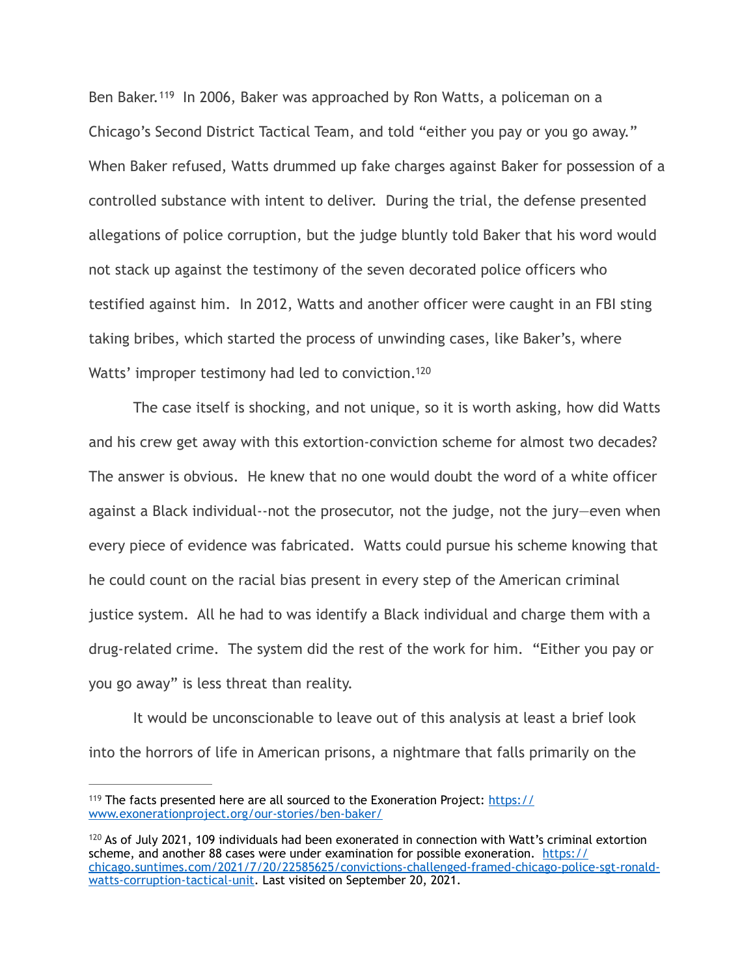<span id="page-29-2"></span>Ben Baker.<sup>[119](#page-29-0)</sup> In 2006, Baker was approached by Ron Watts, a policeman on a Chicago's Second District Tactical Team, and told "either you pay or you go away." When Baker refused, Watts drummed up fake charges against Baker for possession of a controlled substance with intent to deliver. During the trial, the defense presented allegations of police corruption, but the judge bluntly told Baker that his word would not stack up against the testimony of the seven decorated police officers who testified against him. In 2012, Watts and another officer were caught in an FBI sting taking bribes, which started the process of unwinding cases, like Baker's, where Watts' improper testimony had led to conviction.<sup>120</sup>

<span id="page-29-3"></span> The case itself is shocking, and not unique, so it is worth asking, how did Watts and his crew get away with this extortion-conviction scheme for almost two decades? The answer is obvious. He knew that no one would doubt the word of a white officer against a Black individual--not the prosecutor, not the judge, not the jury—even when every piece of evidence was fabricated. Watts could pursue his scheme knowing that he could count on the racial bias present in every step of the American criminal justice system. All he had to was identify a Black individual and charge them with a drug-related crime. The system did the rest of the work for him. "Either you pay or you go away" is less threat than reality.

 It would be unconscionable to leave out of this analysis at least a brief look into the horrors of life in American prisons, a nightmare that falls primarily on the

<span id="page-29-0"></span> $119$  The facts presented here are all sourced to the Exoneration Project: [https://](https://www.exonerationproject.org/our-stories/ben-baker/) [www.exonerationproject.org/our-stories/ben-baker/](https://www.exonerationproject.org/our-stories/ben-baker/)

<span id="page-29-1"></span> $120$  As of July 2021, 109 individuals had been exonerated in connection with Watt's criminal extortion scheme, and another 88 cases were under examination for possible exoneration. [https://](https://chicago.suntimes.com/2021/7/20/22585625/convictions-challenged-framed-chicago-police-sgt-ronald-watts-corruption-tactical-unit) [chicago.suntimes.com/2021/7/20/22585625/convictions-challenged-framed-chicago-police-sgt-ronald](https://chicago.suntimes.com/2021/7/20/22585625/convictions-challenged-framed-chicago-police-sgt-ronald-watts-corruption-tactical-unit)[watts-corruption-tactical-unit](https://chicago.suntimes.com/2021/7/20/22585625/convictions-challenged-framed-chicago-police-sgt-ronald-watts-corruption-tactical-unit). Last visited on September 20, 2021.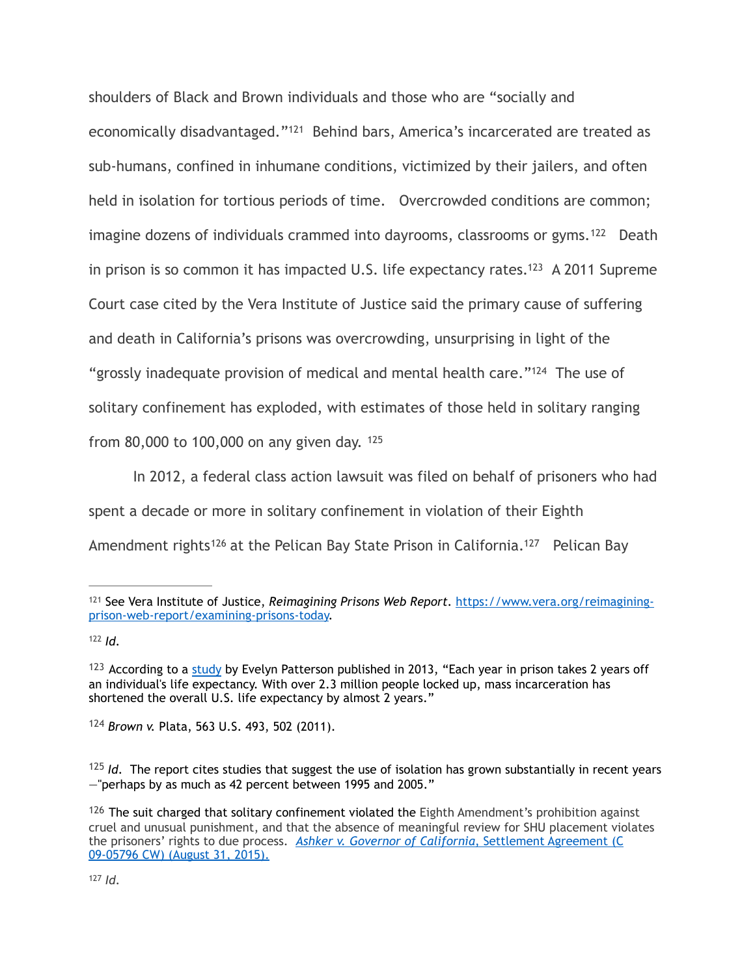<span id="page-30-9"></span><span id="page-30-8"></span><span id="page-30-7"></span>shoulders of Black and Brown individuals and those who are "socially and economically disadvantaged."<sup>[121](#page-30-0)</sup> Behind bars, America's incarcerated are treated as sub-humans, confined in inhumane conditions, victimized by their jailers, and often held in isolation for tortious periods of time. Overcrowded conditions are common; imagine dozens of individuals crammed into dayrooms, classrooms or gyms.<sup>[122](#page-30-1)</sup> Death in prison is so common it has impacted U[.](#page-30-2)S. life expectancy rates.<sup>[123](#page-30-2)</sup> A 2011 Supreme Court case cited by the Vera Institute of Justice said the primary cause of suffering and death in California's prisons was overcrowding, unsurprising in light of the "grossly inadequate provision of medical and mental health care." $124$  The use of solitary confinement has exploded, with estimates of those held in solitary ranging from 80,000 to 100,000 on any given day. [125](#page-30-4)

<span id="page-30-11"></span><span id="page-30-10"></span> In 2012, a federal class action lawsuit was filed on behalf of prisoners who had spent a decade or more in solitary confinement in violation of their Eighth Amendment rights<sup>[126](#page-30-5)</sup> at the Pelican Bay State Prison in California.<sup>127</sup> Pelican Bay

<span id="page-30-13"></span><span id="page-30-12"></span><span id="page-30-0"></span><sup>&</sup>lt;sup>[121](#page-30-7)</sup> See Vera Institute of Justice, *Reimagining Prisons Web Report*. [https://www.vera.org/reimagining](https://www.vera.org/reimagining-prison-web-report/examining-prisons-today) [prison-web-report/examining-prisons-today.](https://www.vera.org/reimagining-prison-web-report/examining-prisons-today)

<span id="page-30-1"></span> $122$  *Id.* 

<span id="page-30-2"></span> $123$  According to a [study](https://ajph.aphapublications.org/doi/abs/10.2105/AJPH.2012.301148) by Evelyn Patterson published in 2013, "Each year in prison takes 2 years off an individual's life expectancy. With over 2.3 million people locked up, mass incarceration has shortened the overall U.S. life expectancy by almost 2 years."

<span id="page-30-3"></span>*Brown v.* Plata, 563 U.S. 493, 502 (2011).Brown *v. Plata*, 563 U.S. 493, 502 (2011),*Brown v. Plata*, [124](#page-30-10)

<span id="page-30-4"></span>*I<sup>25</sup> Id.* The report cites studies that suggest the use of isolation has grown substantially in recent years —"perhaps by as much as 42 percent between 1995 and 2005."

<span id="page-30-6"></span><span id="page-30-5"></span> $126$  The suit charged that solitary confinement violated the Eighth Amendment's prohibition against cruel and unusual punishment, and that the absence of meaningful review for SHU placement violates the prisoners' rights to due process. [Ashker v. Governor of California](https://ccrjustice.org/sites/default/files/attach/2015/09/2015-09-01-ashker-Settlement_Agreement.pdf), Settlement Agreement (C [09-05796 CW\) \(August 31, 2015\).](https://ccrjustice.org/sites/default/files/attach/2015/09/2015-09-01-ashker-Settlement_Agreement.pdf)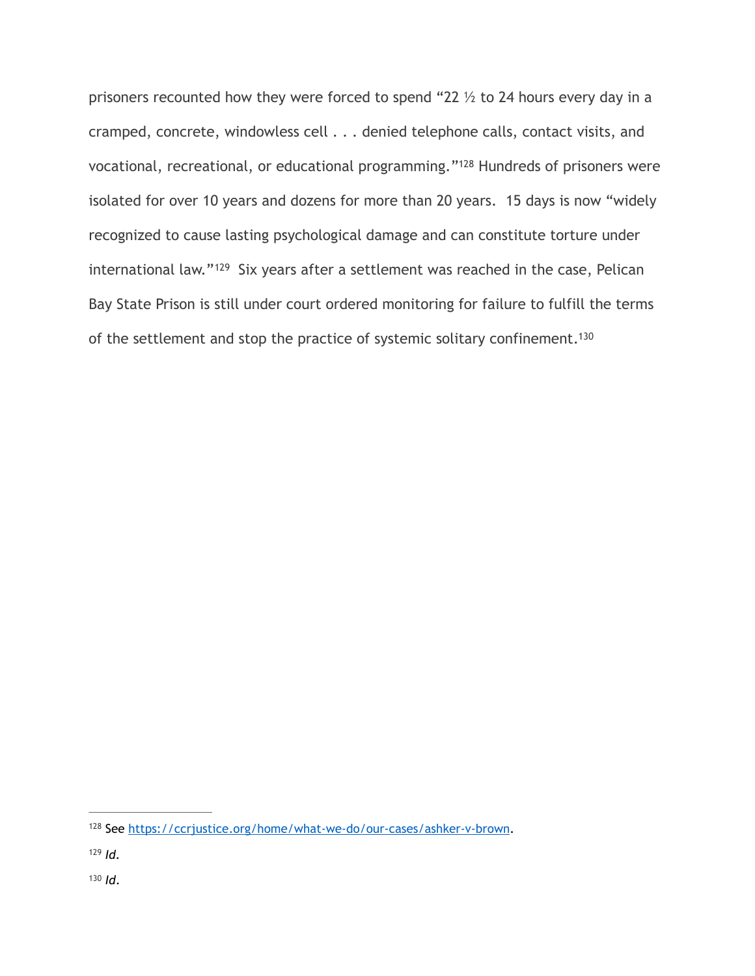<span id="page-31-5"></span><span id="page-31-4"></span><span id="page-31-3"></span>prisoners recounted how they were forced to spend "22 ½ to 24 hours every day in a cramped, concrete, windowless cell . . . denied telephone calls, contact visits, and vocational, recreational, or educational programming."<sup>[128](#page-31-0)</sup> Hundreds of prisoners were isolated for over 10 years and dozens for more than 20 years. 15 days is now "widely recognized to cause lasting psychological damage and can constitute torture under international law."<sup>[129](#page-31-1)</sup> Six years after a settlement was reached in the case, Pelican Bay State Prison is still under court ordered monitoring for failure to fulfill the terms of the settlement and stop the practice of systemic solitary confinement[.130](#page-31-2)

<span id="page-31-0"></span><sup>128</sup> See [https://ccrjustice.org/home/what-we-do/our-cases/ashker-v-brown.](https://ccrjustice.org/home/what-we-do/our-cases/ashker-v-brown)

<span id="page-31-1"></span>*Id.* [129](#page-31-4)

<span id="page-31-2"></span> $130$  *Id.*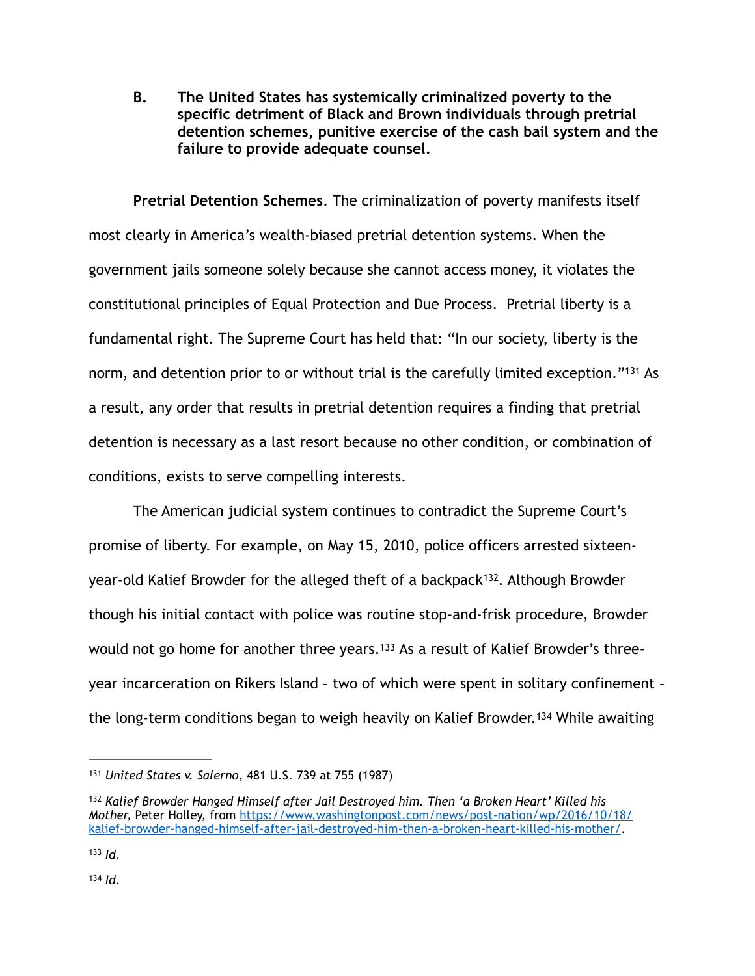**B. The United States has systemically criminalized poverty to the specific detriment of Black and Brown individuals through pretrial detention schemes, punitive exercise of the cash bail system and the failure to provide adequate counsel.** 

**Pretrial Detention Schemes**. The criminalization of poverty manifests itself most clearly in America's wealth-biased pretrial detention systems. When the government jails someone solely because she cannot access money, it violates the constitutional principles of Equal Protection and Due Process. Pretrial liberty is a fundamental right. The Supreme Court has held that: "In our society, liberty is the norm, and detention prior to or without trial is the carefully limited exception."<sup>[131](#page-32-0)</sup> As a result, any order that results in pretrial detention requires a finding that pretrial detention is necessary as a last resort because no other condition, or combination of conditions, exists to serve compelling interests.

<span id="page-32-5"></span><span id="page-32-4"></span> The American judicial system continues to contradict the Supreme Court's promise of liberty. For example, on May 15, 2010, police officers arrested sixteen-year-old Kalief Browder for the alleged theft of a backpack<sup>[132](#page-32-1)</sup>. Although Browder though his initial contact with police was routine stop-and-frisk procedure, Browder would not go home for another three years.<sup>133</sup> As a result of Kalief Browder's threeyear incarceration on Rikers Island – two of which were spent in solitary confinement – thelong-term conditions began to weigh heavily on Kalief Browder.<sup>[134](#page-32-3)</sup> While awaiting

<span id="page-32-7"></span><span id="page-32-6"></span><span id="page-32-0"></span>*United States v. Salerno*, 481 U.S. 739 at 755 (1987) [131](#page-32-4)

<span id="page-32-1"></span><sup>&</sup>lt;sup>[132](#page-32-5)</sup> Kalief Browder Hanged Himself after Jail Destroyed him. Then 'a Broken Heart' Killed his *Mother,* Peter Holley, from [https://www.washingtonpost.com/news/post-nation/wp/2016/10/18/](https://nam04.safelinks.protection.outlook.com/?url=https%253A%252F%252Fwww.washingtonpost.com%252Fnews%252Fpost-nation%252Fwp%252F2016%252F10%252F18%252Fkalief-browder-hanged-himself-after-jail-destroyed-him-then-a-broken-heart-killed-his-mother%252F&data=04%257C01%257Ccorey.purnell%2540law.bison.howard.edu%257C7a222c61a49c4745c72808d97de6fbbf%257C02ac0c07b75f46bf9b133630ba94bb69%257C0%257C0%257C637679253285927331%257CUnknown%257CTWFpbGZsb3d8eyJWIjoiMC4wLjAwMDAiLCJQIjoiV2luMzIiLCJBTiI6Ik1haWwiLCJXVCI6Mn0%253D%257C1000&sdata=rBkhGqRd9JUqsmZW25%252FA2QtzqNmK96yI0%252BsPiKIpe24%253D&reserved=0) [kalief-browder-hanged-himself-after-jail-destroyed-him-then-a-broken-heart-killed-his-mother/.](https://nam04.safelinks.protection.outlook.com/?url=https%253A%252F%252Fwww.washingtonpost.com%252Fnews%252Fpost-nation%252Fwp%252F2016%252F10%252F18%252Fkalief-browder-hanged-himself-after-jail-destroyed-him-then-a-broken-heart-killed-his-mother%252F&data=04%257C01%257Ccorey.purnell%2540law.bison.howard.edu%257C7a222c61a49c4745c72808d97de6fbbf%257C02ac0c07b75f46bf9b133630ba94bb69%257C0%257C0%257C637679253285927331%257CUnknown%257CTWFpbGZsb3d8eyJWIjoiMC4wLjAwMDAiLCJQIjoiV2luMzIiLCJBTiI6Ik1haWwiLCJXVCI6Mn0%253D%257C1000&sdata=rBkhGqRd9JUqsmZW25%252FA2QtzqNmK96yI0%252BsPiKIpe24%253D&reserved=0)

<span id="page-32-3"></span><span id="page-32-2"></span> $133$  *Id.*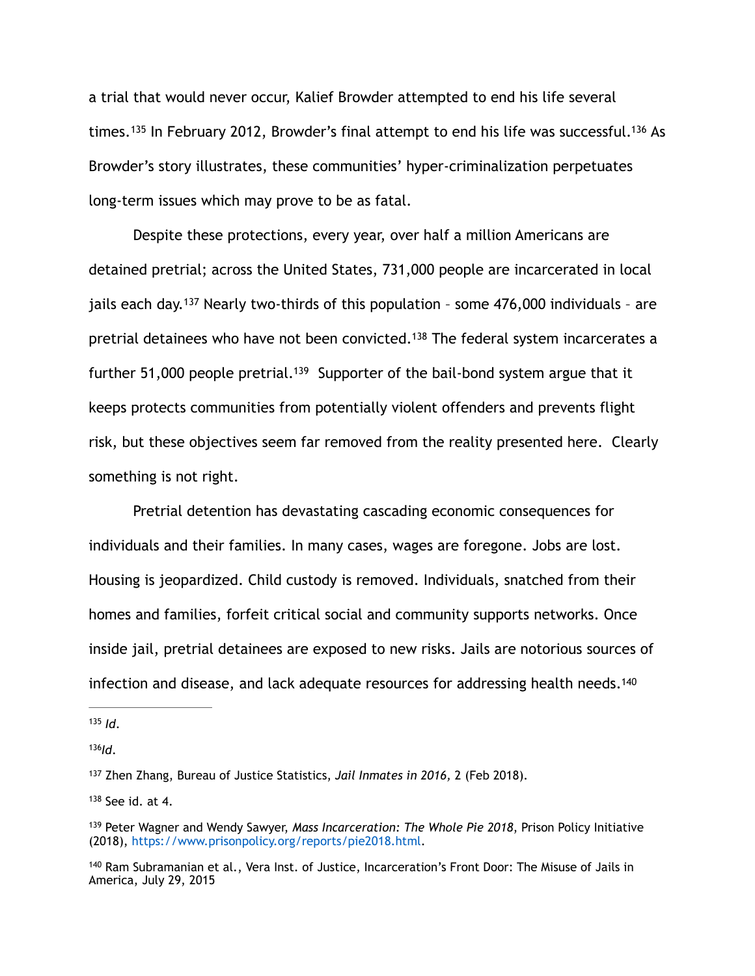<span id="page-33-7"></span><span id="page-33-6"></span>a trial that would never occur, Kalief Browder attempted to end his life several times.<sup>135</sup>In February 2012, Browder's final attempt to end his life was successful.<sup>136</sup> As Browder's story illustrates, these communities' hyper-criminalization perpetuates long-term issues which may prove to be as fatal.

<span id="page-33-10"></span><span id="page-33-9"></span><span id="page-33-8"></span> Despite these protections, every year, over half a million Americans are detained pretrial; across the United States, 731,000 people are incarcerated in local jailseach day.<sup>[137](#page-33-2)</sup> Nearly two-thirds of this population - some  $476,000$  individuals - are pretrial detainees who have not been convicted.<sup>[138](#page-33-3)</sup> The federal system incarcerates a further 51,000 people pretrial.<sup>[139](#page-33-4)</sup> Supporter of the bail-bond system argue that it keeps protects communities from potentially violent offenders and prevents flight risk, but these objectives seem far removed from the reality presented here. Clearly something is not right.

Pretrial detention has devastating cascading economic consequences for individuals and their families. In many cases, wages are foregone. Jobs are lost. Housing is jeopardized. Child custody is removed. Individuals, snatched from their homes and families, forfeit critical social and community supports networks. Once inside jail, pretrial detainees are exposed to new risks. Jails are notorious sources of infection and disease, and lack adequate resources for addressing health needs.<sup>140</sup>

<span id="page-33-1"></span> $136$ *Id*.

<span id="page-33-3"></span> $138$  See id. at 4.

<span id="page-33-11"></span><span id="page-33-0"></span> $135$  *Id*.

<span id="page-33-2"></span><sup>&</sup>lt;sup>[137](#page-33-8)</sup> Zhen Zhang, Bureau of Justice Statistics, *Jail Inmates in 2016*, 2 (Feb 2018).

<span id="page-33-4"></span><sup>&</sup>lt;sup>[139](#page-33-10)</sup> Peter Wagner and Wendy Sawyer, *Mass Incarceration: The Whole Pie 2018*, Prison Policy Initiative (2018), https://www.prisonpolicy.org/reports/pie2018.html.

<span id="page-33-5"></span>[<sup>140</sup>](#page-33-11) Ram Subramanian et al., Vera Inst. of Justice, Incarceration's Front Door: The Misuse of Jails in America, July 29, 2015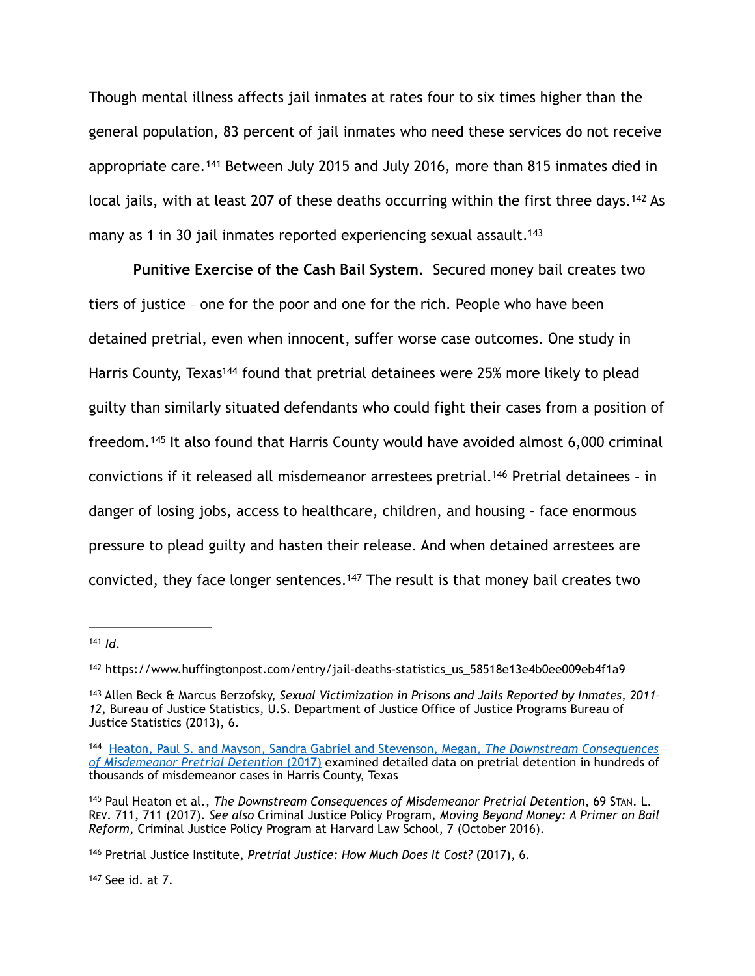<span id="page-34-7"></span>Though mental illness affects jail inmates at rates four to six times higher than the general population, 83 percent of jail inmates who need these services do not receive appropriate care.<sup>[141](#page-34-0)</sup> Between July 2015 and July 2016, more than 815 inmates died in local jails, with at least 207 of these deaths occurring within the first three days.<sup>[142](#page-34-1)</sup> As many as 1 in 30 jail inmates reported experiencing sexual assault.<sup>143</sup>

<span id="page-34-11"></span><span id="page-34-10"></span><span id="page-34-9"></span><span id="page-34-8"></span> **Punitive Exercise of the Cash Bail System.** Secured money bail creates two tiers of justice – one for the poor and one for the rich. People who have been detained pretrial, even when innocent, suffer worse case outcomes. One study in Harri[s](#page-34-3) County, Texas<sup>[144](#page-34-3)</sup> found that pretrial detainees were 25% more likely to plead guilty than similarly situated defendants who could fight their cases from a position of freedom.<sup>[145](#page-34-4)</sup> It also found that Harris County would have avoided almost 6,000 criminal convictions if it released all misdemeanor arrestees pretrial.<sup>[146](#page-34-5)</sup> Pretrial detainees - in danger of losing jobs, access to healthcare, children, and housing – face enormous pressure to plead guilty and hasten their release. And when detained arrestees are convicted, they face longer sentences.<sup>[147](#page-34-6)</sup> The result is that money bail creates two

<span id="page-34-6"></span> $147$  See id. at 7.

<span id="page-34-13"></span><span id="page-34-12"></span><span id="page-34-0"></span> $141$  *Id.* 

<span id="page-34-1"></span><sup>&</sup>lt;sup>[142](#page-34-8)</sup> https://www.huffingtonpost.com/entry/jail-deaths-statistics\_us\_58518e13e4b0ee009eb4f1a9

<span id="page-34-2"></span><sup>&</sup>lt;sup>[143](#page-34-9)</sup> Allen Beck & Marcus Berzofsky, *Sexual Victimization in Prisons and Jails Reported by Inmates, 2011-12*, Bureau of Justice Statistics, U.S. Department of Justice Office of Justice Programs Bureau of Justice Statistics (2013), 6.

<span id="page-34-3"></span><sup>144</sup> [Heaton, Paul S. and Mayson, Sandra Gabriel and Stevenson, Megan,](https://papers.ssrn.com/sol3/papers.cfm?abstract_id=2809840) *The Downstream Consequences [of Misdemeanor Pretrial Detention](https://papers.ssrn.com/sol3/papers.cfm?abstract_id=2809840)* [\(2017\) examined detailed data on pretrial detention in hundreds of](https://papers.ssrn.com/sol3/papers.cfm?abstract_id=2809840)  thousands of misdemeanor cases in Harris County, Texas

<span id="page-34-4"></span>[<sup>145</sup>](#page-34-11) Paul Heaton et al., *The Downstream Consequences of Misdemeanor Pretrial Detention*, 69 STAN. L. REV. 711, 711 (2017). *See also* Criminal Justice Policy Program, *Moving Beyond Money: A Primer on Bail Reform*, Criminal Justice Policy Program at Harvard Law School, 7 (October 2016).

<span id="page-34-5"></span><sup>&</sup>lt;sup>[146](#page-34-12)</sup> Pretrial Justice Institute, *Pretrial Justice: How Much Does It Cost?* (2017), 6.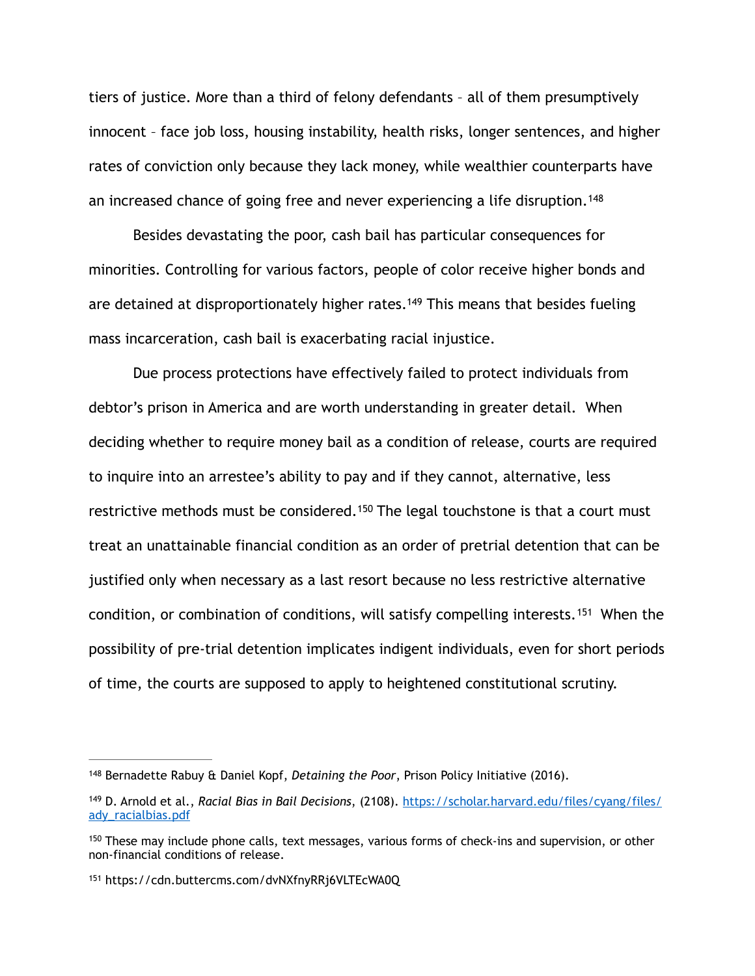tiers of justice. More than a third of felony defendants – all of them presumptively innocent – face job loss, housing instability, health risks, longer sentences, and higher rates of conviction only because they lack money, while wealthier counterparts have an increased chance of going free and never experiencing a life disruption.<sup>[148](#page-35-0)</sup>

<span id="page-35-5"></span><span id="page-35-4"></span> Besides devastating the poor, cash bail has particular consequences for minorities. Controlling for various factors, people of color receive higher bonds and are detained at disproportionately higher rates.<sup>[149](#page-35-1)</sup> This means that besides fueling mass incarceration, cash bail is exacerbating racial injustice.

<span id="page-35-6"></span> Due process protections have effectively failed to protect individuals from debtor's prison in America and are worth understanding in greater detail. When deciding whether to require money bail as a condition of release, courts are required to inquire into an arrestee's ability to pay and if they cannot, alternative, less restrictive methods must be considered.<sup>[150](#page-35-2)</sup> The legal touchstone is that a court must treat an unattainable financial condition as an order of pretrial detention that can be justified only when necessary as a last resort because no less restrictive alternative condition, or combination of conditions, will satisfy compelling interests.<sup>[151](#page-35-3)</sup> When the possibility of pre-trial detention implicates indigent individuals, even for short periods of time, the courts are supposed to apply to heightened constitutional scrutiny.

<span id="page-35-7"></span><span id="page-35-0"></span><sup>&</sup>lt;sup>[148](#page-35-4)</sup> Bernadette Rabuy & Daniel Kopf, *Detaining the Poor*, Prison Policy Initiative (2016).

<span id="page-35-1"></span><sup>&</sup>lt;sup>[149](#page-35-5)</sup> D. Arnold et al., *Racial Bias in Bail Decisions*, (2108). [https://scholar.harvard.edu/files/cyang/files/](https://scholar.harvard.edu/files/cyang/files/ady_racialbias.pdf) [ady\\_racialbias.pdf](https://scholar.harvard.edu/files/cyang/files/ady_racialbias.pdf)

<span id="page-35-2"></span><sup>&</sup>lt;sup>[150](#page-35-6)</sup> These may include phone calls, text messages, various forms of check-ins and supervision, or other non-financial conditions of release.

<span id="page-35-3"></span>[<sup>151</sup>](#page-35-7) https://cdn.buttercms.com/dvNXfnyRRj6VLTEcWA0Q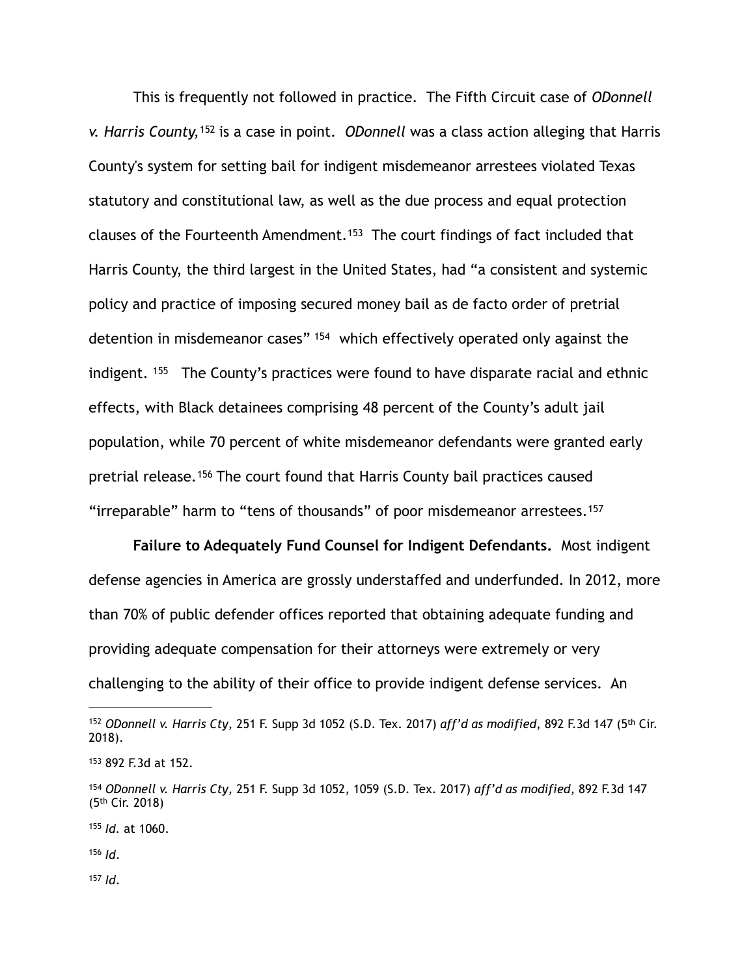<span id="page-36-7"></span><span id="page-36-6"></span> This is frequently not followed in practice. The Fifth Circuit case of *ODonnell v. Harris County*, <sup>[152](#page-36-0)</sup> is a case in point. *ODonnell* was a class action alleging that Harris County's system for setting bail for indigent misdemeanor arrestees violated Texas statutory and constitutional law, as well as the due process and equal protection clauses of the Fourteenth Amendment.<sup>[153](#page-36-1)</sup> The court findings of fact included that Harris County, the third largest in the United States, had "a consistent and systemic policy and practice of imposing secured money bail as de facto order of pretrial detention in misdemeanor cases" <sup>[154](#page-36-2)</sup> which effectively operated only against the indigent. $155$  The County's practices were found to have disparate racial and ethnic effects, with Black detainees comprising 48 percent of the County's adult jail population, while 70 percent of white misdemeanor defendants were granted early pretrial release. <sup>[156](#page-36-4)</sup> The court found that Harris County bail practices caused "irreparable" harm to "tens of thousands" of poor misdemeanor arrestees. [157](#page-36-5)

<span id="page-36-11"></span><span id="page-36-10"></span><span id="page-36-9"></span><span id="page-36-8"></span>**Failure to Adequately Fund Counsel for Indigent Defendants.** Most indigent defense agencies in America are grossly understaffed and underfunded. In 2012, more than 70% of public defender offices reported that obtaining adequate funding and providing adequate compensation for their attorneys were extremely or very challenging to the ability of their office to provide indigent defense services. An

<span id="page-36-3"></span>[155](#page-36-9) *Id.* at 1060.

<span id="page-36-4"></span>*Id*. [156](#page-36-10)

<span id="page-36-5"></span> $157$  *Id*.

<span id="page-36-0"></span>*ODonnell v. Harris Cty*, 251 F. Supp 3d 1052 (S.D. Tex. 2017) *aff'd as modified*, 892 F.3d 147 (5th Cir. [152](#page-36-6) 2018).

<span id="page-36-1"></span>[<sup>153</sup>](#page-36-7) 892 F.3d at 152.

<span id="page-36-2"></span>*ODonnell v. Harris Cty*, 251 F. Supp 3d 1052, 1059 (S.D. Tex. 2017) *aff'd as modified*, 892 F.3d 147 [154](#page-36-8) (5th Cir. 2018)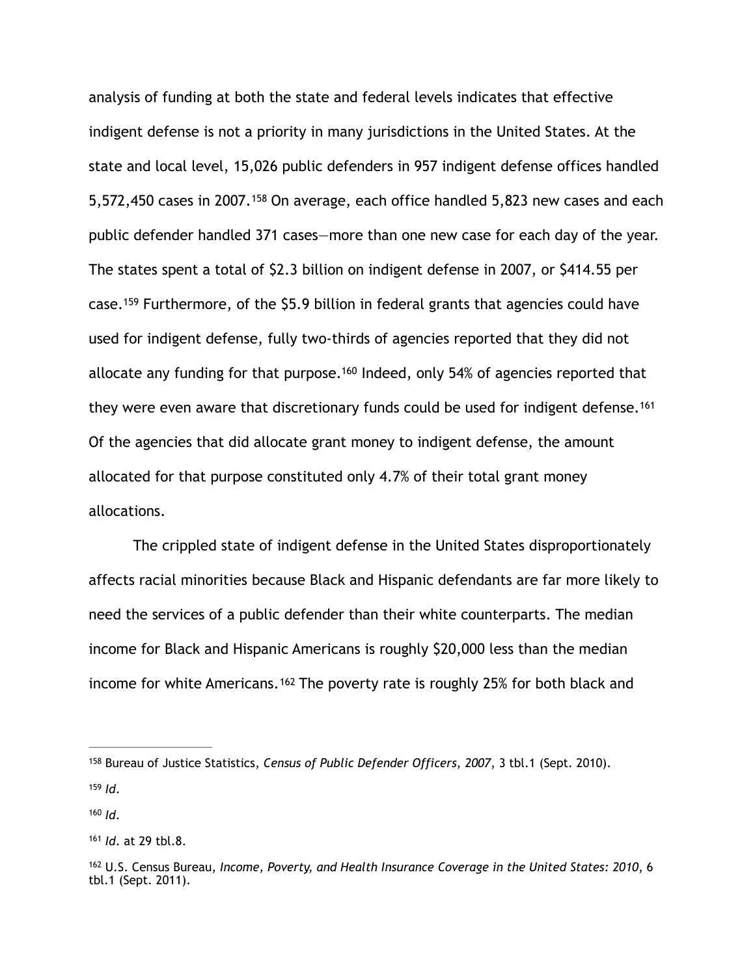<span id="page-37-6"></span><span id="page-37-5"></span>analysis of funding at both the state and federal levels indicates that effective indigent defense is not a priority in many jurisdictions in the United States. At the state and local level, 15,026 public defenders in 957 indigent defense offices handled 5,572,450 cases in 2007.<sup>[158](#page-37-0)</sup> On average, each office handled 5,823 new cases and each public defender handled 371 cases—more than one new case for each day of the year. The states spent a total of \$2.3 billion on indigent defense in 2007, or \$414.55 per case.<sup>[159](#page-37-1)</sup> Furthermore, of the \$5.9 billion in federal grants that agencies could have used for indigent defense, fully two-thirds of agencies reported that they did not allocate any funding for that purpose.<sup>[160](#page-37-2)</sup> Indeed, only 54% of agencies reported that they were even aware that discretionary funds could be used for indigent defense.<sup>[161](#page-37-3)</sup> Of the agencies that did allocate grant money to indigent defense, the amount allocated for that purpose constituted only 4.7% of their total grant money allocations.

<span id="page-37-8"></span><span id="page-37-7"></span> The crippled state of indigent defense in the United States disproportionately affects racial minorities because Black and Hispanic defendants are far more likely to need the services of a public defender than their white counterparts. The median income for Black and Hispanic Americans is roughly \$20,000 less than the median income for white Americans.  $162$  The poverty rate is roughly 25% for both black and

<span id="page-37-9"></span><span id="page-37-0"></span><sup>&</sup>lt;sup>[158](#page-37-5)</sup> Bureau of Justice Statistics, *Census of Public Defender Officers*, 2007, 3 tbl.1 (Sept. 2010).  $159$  *Id.* 

<span id="page-37-2"></span><span id="page-37-1"></span> $160$  *Id.* 

<span id="page-37-3"></span>[<sup>161</sup>](#page-37-8) *Id.* at 29 tbl.8.

<span id="page-37-4"></span><sup>&</sup>lt;sup>[162](#page-37-9)</sup> U.S. Census Bureau, Income, Poverty, and Health Insurance Coverage in the United States: 2010, 6 tbl.1 (Sept. 2011).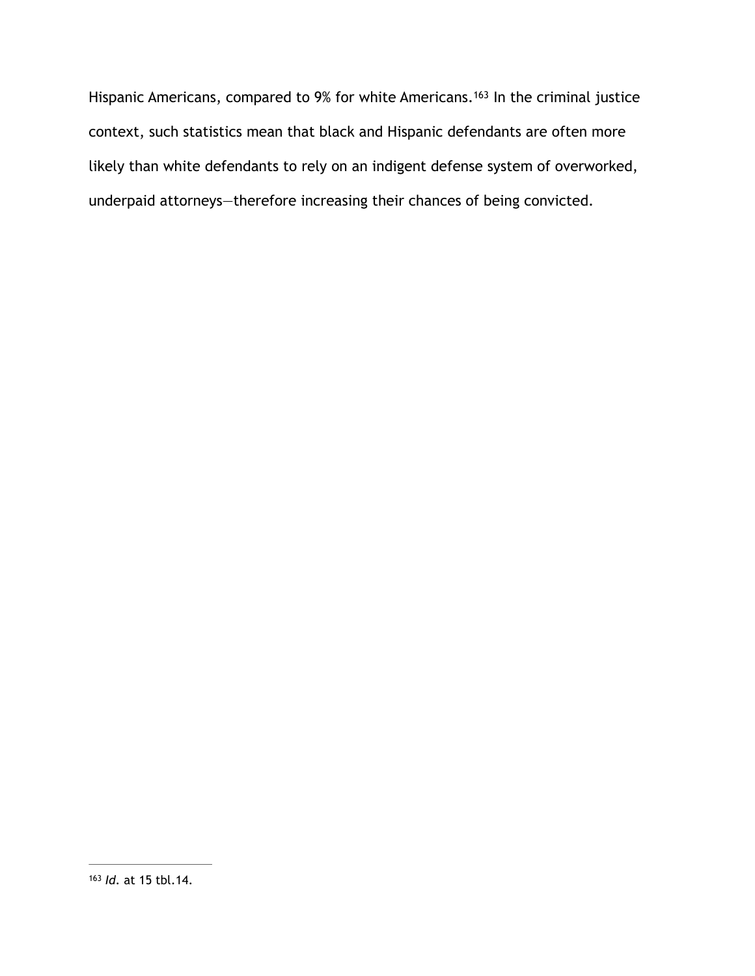<span id="page-38-1"></span>Hispanic Americans, compared to 9% for white Americans.<sup>[163](#page-38-0)</sup> In the criminal justice context, such statistics mean that black and Hispanic defendants are often more likely than white defendants to rely on an indigent defense system of overworked, underpaid attorneys—therefore increasing their chances of being convicted.

<span id="page-38-0"></span><sup>&</sup>lt;sup>[163](#page-38-1)</sup> *Id.* at 15 tbl.14.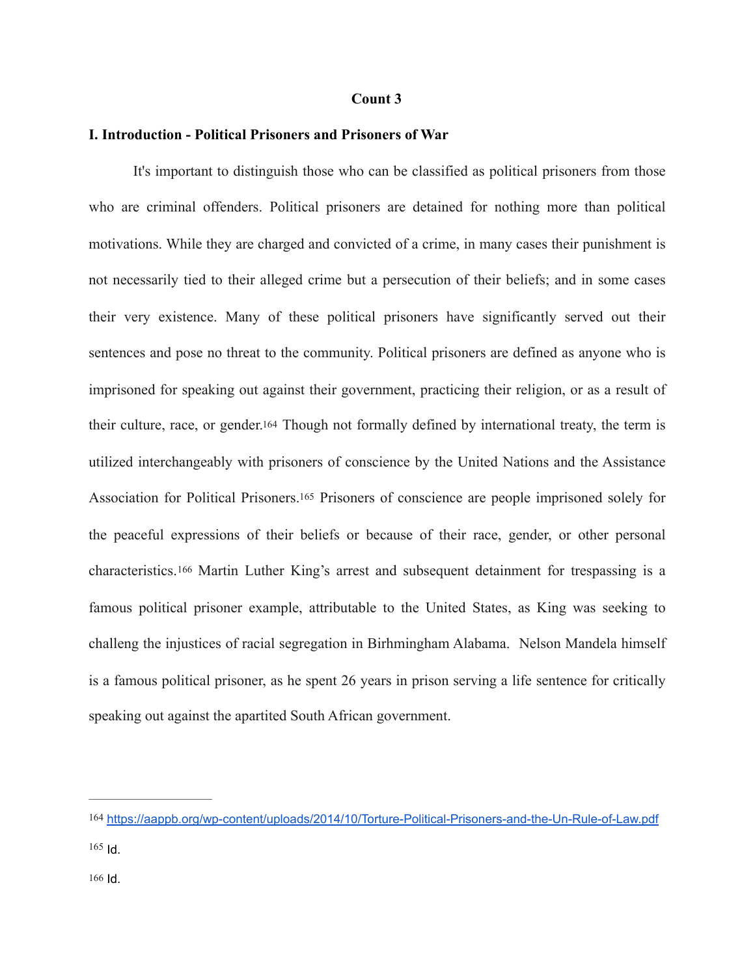#### **Count 3**

#### **I. Introduction - Political Prisoners and Prisoners of War**

<span id="page-39-4"></span><span id="page-39-3"></span>It's important to distinguish those who can be classified as political prisoners from those who are criminal offenders. Political prisoners are detained for nothing more than political motivations. While they are charged and convicted of a crime, in many cases their punishment is not necessarily tied to their alleged crime but a persecution of their beliefs; and in some cases their very existence. Many of these political prisoners have significantly served out their sentences and pose no threat to the community. Political prisoners are defined as anyone who is imprisoned for speaking out against their government, practicing their religion, or as a result of their culture, race, or gender[.164](#page-39-0) Though not formally defined by international treaty, the term is utilized interchangeably with prisoners of conscience by the United Nations and the Assistance Association for Political Prisoners[.165](#page-39-1) Prisoners of conscience are people imprisoned solely for the peaceful expressions of their beliefs or because of their race, gender, or other personal characteristics.[166](#page-39-2) Martin Luther King's arrest and subsequent detainment for trespassing is a famous political prisoner example, attributable to the United States, as King was seeking to challeng the injustices of racial segregation in Birhmingham Alabama. Nelson Mandela himself is a famous political prisoner, as he spent 26 years in prison serving a life sentence for critically speaking out against the apartited South African government.

<span id="page-39-5"></span><span id="page-39-0"></span>[<sup>164</sup>](#page-39-3) <https://aappb.org/wp-content/uploads/2014/10/Torture-Political-Prisoners-and-the-Un-Rule-of-Law.pdf>

<span id="page-39-2"></span><span id="page-39-1"></span> $165$  Id.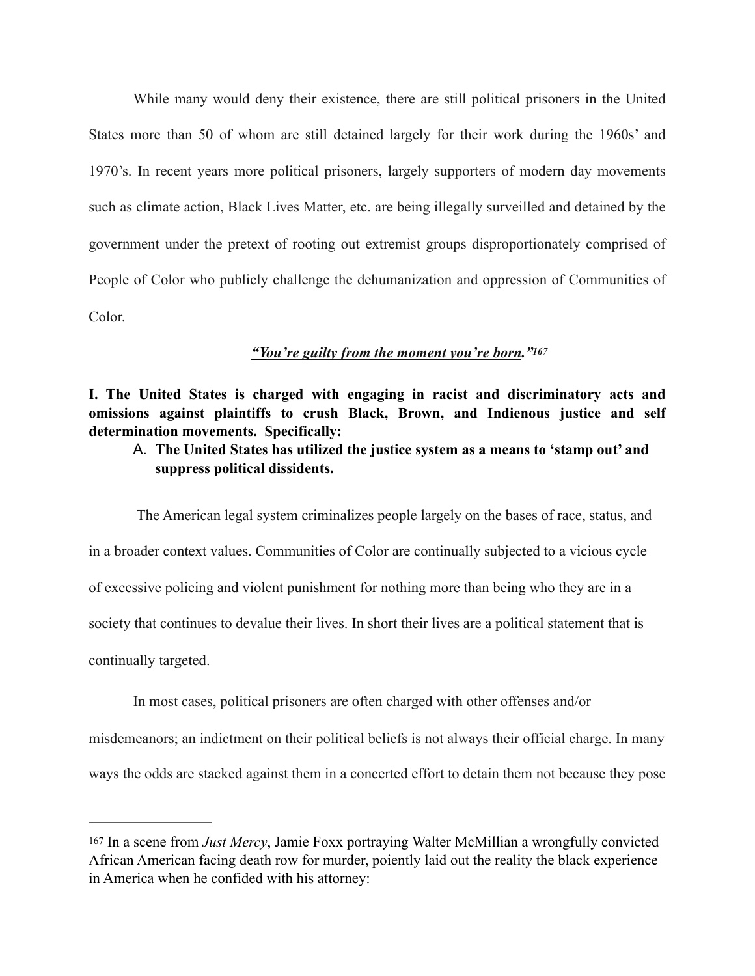While many would deny their existence, there are still political prisoners in the United States more than 50 of whom are still detained largely for their work during the 1960s' and 1970's. In recent years more political prisoners, largely supporters of modern day movements such as climate action, Black Lives Matter, etc. are being illegally surveilled and detained by the government under the pretext of rooting out extremist groups disproportionately comprised of People of Color who publicly challenge the dehumanization and oppression of Communities of Color.

#### <span id="page-40-1"></span>*"You're guilty from the moment you're born.["167](#page-40-0)*

**I. The United States is charged with engaging in racist and discriminatory acts and omissions against plaintiffs to crush Black, Brown, and Indienous justice and self determination movements. Specifically:** 

A. **The United States has utilized the justice system as a means to 'stamp out' and suppress political dissidents.** 

 The American legal system criminalizes people largely on the bases of race, status, and in a broader context values. Communities of Color are continually subjected to a vicious cycle of excessive policing and violent punishment for nothing more than being who they are in a society that continues to devalue their lives. In short their lives are a political statement that is continually targeted.

In most cases, political prisoners are often charged with other offenses and/or misdemeanors; an indictment on their political beliefs is not always their official charge. In many ways the odds are stacked against them in a concerted effort to detain them not because they pose

<span id="page-40-0"></span>[<sup>167</sup>](#page-40-1) In a scene from *Just Mercy*, Jamie Foxx portraying Walter McMillian a wrongfully convicted African American facing death row for murder, poiently laid out the reality the black experience in America when he confided with his attorney: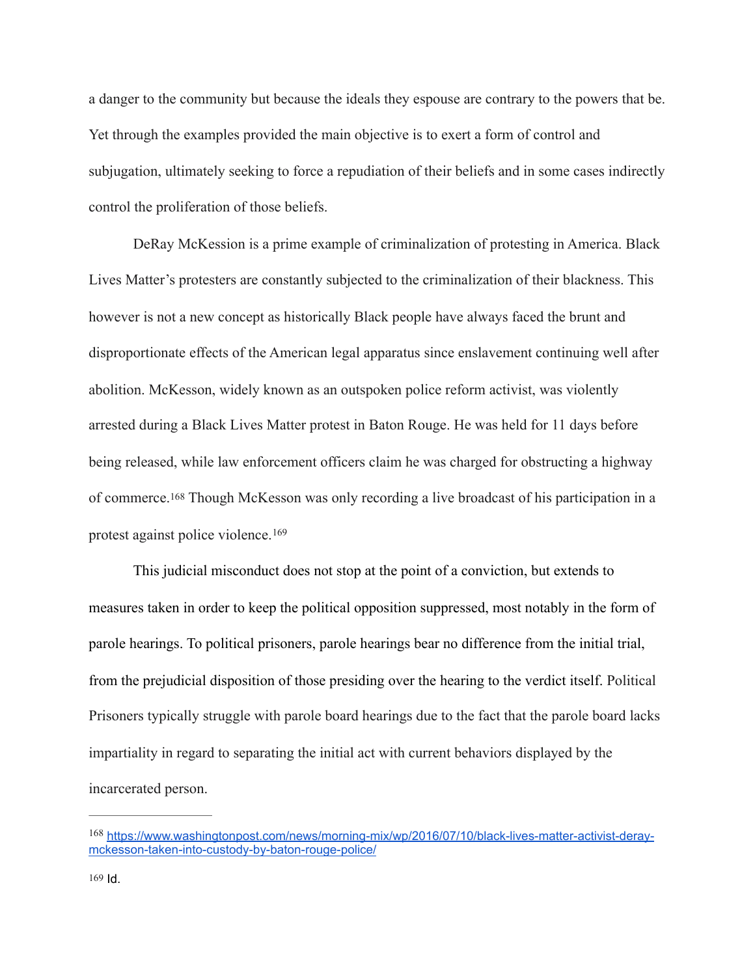a danger to the community but because the ideals they espouse are contrary to the powers that be. Yet through the examples provided the main objective is to exert a form of control and subjugation, ultimately seeking to force a repudiation of their beliefs and in some cases indirectly control the proliferation of those beliefs.

DeRay McKession is a prime example of criminalization of protesting in America. Black Lives Matter's protesters are constantly subjected to the criminalization of their blackness. This however is not a new concept as historically Black people have always faced the brunt and disproportionate effects of the American legal apparatus since enslavement continuing well after abolition. McKesson, widely known as an outspoken police reform activist, was violently arrested during a Black Lives Matter protest in Baton Rouge. He was held for 11 days before being released, while law enforcement officers claim he was charged for obstructing a highway of commerce.[168](#page-41-0) Though McKesson was only recording a live broadcast of his participation in a protest against police violence. [169](#page-41-1)

<span id="page-41-3"></span><span id="page-41-2"></span>This judicial misconduct does not stop at the point of a conviction, but extends to measures taken in order to keep the political opposition suppressed, most notably in the form of parole hearings. To political prisoners, parole hearings bear no difference from the initial trial, from the prejudicial disposition of those presiding over the hearing to the verdict itself. Political Prisoners typically struggle with parole board hearings due to the fact that the parole board lacks impartiality in regard to separating the initial act with current behaviors displayed by the incarcerated person.

<span id="page-41-1"></span><span id="page-41-0"></span><sup>168</sup> [https://www.washingtonpost.com/news/morning-mix/wp/2016/07/10/black-lives-matter-activist-deray](https://www.washingtonpost.com/news/morning-mix/wp/2016/07/10/black-lives-matter-activist-deray-mckesson-taken-into-custody-by-baton-rouge-police/) [mckesson-taken-into-custody-by-baton-rouge-police/](https://www.washingtonpost.com/news/morning-mix/wp/2016/07/10/black-lives-matter-activist-deray-mckesson-taken-into-custody-by-baton-rouge-police/)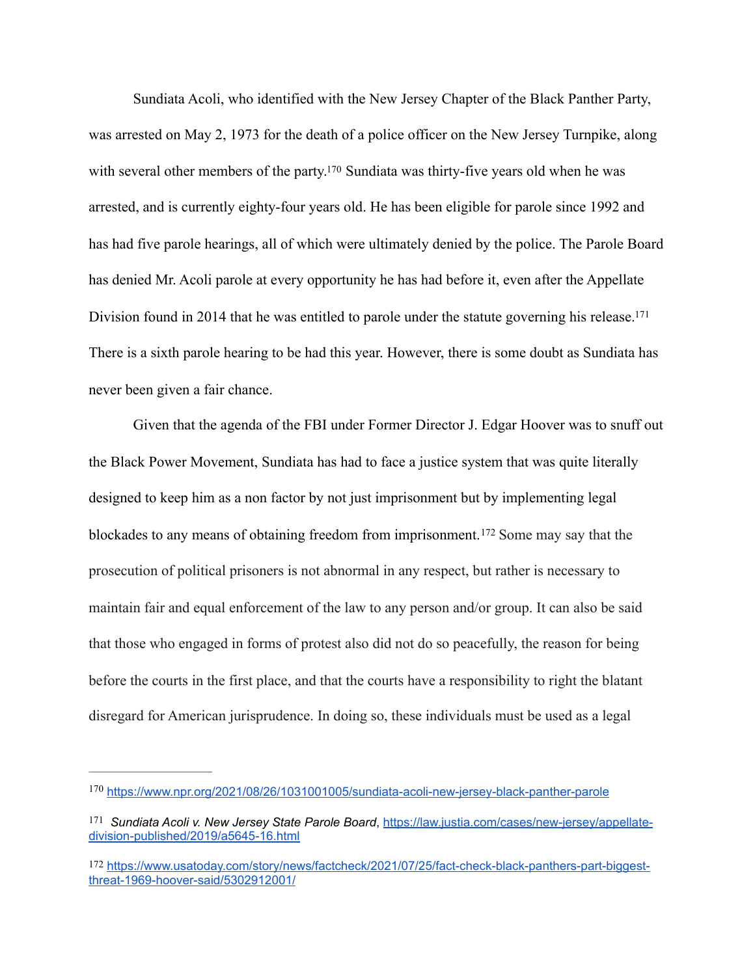<span id="page-42-3"></span>Sundiata Acoli, who identified with the New Jersey Chapter of the Black Panther Party, was arrested on May 2, 1973 for the death of a police officer on the New Jersey Turnpike, along withseveral other members of the party.<sup>[170](#page-42-0)</sup> Sundiata was thirty-five years old when he was arrested, and is currently eighty-four years old. He has been eligible for parole since 1992 and has had five parole hearings, all of which were ultimately denied by the police. The Parole Board has denied Mr. Acoli parole at every opportunity he has had before it, even after the Appellate Division found in 2014 that he was entitled to parole under the statute governing his release.<sup>171</sup> There is a sixth parole hearing to be had this year. However, there is some doubt as Sundiata has never been given a fair chance.

<span id="page-42-5"></span><span id="page-42-4"></span>Given that the agenda of the FBI under Former Director J. Edgar Hoover was to snuff out the Black Power Movement, Sundiata has had to face a justice system that was quite literally designed to keep him as a non factor by not just imprisonment but by implementing legal blockades to any means of obtaining freedom from imprisonment.<sup>[172](#page-42-2)</sup> Some may say that the prosecution of political prisoners is not abnormal in any respect, but rather is necessary to maintain fair and equal enforcement of the law to any person and/or group. It can also be said that those who engaged in forms of protest also did not do so peacefully, the reason for being before the courts in the first place, and that the courts have a responsibility to right the blatant disregard for American jurisprudence. In doing so, these individuals must be used as a legal

<span id="page-42-0"></span><https://www.npr.org/2021/08/26/1031001005/sundiata-acoli-new-jersey-black-panther-parole> [170](#page-42-3)

<span id="page-42-1"></span><sup>&</sup>lt;sup>171</sup> Sundiata Acoli v. New Jersey State Parole Board, [https://law.justia.com/cases/new-jersey/appellate](https://law.justia.com/cases/new-jersey/appellate-division-published/2019/a5645-16.html) [division-published/2019/a5645-16.html](https://law.justia.com/cases/new-jersey/appellate-division-published/2019/a5645-16.html)

<span id="page-42-2"></span>[<sup>172</sup>](#page-42-5) [https://www.usatoday.com/story/news/factcheck/2021/07/25/fact-check-black-panthers-part-biggest](https://www.usatoday.com/story/news/factcheck/2021/07/25/fact-check-black-panthers-part-biggest-threat-1969-hoover-said/5302912001/)[threat-1969-hoover-said/5302912001/](https://www.usatoday.com/story/news/factcheck/2021/07/25/fact-check-black-panthers-part-biggest-threat-1969-hoover-said/5302912001/)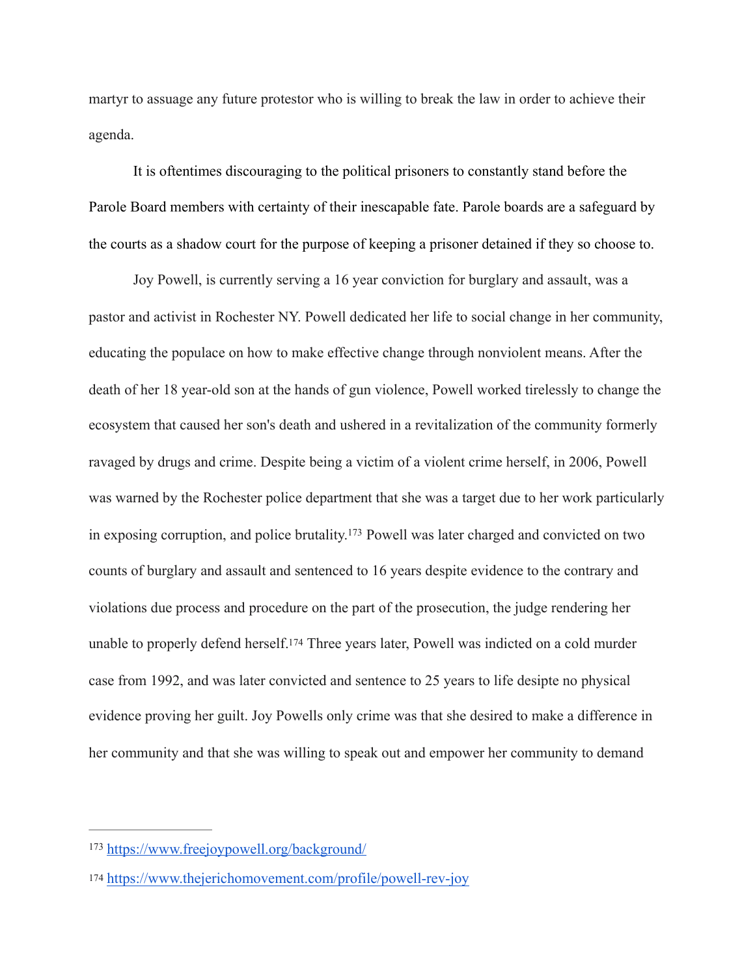martyr to assuage any future protestor who is willing to break the law in order to achieve their agenda.

It is oftentimes discouraging to the political prisoners to constantly stand before the Parole Board members with certainty of their inescapable fate. Parole boards are a safeguard by the courts as a shadow court for the purpose of keeping a prisoner detained if they so choose to.

<span id="page-43-2"></span>Joy Powell, is currently serving a 16 year conviction for burglary and assault, was a pastor and activist in Rochester NY. Powell dedicated her life to social change in her community, educating the populace on how to make effective change through nonviolent means. After the death of her 18 year-old son at the hands of gun violence, Powell worked tirelessly to change the ecosystem that caused her son's death and ushered in a revitalization of the community formerly ravaged by drugs and crime. Despite being a victim of a violent crime herself, in 2006, Powell was warned by the Rochester police department that she was a target due to her work particularly in exposing corruption, and police brutality[.](#page-43-0)<sup>[173](#page-43-0)</sup> Powell was later charged and convicted on two counts of burglary and assault and sentenced to 16 years despite evidence to the contrary and violations due process and procedure on the part of the prosecution, the judge rendering her unable to properly defend herself[.174](#page-43-1) Three years later, Powell was indicted on a cold murder case from 1992, and was later convicted and sentence to 25 years to life desipte no physical evidence proving her guilt. Joy Powells only crime was that she desired to make a difference in her community and that she was willing to speak out and empower her community to demand

<span id="page-43-3"></span><span id="page-43-0"></span><https://www.freejoypowell.org/background/> [173](#page-43-2)

<span id="page-43-1"></span>[<sup>174</sup>](#page-43-3) <https://www.thejerichomovement.com/profile/powell-rev-joy>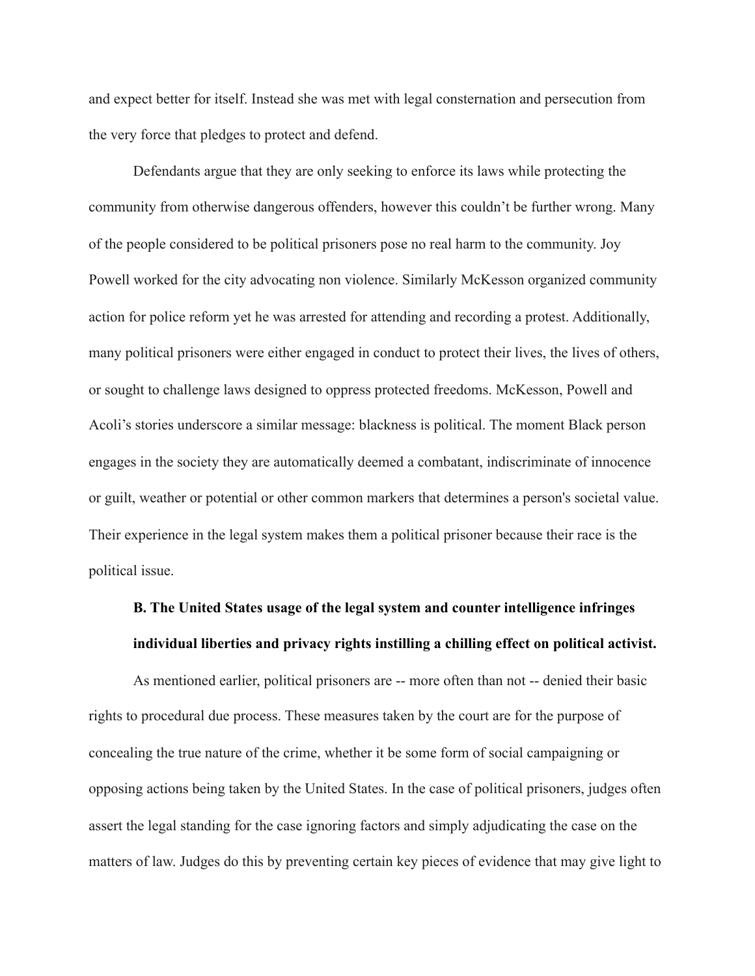and expect better for itself. Instead she was met with legal consternation and persecution from the very force that pledges to protect and defend.

Defendants argue that they are only seeking to enforce its laws while protecting the community from otherwise dangerous offenders, however this couldn't be further wrong. Many of the people considered to be political prisoners pose no real harm to the community. Joy Powell worked for the city advocating non violence. Similarly McKesson organized community action for police reform yet he was arrested for attending and recording a protest. Additionally, many political prisoners were either engaged in conduct to protect their lives, the lives of others, or sought to challenge laws designed to oppress protected freedoms. McKesson, Powell and Acoli's stories underscore a similar message: blackness is political. The moment Black person engages in the society they are automatically deemed a combatant, indiscriminate of innocence or guilt, weather or potential or other common markers that determines a person's societal value. Their experience in the legal system makes them a political prisoner because their race is the political issue.

## **B. The United States usage of the legal system and counter intelligence infringes individual liberties and privacy rights instilling a chilling effect on political activist.**

As mentioned earlier, political prisoners are -- more often than not -- denied their basic rights to procedural due process. These measures taken by the court are for the purpose of concealing the true nature of the crime, whether it be some form of social campaigning or opposing actions being taken by the United States. In the case of political prisoners, judges often assert the legal standing for the case ignoring factors and simply adjudicating the case on the matters of law. Judges do this by preventing certain key pieces of evidence that may give light to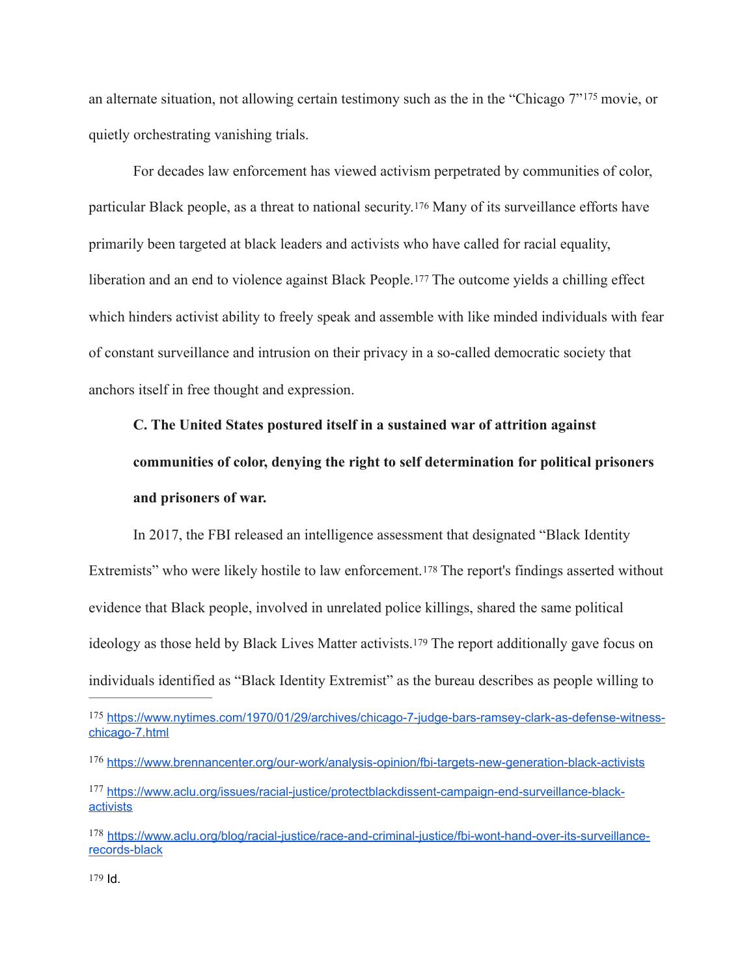<span id="page-45-5"></span>analternate situation, not allowing certain testimony such as the in the "Chicago  $7"^{175}$  $7"^{175}$  $7"^{175}$  movie, or quietly orchestrating vanishing trials.

<span id="page-45-6"></span> For decades law enforcement has viewed activism perpetrated by communities of color, particular Black people, as a threat to national security.[176](#page-45-1) Many of its surveillance efforts have primarily been targeted at black leaders and activists who have called for racial equality, liberation and an end to violence against Black People.[177](#page-45-2) The outcome yields a chilling effect which hinders activist ability to freely speak and assemble with like minded individuals with fear of constant surveillance and intrusion on their privacy in a so-called democratic society that anchors itself in free thought and expression.

# <span id="page-45-8"></span><span id="page-45-7"></span>**C. The United States postured itself in a sustained war of attrition against communities of color, denying the right to self determination for political prisoners and prisoners of war.**

In 2017, the FBI released an intelligence assessment that designated "Black Identity Extremists" who were likely hostile to law enforcement.<sup>178</sup> The report's findings asserted without evidence that Black people, involved in unrelated police killings, shared the same political ideology as those held by Black Lives Matter activists.[179](#page-45-4) The report additionally gave focus on individuals identified as "Black Identity Extremist" as the bureau describes as people willing to

<span id="page-45-9"></span><span id="page-45-0"></span><sup>175</sup> [https://www.nytimes.com/1970/01/29/archives/chicago-7-judge-bars-ramsey-clark-as-defense-witness](https://www.nytimes.com/1970/01/29/archives/chicago-7-judge-bars-ramsey-clark-as-defense-witness-chicago-7.html) [chicago-7.html](https://www.nytimes.com/1970/01/29/archives/chicago-7-judge-bars-ramsey-clark-as-defense-witness-chicago-7.html)

<span id="page-45-1"></span><sup>176</sup> <https://www.brennancenter.org/our-work/analysis-opinion/fbi-targets-new-generation-black-activists>

<span id="page-45-2"></span><sup>177</sup> [https://www.aclu.org/issues/racial-justice/protectblackdissent-campaign-end-surveillance-black](https://www.aclu.org/issues/racial-justice/protectblackdissent-campaign-end-surveillance-black-activists) **[activists](https://www.aclu.org/issues/racial-justice/protectblackdissent-campaign-end-surveillance-black-activists)** 

<span id="page-45-4"></span><span id="page-45-3"></span><sup>&</sup>lt;sup>178</sup> [https://www.aclu.org/blog/racial-justice/race-and-criminal-justice/fbi-wont-hand-over-its-surveillance](https://www.aclu.org/blog/racial-justice/race-and-criminal-justice/fbi-wont-hand-over-its-surveillance-records-black) [records-black](https://www.aclu.org/blog/racial-justice/race-and-criminal-justice/fbi-wont-hand-over-its-surveillance-records-black)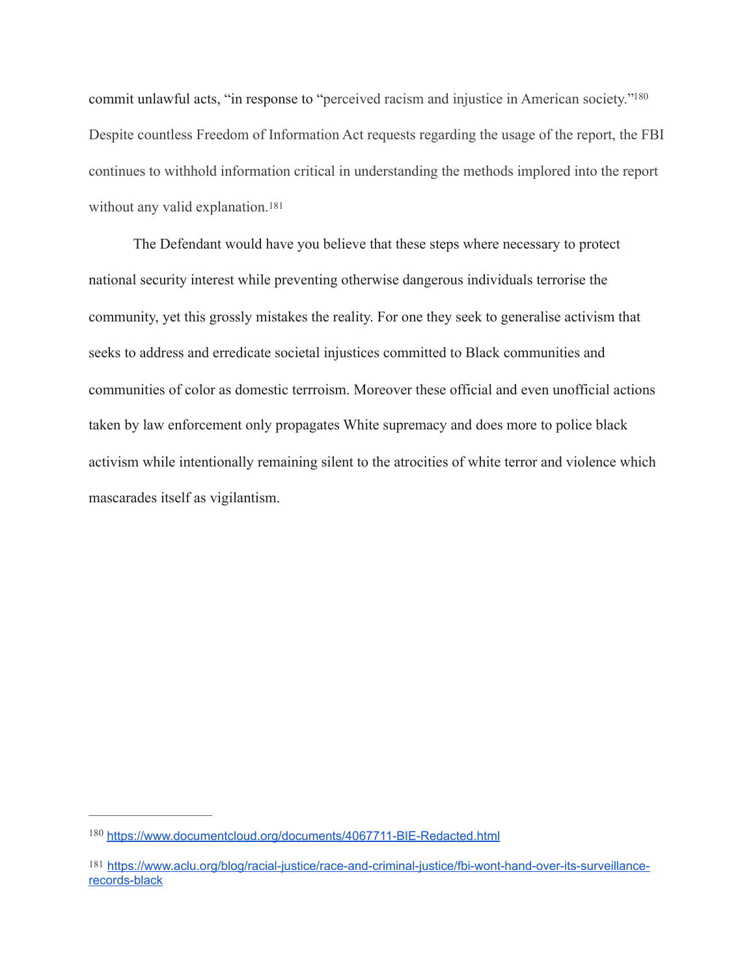<span id="page-46-2"></span>commit unlawful acts, "in response to "perceived racism and injustice in American society.["180](#page-46-0) Despite countless Freedom of Information Act requests regarding the usage of the report, the FBI continues to withhold information critical in understanding the methods implored into the report without any valid explanation.<sup>[181](#page-46-1)</sup>

<span id="page-46-3"></span>The Defendant would have you believe that these steps where necessary to protect national security interest while preventing otherwise dangerous individuals terrorise the community, yet this grossly mistakes the reality. For one they seek to generalise activism that seeks to address and erredicate societal injustices committed to Black communities and communities of color as domestic terrroism. Moreover these official and even unofficial actions taken by law enforcement only propagates White supremacy and does more to police black activism while intentionally remaining silent to the atrocities of white terror and violence which mascarades itself as vigilantism.

<span id="page-46-0"></span><https://www.documentcloud.org/documents/4067711-BIE-Redacted.html> [180](#page-46-2)

<span id="page-46-1"></span>[<sup>181</sup>](#page-46-3) [https://www.aclu.org/blog/racial-justice/race-and-criminal-justice/fbi-wont-hand-over-its-surveillance](https://www.aclu.org/blog/racial-justice/race-and-criminal-justice/fbi-wont-hand-over-its-surveillance-records-black)[records-black](https://www.aclu.org/blog/racial-justice/race-and-criminal-justice/fbi-wont-hand-over-its-surveillance-records-black)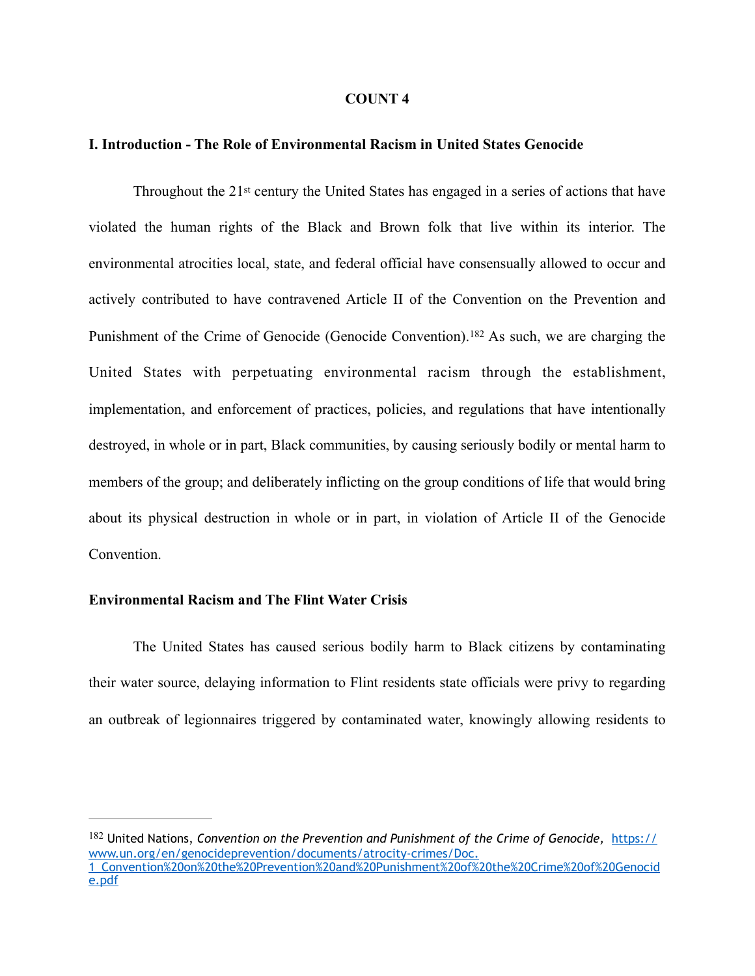#### <span id="page-47-1"></span>**COUNT 4**

#### **I. Introduction - The Role of Environmental Racism in United States Genocide**

Throughout the 21st century the United States has engaged in a series of actions that have violated the human rights of the Black and Brown folk that live within its interior. The environmental atrocities local, state, and federal official have consensually allowed to occur and actively contributed to have contravened Article II of the Convention on the Prevention and Punishmentof the Crime of Genocide (Genocide Convention). <sup>[182](#page-47-0)</sup> As such, we are charging the United States with perpetuating environmental racism through the establishment, implementation, and enforcement of practices, policies, and regulations that have intentionally destroyed, in whole or in part, Black communities, by causing seriously bodily or mental harm to members of the group; and deliberately inflicting on the group conditions of life that would bring about its physical destruction in whole or in part, in violation of Article II of the Genocide Convention.

#### **Environmental Racism and The Flint Water Crisis**

The United States has caused serious bodily harm to Black citizens by contaminating their water source, delaying information to Flint residents state officials were privy to regarding an outbreak of legionnaires triggered by contaminated water, knowingly allowing residents to

<span id="page-47-0"></span>[<sup>182</sup>](#page-47-1) United Nations, *Convention on the Prevention and Punishment of the Crime of Genocide, [https://](https://www.un.org/en/genocideprevention/documents/atrocity-crimes/Doc.1_Convention%2520on%2520the%2520Prevention%2520and%2520Punishment%2520of%2520the%2520Crime%2520of%2520Genocide.pdf)* [www.un.org/en/genocideprevention/documents/atrocity-crimes/Doc.](https://www.un.org/en/genocideprevention/documents/atrocity-crimes/Doc.1_Convention%2520on%2520the%2520Prevention%2520and%2520Punishment%2520of%2520the%2520Crime%2520of%2520Genocide.pdf) [1\\_Convention%20on%20the%20Prevention%20and%20Punishment%20of%20the%20Crime%20of%20Genocid](https://www.un.org/en/genocideprevention/documents/atrocity-crimes/Doc.1_Convention%2520on%2520the%2520Prevention%2520and%2520Punishment%2520of%2520the%2520Crime%2520of%2520Genocide.pdf) [e.pdf](https://www.un.org/en/genocideprevention/documents/atrocity-crimes/Doc.1_Convention%2520on%2520the%2520Prevention%2520and%2520Punishment%2520of%2520the%2520Crime%2520of%2520Genocide.pdf)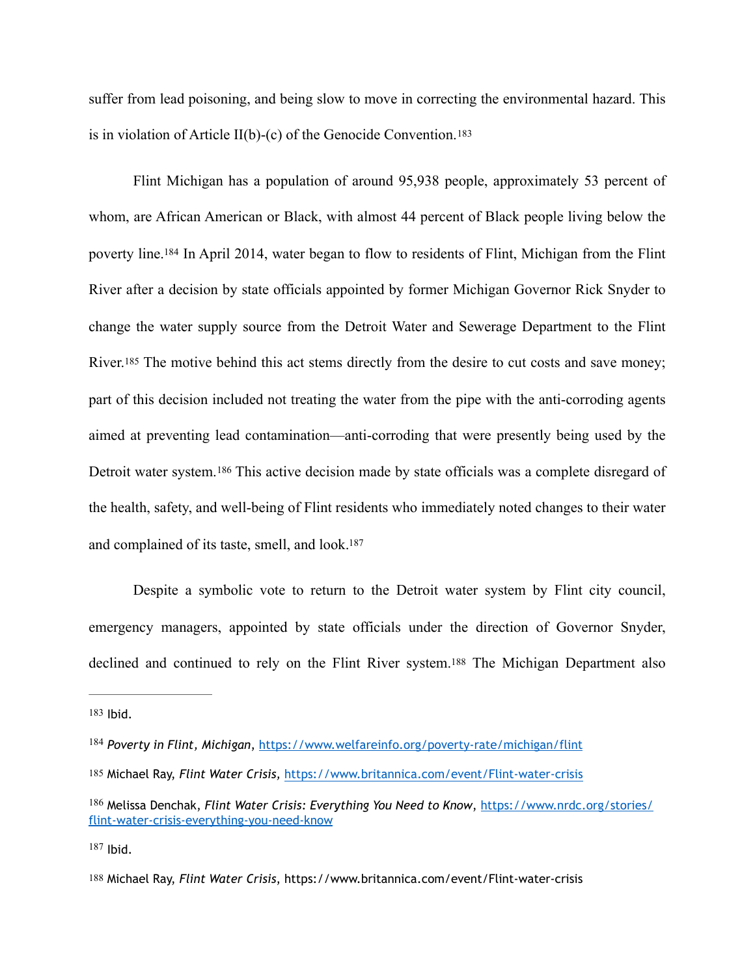<span id="page-48-6"></span>suffer from lead poisoning, and being slow to move in correcting the environmental hazard. This is in violation of Article II(b)-(c) of the Genocide Convention.<sup>183</sup>

<span id="page-48-8"></span><span id="page-48-7"></span>Flint Michigan has a population of around 95,938 people, approximately 53 percent of whom, are African American or Black, with almost 44 percent of Black people living below the poverty line[.](#page-48-1)<sup>[184](#page-48-1)</sup> In April 2014, water began to flow to residents of Flint, Michigan from the Flint River after a decision by state officials appointed by former Michigan Governor Rick Snyder to change the water supply source from the Detroit Water and Sewerage Department to the Flint River.<sup>185</sup> The motive behind this act stems directly from the desire to cut costs and save money; part of this decision included not treating the water from the pipe with the anti-corroding agents aimed at preventing lead contamination—anti-corroding that were presently being used by the Detroitwater system.<sup>[186](#page-48-3)</sup> This active decision made by state officials was a complete disregard of the health, safety, and well-being of Flint residents who immediately noted changes to their water and complained of its taste, smell, and look[.](#page-48-4) [187](#page-48-4)

<span id="page-48-10"></span><span id="page-48-9"></span>Despite a symbolic vote to return to the Detroit water system by Flint city council, emergency managers, appointed by state officials under the direction of Governor Snyder, declined and continued to rely on the Flint River system[.188](#page-48-5) The Michigan Department also

<span id="page-48-11"></span><span id="page-48-0"></span>[183](#page-48-6) Ibid.

<span id="page-48-1"></span><sup>&</sup>lt;sup>184</sup> Poverty in Flint, Michigan,<https://www.welfareinfo.org/poverty-rate/michigan/flint>

<span id="page-48-2"></span>[<sup>185</sup>](#page-48-8) Michael Ray, *Flint Water Crisis,* <https://www.britannica.com/event/Flint-water-crisis>

<span id="page-48-3"></span>[<sup>186</sup>](#page-48-9) Melissa Denchak, *Flint Water Crisis: Everything You Need to Know*, [https://www.nrdc.org/stories/](https://www.nrdc.org/stories/flint-water-crisis-everything-you-need-know) [flint-water-crisis-everything-you-need-know](https://www.nrdc.org/stories/flint-water-crisis-everything-you-need-know)

<span id="page-48-4"></span>[<sup>187</sup>](#page-48-10) Ibid.

<span id="page-48-5"></span>[<sup>188</sup>](#page-48-11) Michael Ray, *Flint Water Crisis*, https://www.britannica.com/event/Flint-water-crisis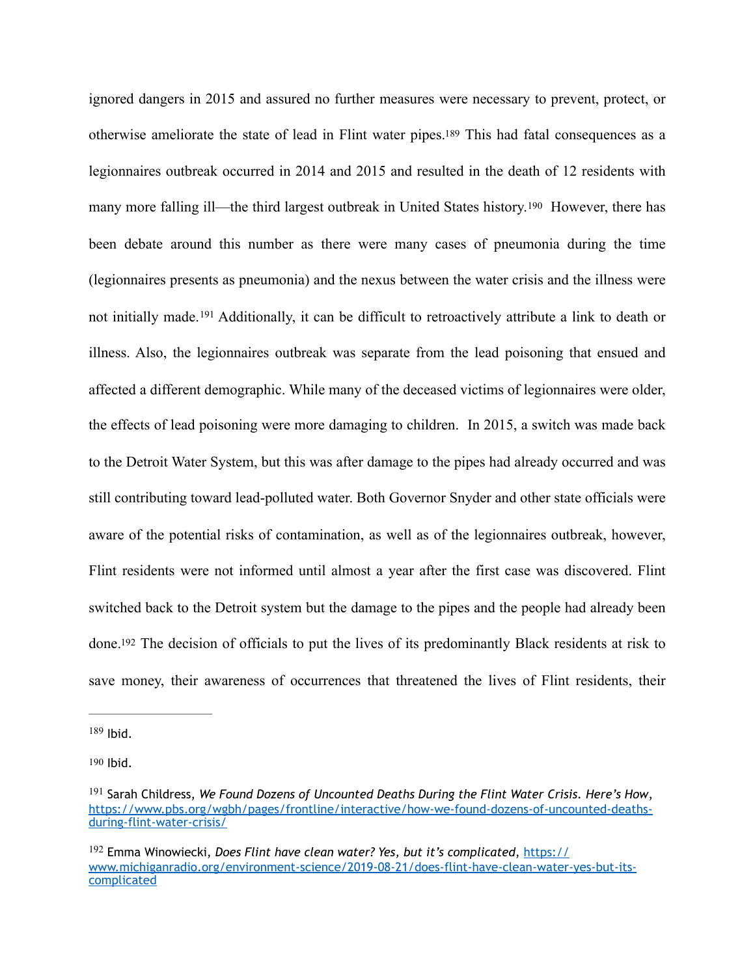<span id="page-49-6"></span><span id="page-49-5"></span><span id="page-49-4"></span>ignored dangers in 2015 and assured no further measures were necessary to prevent, protect, or otherwise ameliorate the state of lead in Flint water pipes[.189](#page-49-0) This had fatal consequences as a legionnaires outbreak occurred in 2014 and 2015 and resulted in the death of 12 residents with many more falling ill—the third largest outbreak in United States history.[190](#page-49-1) However, there has been debate around this number as there were many cases of pneumonia during the time (legionnaires presents as pneumonia) and the nexus between the water crisis and the illness were notinitially made. <sup>[191](#page-49-2)</sup> Additionally, it can be difficult to retroactively attribute a link to death or illness. Also, the legionnaires outbreak was separate from the lead poisoning that ensued and affected a different demographic. While many of the deceased victims of legionnaires were older, the effects of lead poisoning were more damaging to children. In 2015, a switch was made back to the Detroit Water System, but this was after damage to the pipes had already occurred and was still contributing toward lead-polluted water. Both Governor Snyder and other state officials were aware of the potential risks of contamination, as well as of the legionnaires outbreak, however, Flint residents were not informed until almost a year after the first case was discovered. Flint switched back to the Detroit system but the damage to the pipes and the people had already been done[.192](#page-49-3) The decision of officials to put the lives of its predominantly Black residents at risk to save money, their awareness of occurrences that threatened the lives of Flint residents, their

<span id="page-49-7"></span><span id="page-49-0"></span> $189$  Ibid.

<span id="page-49-1"></span>[<sup>190</sup>](#page-49-5) Ibid.

<span id="page-49-2"></span><sup>&</sup>lt;sup>[191](#page-49-6)</sup> Sarah Childress, *We Found Dozens of Uncounted Deaths During the Flint Water Crisis. Here's How*, [https://www.pbs.org/wgbh/pages/frontline/interactive/how-we-found-dozens-of-uncounted-deaths](https://www.pbs.org/wgbh/pages/frontline/interactive/how-we-found-dozens-of-uncounted-deaths-during-flint-water-crisis/)[during-flint-water-crisis/](https://www.pbs.org/wgbh/pages/frontline/interactive/how-we-found-dozens-of-uncounted-deaths-during-flint-water-crisis/)

<span id="page-49-3"></span><sup>&</sup>lt;sup>[192](#page-49-7)</sup> Emma Winowiecki, *Does Flint have clean water? Yes, but it's complicated*, [https://](https://www.michiganradio.org/environment-science/2019-08-21/does-flint-have-clean-water-yes-but-its-complicated) [www.michiganradio.org/environment-science/2019-08-21/does-flint-have-clean-water-yes-but-its](https://www.michiganradio.org/environment-science/2019-08-21/does-flint-have-clean-water-yes-but-its-complicated)[complicated](https://www.michiganradio.org/environment-science/2019-08-21/does-flint-have-clean-water-yes-but-its-complicated)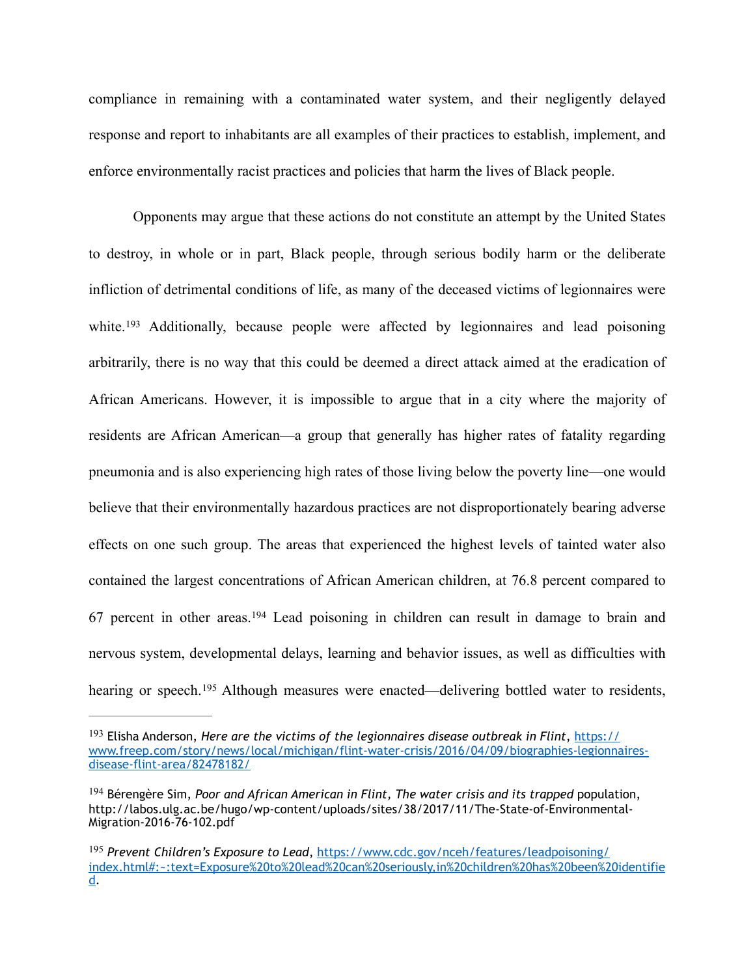compliance in remaining with a contaminated water system, and their negligently delayed response and report to inhabitants are all examples of their practices to establish, implement, and enforce environmentally racist practices and policies that harm the lives of Black people.

<span id="page-50-3"></span>Opponents may argue that these actions do not constitute an attempt by the United States to destroy, in whole or in part, Black people, through serious bodily harm or the deliberate infliction of detrimental conditions of life, as many of the deceased victims of legionnaires were white.<sup>193</sup>Additionally, because people were affected by legionnaires and lead poisoning arbitrarily, there is no way that this could be deemed a direct attack aimed at the eradication of African Americans. However, it is impossible to argue that in a city where the majority of residents are African American—a group that generally has higher rates of fatality regarding pneumonia and is also experiencing high rates of those living below the poverty line—one would believe that their environmentally hazardous practices are not disproportionately bearing adverse effects on one such group. The areas that experienced the highest levels of tainted water also contained the largest concentrations of African American children, at 76.8 percent compared to 67percent in other areas.<sup>[194](#page-50-1)</sup> Lead poisoning in children can result in damage to brain and nervous system, developmental delays, learning and behavior issues, as well as difficulties with hearingor speech.<sup>[195](#page-50-2)</sup> Although measures were enacted—delivering bottled water to residents,

<span id="page-50-5"></span><span id="page-50-4"></span><span id="page-50-0"></span><sup>&</sup>lt;sup>[193](#page-50-3)</sup> Elisha Anderson, *Here are the victims of the legionnaires disease outbreak in Flint*, [https://](https://www.freep.com/story/news/local/michigan/flint-water-crisis/2016/04/09/biographies-legionnaires-disease-flint-area/82478182/) [www.freep.com/story/news/local/michigan/flint-water-crisis/2016/04/09/biographies-legionnaires](https://www.freep.com/story/news/local/michigan/flint-water-crisis/2016/04/09/biographies-legionnaires-disease-flint-area/82478182/)[disease-flint-area/82478182/](https://www.freep.com/story/news/local/michigan/flint-water-crisis/2016/04/09/biographies-legionnaires-disease-flint-area/82478182/)

<span id="page-50-1"></span><sup>&</sup>lt;sup>[194](#page-50-4)</sup> Bérengère Sim, *Poor and African American in Flint*, *The water crisis and its trapped population*, http://labos.ulg.ac.be/hugo/wp-content/uploads/sites/38/2017/11/The-State-of-Environmental-Migration-2016-76-102.pdf

<span id="page-50-2"></span>*Prevent Children's Exposure to Lead*, [https://www.cdc.gov/nceh/features/leadpoisoning/](https://www.cdc.gov/nceh/features/leadpoisoning/index.html#:~:text=Exposure%2520to%2520lead%2520can%2520seriously,in%2520children%2520has%2520been%2520identified) [195](#page-50-5) [index.html#:~:text=Exposure%20to%20lead%20can%20seriously,in%20children%20has%20been%20identifie](https://www.cdc.gov/nceh/features/leadpoisoning/index.html#:~:text=Exposure%2520to%2520lead%2520can%2520seriously,in%2520children%2520has%2520been%2520identified) [d.](https://www.cdc.gov/nceh/features/leadpoisoning/index.html#:~:text=Exposure%2520to%2520lead%2520can%2520seriously,in%2520children%2520has%2520been%2520identified)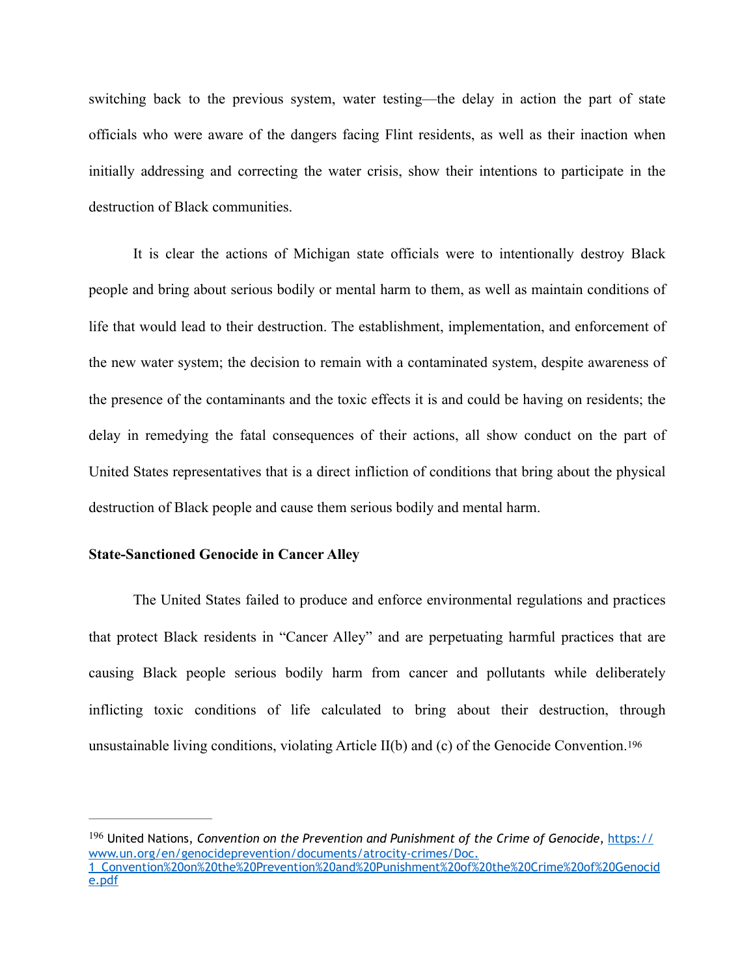switching back to the previous system, water testing—the delay in action the part of state officials who were aware of the dangers facing Flint residents, as well as their inaction when initially addressing and correcting the water crisis, show their intentions to participate in the destruction of Black communities.

It is clear the actions of Michigan state officials were to intentionally destroy Black people and bring about serious bodily or mental harm to them, as well as maintain conditions of life that would lead to their destruction. The establishment, implementation, and enforcement of the new water system; the decision to remain with a contaminated system, despite awareness of the presence of the contaminants and the toxic effects it is and could be having on residents; the delay in remedying the fatal consequences of their actions, all show conduct on the part of United States representatives that is a direct infliction of conditions that bring about the physical destruction of Black people and cause them serious bodily and mental harm.

#### **State-Sanctioned Genocide in Cancer Alley**

The United States failed to produce and enforce environmental regulations and practices that protect Black residents in "Cancer Alley" and are perpetuating harmful practices that are causing Black people serious bodily harm from cancer and pollutants while deliberately inflicting toxic conditions of life calculated to bring about their destruction, through unsustainable living conditions, violating Article II(b) and (c) of the Genocide Convention.[196](#page-51-0) 

<span id="page-51-1"></span><span id="page-51-0"></span> United Nations, *Convention on the Prevention and Punishment of the Crime of Genocide*, [https://](https://www.un.org/en/genocideprevention/documents/atrocity-crimes/Doc.1_Convention%2520on%2520the%2520Prevention%2520and%2520Punishment%2520of%2520the%2520Crime%2520of%2520Genocide.pdf) [196](#page-51-1) [www.un.org/en/genocideprevention/documents/atrocity-crimes/Doc.](https://www.un.org/en/genocideprevention/documents/atrocity-crimes/Doc.1_Convention%2520on%2520the%2520Prevention%2520and%2520Punishment%2520of%2520the%2520Crime%2520of%2520Genocide.pdf) [1\\_Convention%20on%20the%20Prevention%20and%20Punishment%20of%20the%20Crime%20of%20Genocid](https://www.un.org/en/genocideprevention/documents/atrocity-crimes/Doc.1_Convention%2520on%2520the%2520Prevention%2520and%2520Punishment%2520of%2520the%2520Crime%2520of%2520Genocide.pdf) [e.pdf](https://www.un.org/en/genocideprevention/documents/atrocity-crimes/Doc.1_Convention%2520on%2520the%2520Prevention%2520and%2520Punishment%2520of%2520the%2520Crime%2520of%2520Genocide.pdf)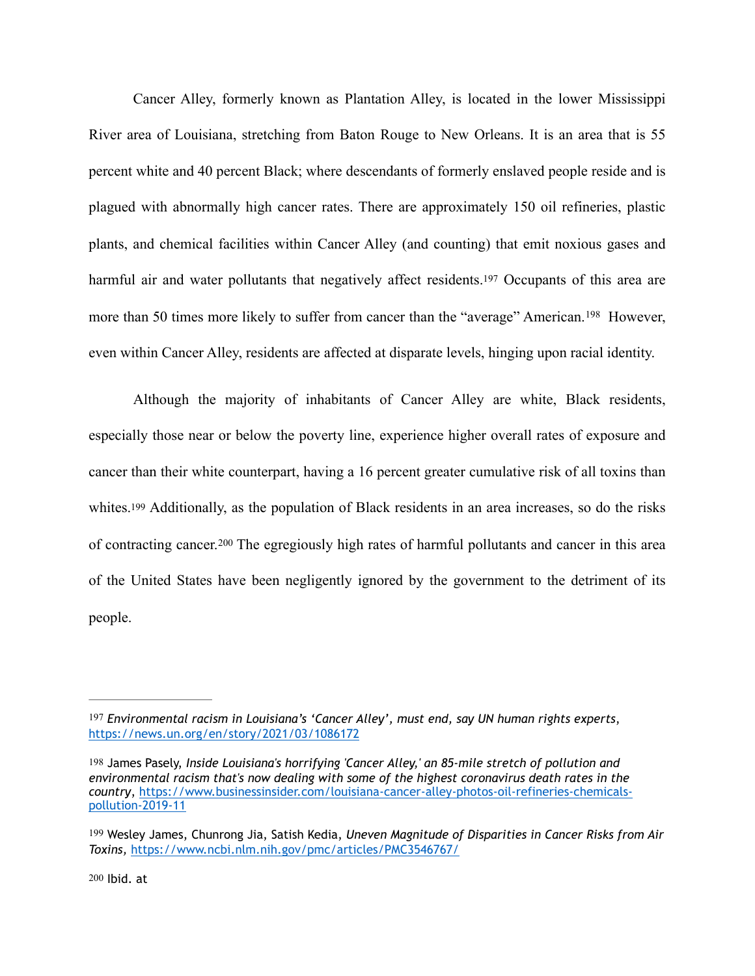Cancer Alley, formerly known as Plantation Alley, is located in the lower Mississippi River area of Louisiana, stretching from Baton Rouge to New Orleans. It is an area that is 55 percent white and 40 percent Black; where descendants of formerly enslaved people reside and is plagued with abnormally high cancer rates. There are approximately 150 oil refineries, plastic plants, and chemical facilities within Cancer Alley (and counting) that emit noxious gases and harmful air and water pollutants that negatively affect residents[.197](#page-52-0) Occupants of this area are morethan 50 times more likely to suffer from cancer than the "average" American.<sup>[198](#page-52-1)</sup> However, even within Cancer Alley, residents are affected at disparate levels, hinging upon racial identity.

<span id="page-52-7"></span><span id="page-52-6"></span><span id="page-52-5"></span><span id="page-52-4"></span> Although the majority of inhabitants of Cancer Alley are white, Black residents, especially those near or below the poverty line, experience higher overall rates of exposure and cancer than their white counterpart, having a 16 percent greater cumulative risk of all toxins than whites[.199](#page-52-2) Additionally, as the population of Black residents in an area increases, so do the risks ofcontracting cancer.<sup>[200](#page-52-3)</sup> The egregiously high rates of harmful pollutants and cancer in this area of the United States have been negligently ignored by the government to the detriment of its people.

<span id="page-52-0"></span>[<sup>197</sup>](#page-52-4) *Environmental racism in Louisiana's 'Cancer Alley', must end, say UN human rights experts*, <https://news.un.org/en/story/2021/03/1086172>

<span id="page-52-1"></span>[<sup>198</sup>](#page-52-5) James Pasely, *Inside Louisiana's horrifying 'Cancer Alley,' an 85-mile stretch of pollution and environmental racism that's now dealing with some of the highest coronavirus death rates in the country*, [https://www.businessinsider.com/louisiana-cancer-alley-photos-oil-refineries-chemicals](https://www.businessinsider.com/louisiana-cancer-alley-photos-oil-refineries-chemicals-pollution-2019-11)[pollution-2019-11](https://www.businessinsider.com/louisiana-cancer-alley-photos-oil-refineries-chemicals-pollution-2019-11)

<span id="page-52-3"></span><span id="page-52-2"></span>[<sup>199</sup>](#page-52-6) Wesley James, Chunrong Jia, Satish Kedia, *Uneven Magnitude of Disparities in Cancer Risks from Air Toxins,* <https://www.ncbi.nlm.nih.gov/pmc/articles/PMC3546767/>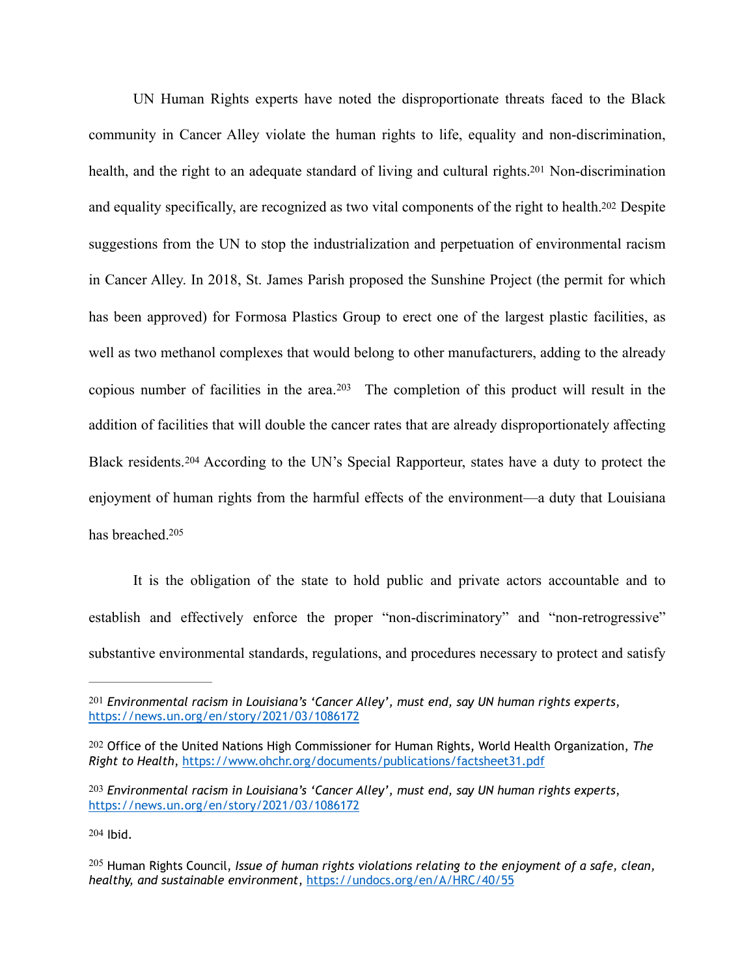<span id="page-53-6"></span><span id="page-53-5"></span>UN Human Rights experts have noted the disproportionate threats faced to the Black community in Cancer Alley violate the human rights to life, equality and non-discrimination, health, and the right to an adequate standard of living and cultural rights[.](#page-53-0)<sup>[201](#page-53-0)</sup> Non-discrimination and equality specifically, are recognized as two vital components of the right to health[.202](#page-53-1) Despite suggestions from the UN to stop the industrialization and perpetuation of environmental racism in Cancer Alley. In 2018, St. James Parish proposed the Sunshine Project (the permit for which has been approved) for Formosa Plastics Group to erect one of the largest plastic facilities, as well as two methanol complexes that would belong to other manufacturers, adding to the already copiousnumber of facilities in the area.<sup>[203](#page-53-2)</sup> The completion of this product will result in the addition of facilities that will double the cancer rates that are already disproportionately affecting Blackresidents.<sup>[204](#page-53-3)</sup> According to the UN's Special Rapporteur, states have a duty to protect the enjoyment of human rights from the harmful effects of the environment—a duty that Louisiana has breached[.205](#page-53-4)

<span id="page-53-9"></span><span id="page-53-8"></span><span id="page-53-7"></span>It is the obligation of the state to hold public and private actors accountable and to establish and effectively enforce the proper "non-discriminatory" and "non-retrogressive" substantive environmental standards, regulations, and procedures necessary to protect and satisfy

<span id="page-53-3"></span>[204](#page-53-8) Ibid.

<span id="page-53-0"></span>[<sup>201</sup>](#page-53-5) *Environmental racism in Louisiana's 'Cancer Alley', must end, say UN human rights experts*, <https://news.un.org/en/story/2021/03/1086172>

<span id="page-53-1"></span>[<sup>202</sup>](#page-53-6) Office of the United Nations High Commissioner for Human Rights, World Health Organization, *The Right to Health*, <https://www.ohchr.org/documents/publications/factsheet31.pdf>

<span id="page-53-2"></span>[<sup>203</sup>](#page-53-7) *Environmental racism in Louisiana's 'Cancer Alley', must end, say UN human rights experts*, <https://news.un.org/en/story/2021/03/1086172>

<span id="page-53-4"></span><sup>&</sup>lt;sup>[205](#page-53-9)</sup> Human Rights Council, *Issue of human rights violations relating to the enjoyment of a safe, clean, healthy, and sustainable environment*, <https://undocs.org/en/A/HRC/40/55>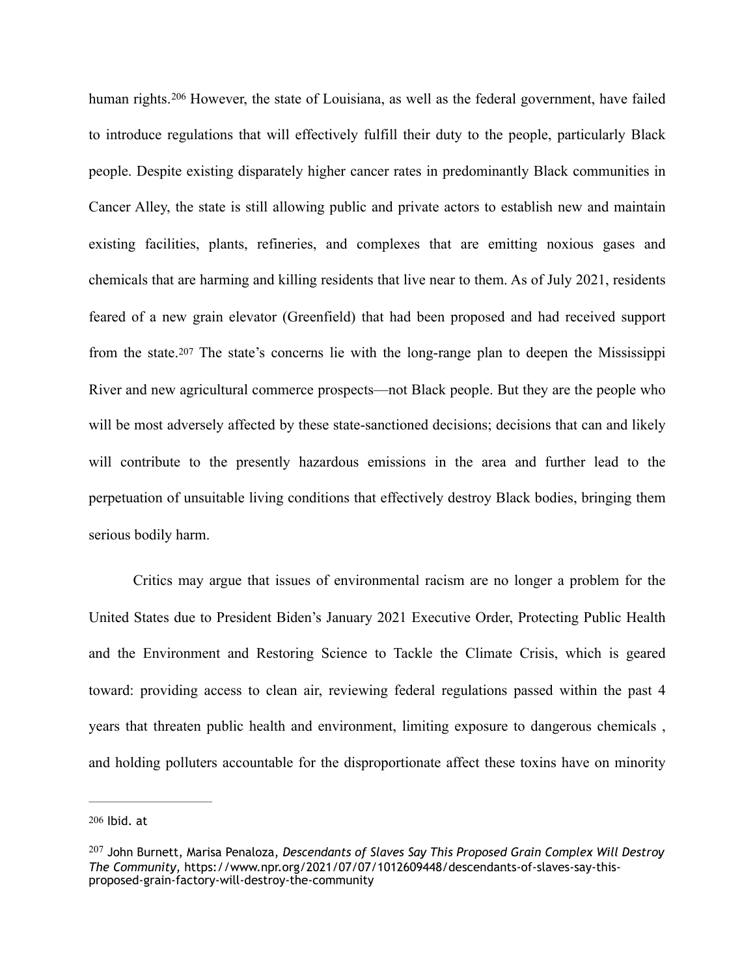<span id="page-54-2"></span>humanrights. <sup>[206](#page-54-0)</sup> However, the state of Louisiana, as well as the federal government, have failed to introduce regulations that will effectively fulfill their duty to the people, particularly Black people. Despite existing disparately higher cancer rates in predominantly Black communities in Cancer Alley, the state is still allowing public and private actors to establish new and maintain existing facilities, plants, refineries, and complexes that are emitting noxious gases and chemicals that are harming and killing residents that live near to them. As of July 2021, residents feared of a new grain elevator (Greenfield) that had been proposed and had received support from the state.[207](#page-54-1) The state's concerns lie with the long-range plan to deepen the Mississippi River and new agricultural commerce prospects—not Black people. But they are the people who will be most adversely affected by these state-sanctioned decisions; decisions that can and likely will contribute to the presently hazardous emissions in the area and further lead to the perpetuation of unsuitable living conditions that effectively destroy Black bodies, bringing them serious bodily harm.

<span id="page-54-3"></span>Critics may argue that issues of environmental racism are no longer a problem for the United States due to President Biden's January 2021 Executive Order, Protecting Public Health and the Environment and Restoring Science to Tackle the Climate Crisis, which is geared toward: providing access to clean air, reviewing federal regulations passed within the past 4 years that threaten public health and environment, limiting exposure to dangerous chemicals , and holding polluters accountable for the disproportionate affect these toxins have on minority

<span id="page-54-0"></span>[<sup>206</sup>](#page-54-2) Ibid. at

<span id="page-54-1"></span><sup>&</sup>lt;sup>[207](#page-54-3)</sup> John Burnett, Marisa Penaloza, *Descendants of Slaves Say This Proposed Grain Complex Will Destroy The Community*, https://www.npr.org/2021/07/07/1012609448/descendants-of-slaves-say-thisproposed-grain-factory-will-destroy-the-community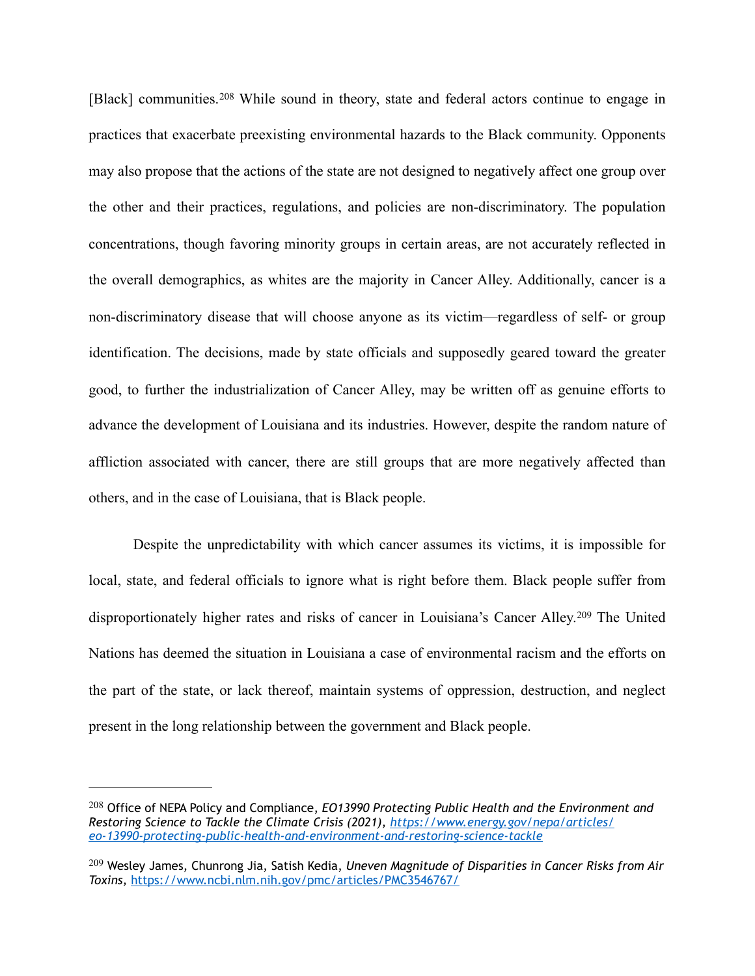<span id="page-55-2"></span>[Black]communities.<sup>[208](#page-55-0)</sup> While sound in theory, state and federal actors continue to engage in practices that exacerbate preexisting environmental hazards to the Black community. Opponents may also propose that the actions of the state are not designed to negatively affect one group over the other and their practices, regulations, and policies are non-discriminatory. The population concentrations, though favoring minority groups in certain areas, are not accurately reflected in the overall demographics, as whites are the majority in Cancer Alley. Additionally, cancer is a non-discriminatory disease that will choose anyone as its victim—regardless of self- or group identification. The decisions, made by state officials and supposedly geared toward the greater good, to further the industrialization of Cancer Alley, may be written off as genuine efforts to advance the development of Louisiana and its industries. However, despite the random nature of affliction associated with cancer, there are still groups that are more negatively affected than others, and in the case of Louisiana, that is Black people.

<span id="page-55-3"></span>Despite the unpredictability with which cancer assumes its victims, it is impossible for local, state, and federal officials to ignore what is right before them. Black people suffer from disproportionatelyhigher rates and risks of cancer in Louisiana's Cancer Alley.<sup>[209](#page-55-1)</sup> The United Nations has deemed the situation in Louisiana a case of environmental racism and the efforts on the part of the state, or lack thereof, maintain systems of oppression, destruction, and neglect present in the long relationship between the government and Black people.

<span id="page-55-0"></span><sup>&</sup>lt;sup>[208](#page-55-2)</sup> Office of NEPA Policy and Compliance, *EO13990 Protecting Public Health and the Environment and Restoring Science to Tackle the Climate Crisis (2021), [https://www.energy.gov/nepa/articles/](https://www.energy.gov/nepa/articles/eo-13990-protecting-public-health-and-environment-and-restoring-science-tackle) [eo-13990-protecting-public-health-and-environment-and-restoring-science-tackle](https://www.energy.gov/nepa/articles/eo-13990-protecting-public-health-and-environment-and-restoring-science-tackle)*

<span id="page-55-1"></span>Wesley James, Chunrong Jia, Satish Kedia, *Uneven Magnitude of Disparities in Cancer Risks from Air* [209](#page-55-3) *Toxins,* <https://www.ncbi.nlm.nih.gov/pmc/articles/PMC3546767/>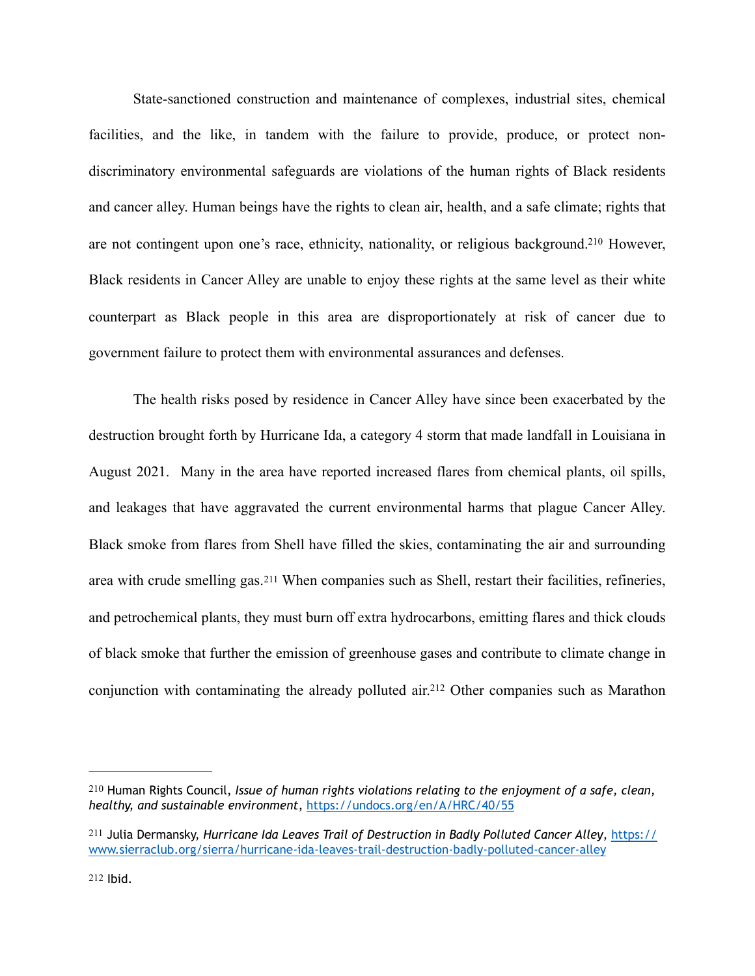<span id="page-56-3"></span>State-sanctioned construction and maintenance of complexes, industrial sites, chemical facilities, and the like, in tandem with the failure to provide, produce, or protect nondiscriminatory environmental safeguards are violations of the human rights of Black residents and cancer alley. Human beings have the rights to clean air, health, and a safe climate; rights that are not contingent upon one's race, ethnicity, nationality, or religious background[.](#page-56-0)<sup>[210](#page-56-0)</sup> However, Black residents in Cancer Alley are unable to enjoy these rights at the same level as their white counterpart as Black people in this area are disproportionately at risk of cancer due to government failure to protect them with environmental assurances and defenses.

<span id="page-56-4"></span>The health risks posed by residence in Cancer Alley have since been exacerbated by the destruction brought forth by Hurricane Ida, a category 4 storm that made landfall in Louisiana in August 2021. Many in the area have reported increased flares from chemical plants, oil spills, and leakages that have aggravated the current environmental harms that plague Cancer Alley. Black smoke from flares from Shell have filled the skies, contaminating the air and surrounding area with crude smelling gas.[211](#page-56-1) When companies such as Shell, restart their facilities, refineries, and petrochemical plants, they must burn off extra hydrocarbons, emitting flares and thick clouds of black smoke that further the emission of greenhouse gases and contribute to climate change in conjunctionwith contaminating the already polluted air.<sup>[212](#page-56-2)</sup> Other companies such as Marathon

<span id="page-56-5"></span><span id="page-56-0"></span>[<sup>210</sup>](#page-56-3) Human Rights Council, *Issue of human rights violations relating to the enjoyment of a safe, clean, healthy, and sustainable environment*, <https://undocs.org/en/A/HRC/40/55>

<span id="page-56-2"></span><span id="page-56-1"></span>[<sup>211</sup>](#page-56-4) Julia Dermansky, *Hurricane Ida Leaves Trail of Destruction in Badly Polluted Cancer Alley*, [https://](https://www.sierraclub.org/sierra/hurricane-ida-leaves-trail-destruction-badly-polluted-cancer-alley) [www.sierraclub.org/sierra/hurricane-ida-leaves-trail-destruction-badly-polluted-cancer-alley](https://www.sierraclub.org/sierra/hurricane-ida-leaves-trail-destruction-badly-polluted-cancer-alley)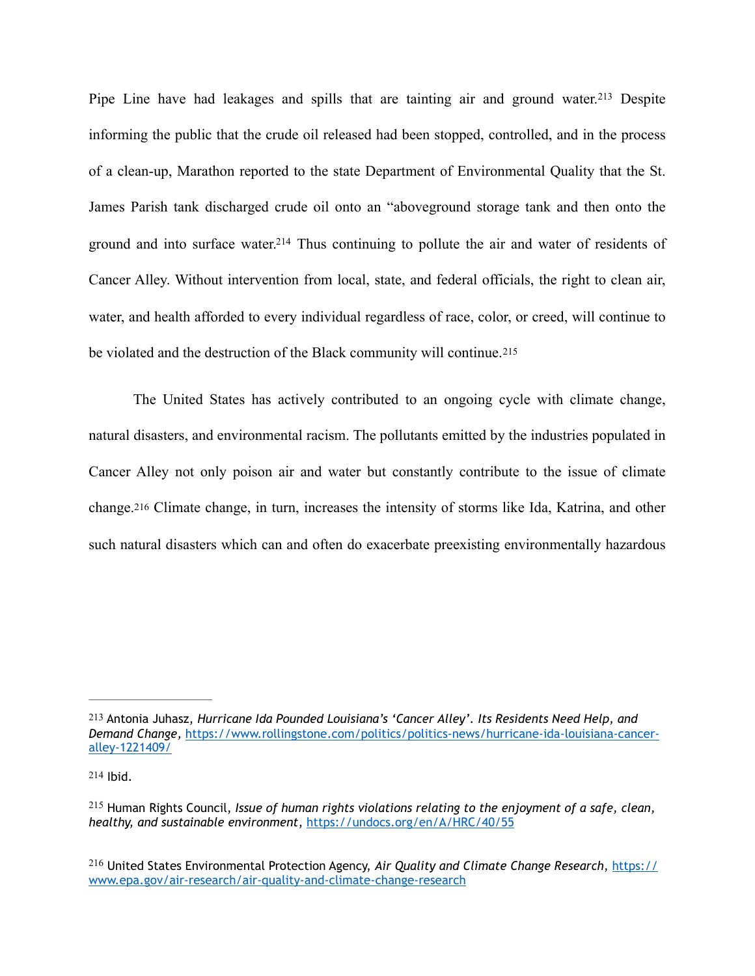<span id="page-57-5"></span><span id="page-57-4"></span>PipeLine have had leakages and spills that are tainting air and ground water.<sup>[213](#page-57-0)</sup> Despite informing the public that the crude oil released had been stopped, controlled, and in the process of a clean-up, Marathon reported to the state Department of Environmental Quality that the St. James Parish tank discharged crude oil onto an "aboveground storage tank and then onto the ground and into surface water[.](#page-57-1)<sup>[214](#page-57-1)</sup> Thus continuing to pollute the air and water of residents of Cancer Alley. Without intervention from local, state, and federal officials, the right to clean air, water, and health afforded to every individual regardless of race, color, or creed, will continue to be violated and the destruction of the Black community will continue.[215](#page-57-2) 

<span id="page-57-7"></span><span id="page-57-6"></span>The United States has actively contributed to an ongoing cycle with climate change, natural disasters, and environmental racism. The pollutants emitted by the industries populated in Cancer Alley not only poison air and water but constantly contribute to the issue of climate change.[216](#page-57-3) Climate change, in turn, increases the intensity of storms like Ida, Katrina, and other such natural disasters which can and often do exacerbate preexisting environmentally hazardous

<span id="page-57-0"></span>[<sup>213</sup>](#page-57-4) Antonia Juhasz, *Hurricane Ida Pounded Louisiana's 'Cancer Alley'. Its Residents Need Help, and Demand Change,* [https://www.rollingstone.com/politics/politics-news/hurricane-ida-louisiana-cancer](https://www.rollingstone.com/politics/politics-news/hurricane-ida-louisiana-cancer-alley-1221409/)[alley-1221409/](https://www.rollingstone.com/politics/politics-news/hurricane-ida-louisiana-cancer-alley-1221409/)

<span id="page-57-1"></span>[<sup>214</sup>](#page-57-5) Ibid.

<span id="page-57-2"></span><sup>&</sup>lt;sup>[215](#page-57-6)</sup> Human Rights Council, *Issue of human rights violations relating to the enjoyment of a safe, clean, healthy, and sustainable environment*, <https://undocs.org/en/A/HRC/40/55>

<span id="page-57-3"></span>United States Environmental Protection Agency, *Air Quality and Climate Change Research*, [https://](https://www.epa.gov/air-research/air-quality-and-climate-change-research) [216](#page-57-7) [www.epa.gov/air-research/air-quality-and-climate-change-research](https://www.epa.gov/air-research/air-quality-and-climate-change-research)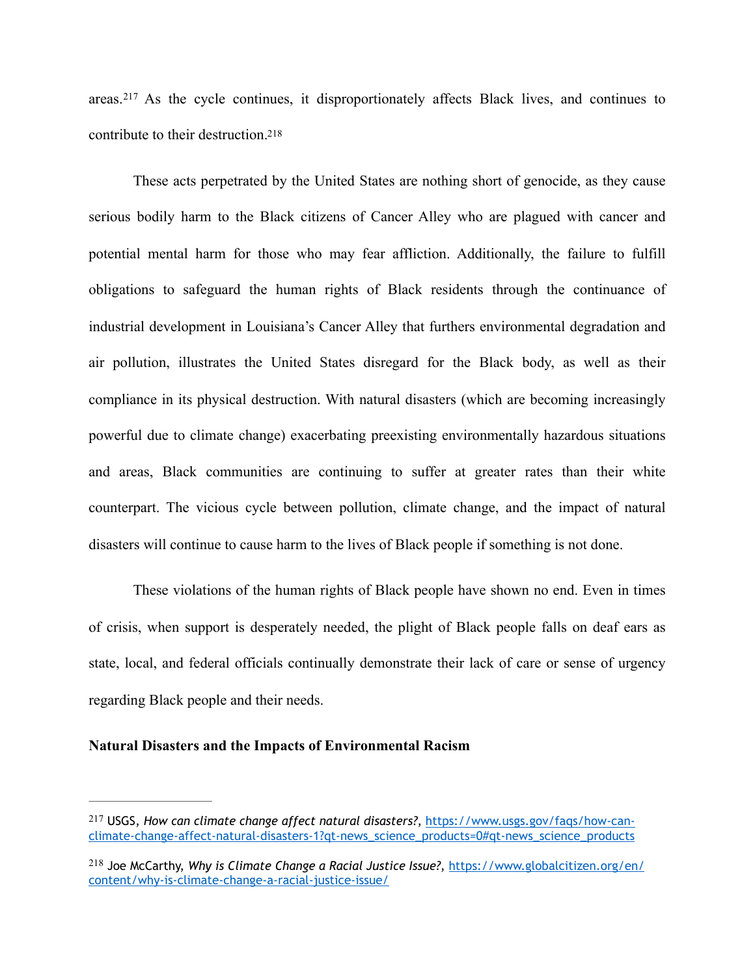<span id="page-58-3"></span><span id="page-58-2"></span>areas.<sup>217</sup>As the cycle continues, it disproportionately affects Black lives, and continues to contribute to their destruction[.218](#page-58-1)

These acts perpetrated by the United States are nothing short of genocide, as they cause serious bodily harm to the Black citizens of Cancer Alley who are plagued with cancer and potential mental harm for those who may fear affliction. Additionally, the failure to fulfill obligations to safeguard the human rights of Black residents through the continuance of industrial development in Louisiana's Cancer Alley that furthers environmental degradation and air pollution, illustrates the United States disregard for the Black body, as well as their compliance in its physical destruction. With natural disasters (which are becoming increasingly powerful due to climate change) exacerbating preexisting environmentally hazardous situations and areas, Black communities are continuing to suffer at greater rates than their white counterpart. The vicious cycle between pollution, climate change, and the impact of natural disasters will continue to cause harm to the lives of Black people if something is not done.

These violations of the human rights of Black people have shown no end. Even in times of crisis, when support is desperately needed, the plight of Black people falls on deaf ears as state, local, and federal officials continually demonstrate their lack of care or sense of urgency regarding Black people and their needs.

#### **Natural Disasters and the Impacts of Environmental Racism**

<span id="page-58-0"></span>USGS, *How can climate change affect natural disasters?*, [https://www.usgs.gov/faqs/how-can-](https://www.usgs.gov/faqs/how-can-climate-change-affect-natural-disasters-1?qt-news_science_products=0%23qt-news_science_products) [217](#page-58-2) [climate-change-affect-natural-disasters-1?qt-news\\_science\\_products=0#qt-news\\_science\\_products](https://www.usgs.gov/faqs/how-can-climate-change-affect-natural-disasters-1?qt-news_science_products=0%23qt-news_science_products)

<span id="page-58-1"></span><sup>&</sup>lt;sup>[218](#page-58-3)</sup> Joe McCarthy, *Why is Climate Change a Racial Justice Issue?*, [https://www.globalcitizen.org/en/](https://www.globalcitizen.org/en/content/why-is-climate-change-a-racial-justice-issue/) [content/why-is-climate-change-a-racial-justice-issue/](https://www.globalcitizen.org/en/content/why-is-climate-change-a-racial-justice-issue/)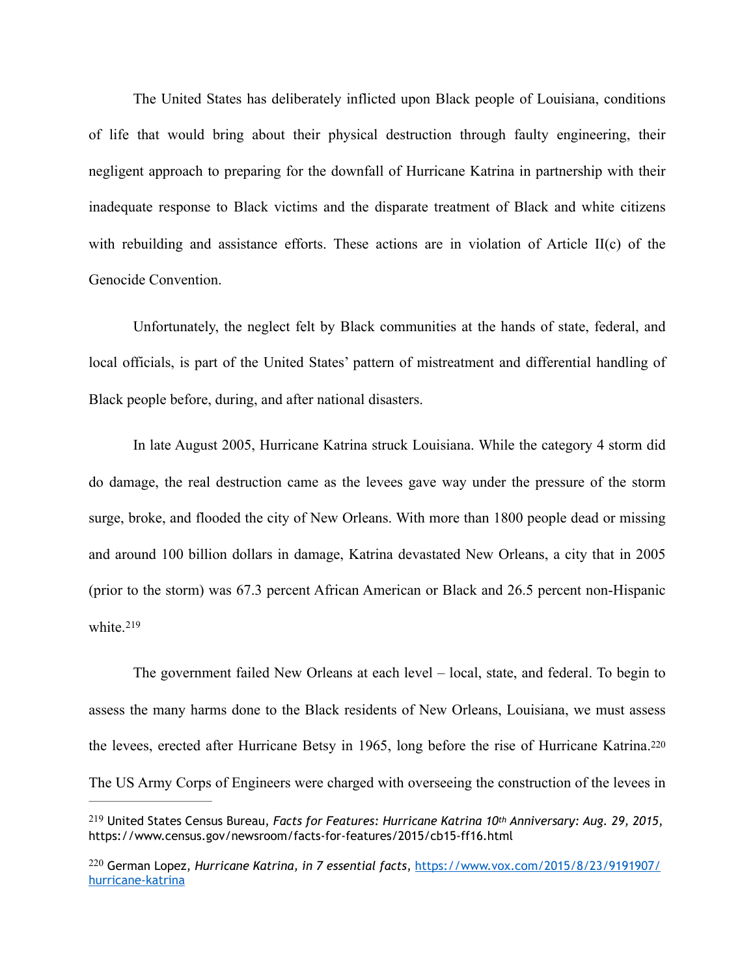The United States has deliberately inflicted upon Black people of Louisiana, conditions of life that would bring about their physical destruction through faulty engineering, their negligent approach to preparing for the downfall of Hurricane Katrina in partnership with their inadequate response to Black victims and the disparate treatment of Black and white citizens with rebuilding and assistance efforts. These actions are in violation of Article II(c) of the Genocide Convention.

Unfortunately, the neglect felt by Black communities at the hands of state, federal, and local officials, is part of the United States' pattern of mistreatment and differential handling of Black people before, during, and after national disasters.

 In late August 2005, Hurricane Katrina struck Louisiana. While the category 4 storm did do damage, the real destruction came as the levees gave way under the pressure of the storm surge, broke, and flooded the city of New Orleans. With more than 1800 people dead or missing and around 100 billion dollars in damage, Katrina devastated New Orleans, a city that in 2005 (prior to the storm) was 67.3 percent African American or Black and 26.5 percent non-Hispanic white.<sup>[219](#page-59-0)</sup>

<span id="page-59-3"></span><span id="page-59-2"></span> The government failed New Orleans at each level – local, state, and federal. To begin to assess the many harms done to the Black residents of New Orleans, Louisiana, we must assess the levees, erected after Hurricane Betsy in 1965, long before the rise of Hurricane Katrina.[220](#page-59-1) The US Army Corps of Engineers were charged with overseeing the construction of the levees in

<span id="page-59-0"></span>United States Census Bureau, *Facts for Features: Hurricane Katrina 10th Anniversary: Aug. 29, 2015*, [219](#page-59-2) https://www.census.gov/newsroom/facts-for-features/2015/cb15-ff16.html

<span id="page-59-1"></span>German Lopez, *Hurricane Katrina, in 7 essential facts*, [https://www.vox.com/2015/8/23/9191907/](https://www.vox.com/2015/8/23/9191907/hurricane-katrina) [220](#page-59-3) [hurricane-katrina](https://www.vox.com/2015/8/23/9191907/hurricane-katrina)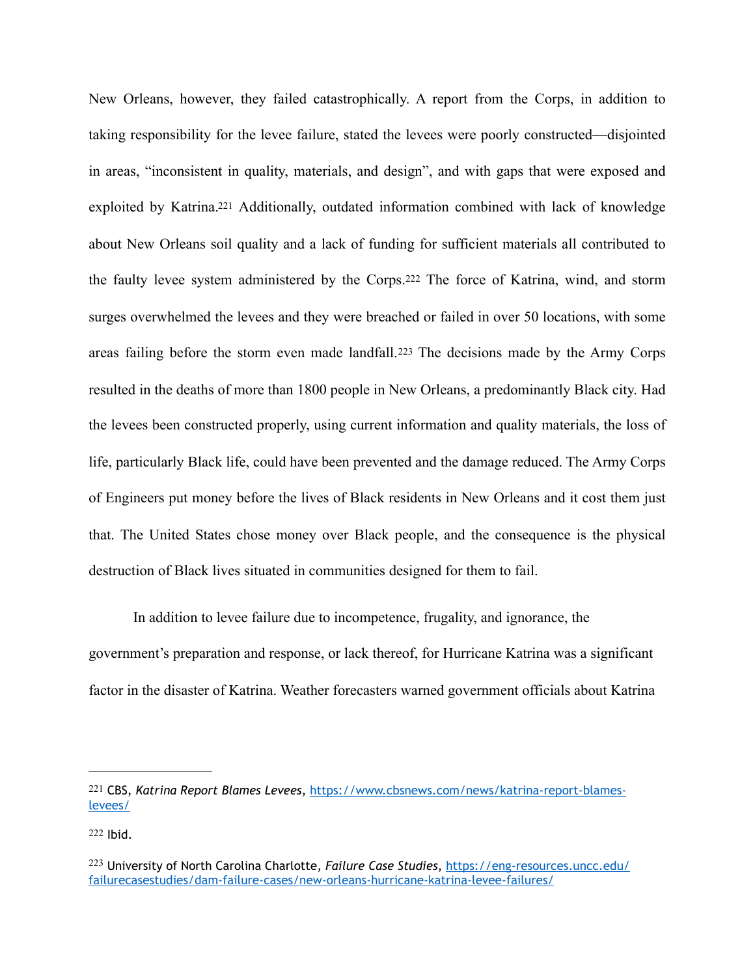<span id="page-60-5"></span><span id="page-60-4"></span><span id="page-60-3"></span>New Orleans, however, they failed catastrophically. A report from the Corps, in addition to taking responsibility for the levee failure, stated the levees were poorly constructed—disjointed in areas, "inconsistent in quality, materials, and design", and with gaps that were exposed and exploited by Katrina[.221](#page-60-0) Additionally, outdated information combined with lack of knowledge about New Orleans soil quality and a lack of funding for sufficient materials all contributed to the faulty levee system administered by the Corps.[222](#page-60-1) The force of Katrina, wind, and storm surges overwhelmed the levees and they were breached or failed in over 50 locations, with some areas failing before the storm even made landfall.[223](#page-60-2) The decisions made by the Army Corps resulted in the deaths of more than 1800 people in New Orleans, a predominantly Black city. Had the levees been constructed properly, using current information and quality materials, the loss of life, particularly Black life, could have been prevented and the damage reduced. The Army Corps of Engineers put money before the lives of Black residents in New Orleans and it cost them just that. The United States chose money over Black people, and the consequence is the physical destruction of Black lives situated in communities designed for them to fail.

In addition to levee failure due to incompetence, frugality, and ignorance, the government's preparation and response, or lack thereof, for Hurricane Katrina was a significant factor in the disaster of Katrina. Weather forecasters warned government officials about Katrina

<span id="page-60-0"></span>[<sup>221</sup>](#page-60-3) CBS, *Katrina Report Blames Levees*, [https://www.cbsnews.com/news/katrina-report-blames](https://www.cbsnews.com/news/katrina-report-blames-levees/)[levees/](https://www.cbsnews.com/news/katrina-report-blames-levees/)

<span id="page-60-1"></span>[<sup>222</sup>](#page-60-4) Ibid.

<span id="page-60-2"></span>University of North Carolina Charlotte, *Failure Case Studies*, [https://eng-resources.uncc.edu/](https://eng-resources.uncc.edu/failurecasestudies/dam-failure-cases/new-orleans-hurricane-katrina-levee-failures/) [223](#page-60-5) [failurecasestudies/dam-failure-cases/new-orleans-hurricane-katrina-levee-failures/](https://eng-resources.uncc.edu/failurecasestudies/dam-failure-cases/new-orleans-hurricane-katrina-levee-failures/)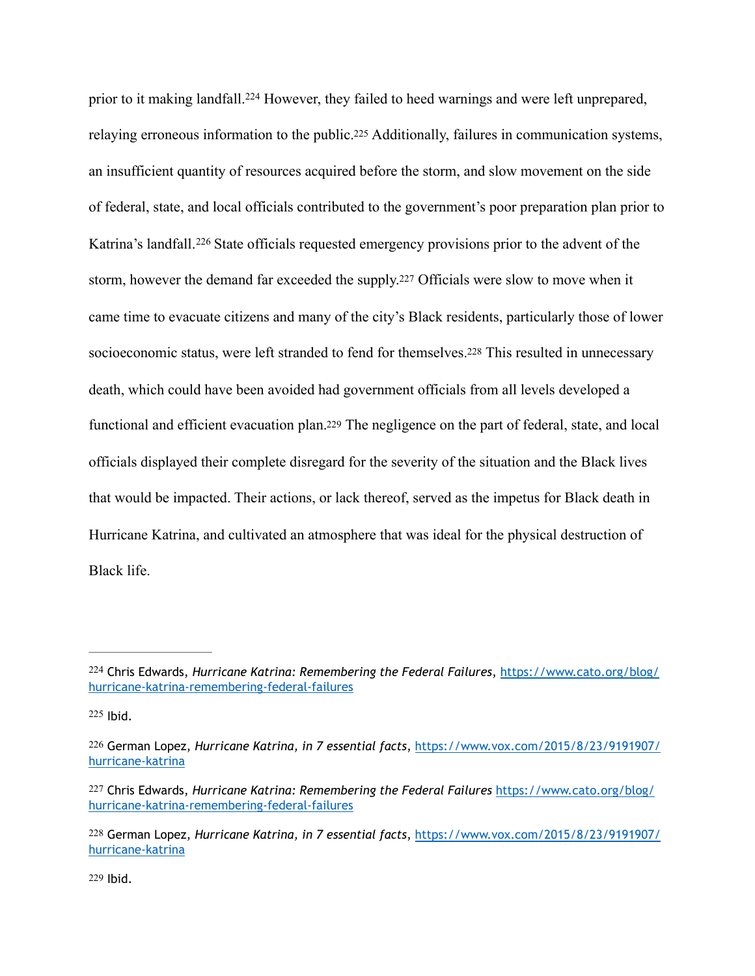<span id="page-61-10"></span><span id="page-61-9"></span><span id="page-61-8"></span><span id="page-61-7"></span><span id="page-61-6"></span>priorto it making landfall.<sup>[224](#page-61-0)</sup> However, they failed to heed warnings and were left unprepared, relaying erroneous information to the public[.225](#page-61-1) Additionally, failures in communication systems, an insufficient quantity of resources acquired before the storm, and slow movement on the side of federal, state, and local officials contributed to the government's poor preparation plan prior to Katrina'slandfall.<sup>[226](#page-61-2)</sup> State officials requested emergency provisions prior to the advent of the storm, however the demand far exceeded the supply[.227](#page-61-3) Officials were slow to move when it came time to evacuate citizens and many of the city's Black residents, particularly those of lower socioeconomic status, were left stranded to fend for themselves[.228](#page-61-4) This resulted in unnecessary death, which could have been avoided had government officials from all levels developed a functional and efficient evacuation plan[.229](#page-61-5) The negligence on the part of federal, state, and local officials displayed their complete disregard for the severity of the situation and the Black lives that would be impacted. Their actions, or lack thereof, served as the impetus for Black death in Hurricane Katrina, and cultivated an atmosphere that was ideal for the physical destruction of Black life.

<span id="page-61-5"></span>[229](#page-61-11) Ibid.

<span id="page-61-11"></span><span id="page-61-0"></span><sup>&</sup>lt;sup>[224](#page-61-6)</sup> Chris Edwards, *Hurricane Katrina: Remembering the Federal Failures*, [https://www.cato.org/blog/](https://www.cato.org/blog/hurricane-katrina-remembering-federal-failures) [hurricane-katrina-remembering-federal-failures](https://www.cato.org/blog/hurricane-katrina-remembering-federal-failures)

<span id="page-61-1"></span> $225$  Ibid.

<span id="page-61-2"></span>[<sup>226</sup>](#page-61-8) German Lopez, *Hurricane Katrina, in 7 essential facts*, [https://www.vox.com/2015/8/23/9191907/](https://www.vox.com/2015/8/23/9191907/hurricane-katrina) [hurricane-katrina](https://www.vox.com/2015/8/23/9191907/hurricane-katrina)

<span id="page-61-3"></span>[<sup>227</sup>](#page-61-9) Chris Edwards, *Hurricane Katrina: Remembering the Federal Failures* [https://www.cato.org/blog/](https://www.cato.org/blog/hurricane-katrina-remembering-federal-failures) [hurricane-katrina-remembering-federal-failures](https://www.cato.org/blog/hurricane-katrina-remembering-federal-failures)

<span id="page-61-4"></span>[<sup>228</sup>](#page-61-10) German Lopez, *Hurricane Katrina, in 7 essential facts*, [https://www.vox.com/2015/8/23/9191907/](https://www.vox.com/2015/8/23/9191907/hurricane-katrina) [hurricane-katrina](https://www.vox.com/2015/8/23/9191907/hurricane-katrina)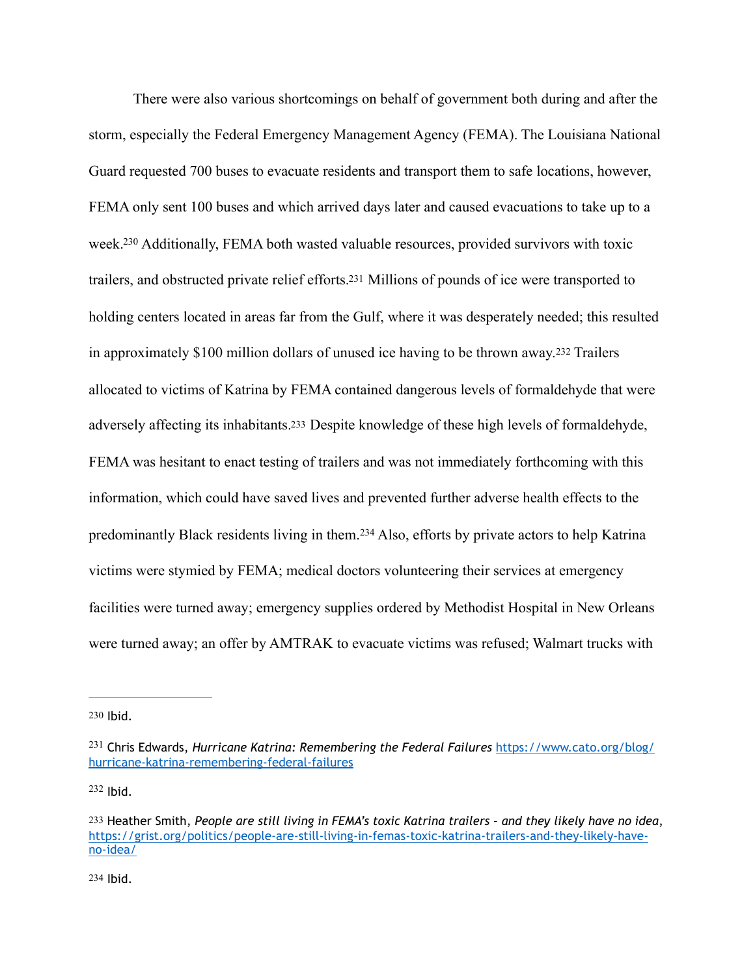<span id="page-62-7"></span><span id="page-62-6"></span><span id="page-62-5"></span> There were also various shortcomings on behalf of government both during and after the storm, especially the Federal Emergency Management Agency (FEMA). The Louisiana National Guard requested 700 buses to evacuate residents and transport them to safe locations, however, FEMA only sent 100 buses and which arrived days later and caused evacuations to take up to a week[.](#page-62-0)<sup>[230](#page-62-0)</sup> Additionally, FEMA both wasted valuable resources, provided survivors with toxic trailers, and obstructed private relief efforts[.231](#page-62-1) Millions of pounds of ice were transported to holding centers located in areas far from the Gulf, where it was desperately needed; this resulted in approximately \$100 million dollars of unused ice having to be thrown away.[232](#page-62-2) Trailers allocated to victims of Katrina by FEMA contained dangerous levels of formaldehyde that were adversely affecting its inhabitants[.233](#page-62-3) Despite knowledge of these high levels of formaldehyde, FEMA was hesitant to enact testing of trailers and was not immediately forthcoming with this information, which could have saved lives and prevented further adverse health effects to the predominantlyBlack residents living in them.<sup>[234](#page-62-4)</sup> Also, efforts by private actors to help Katrina victims were stymied by FEMA; medical doctors volunteering their services at emergency facilities were turned away; emergency supplies ordered by Methodist Hospital in New Orleans were turned away; an offer by AMTRAK to evacuate victims was refused; Walmart trucks with

<span id="page-62-2"></span> $232$  Ibid.

<span id="page-62-4"></span>[234](#page-62-9) Ibid.

<span id="page-62-9"></span><span id="page-62-8"></span><span id="page-62-0"></span>[<sup>230</sup>](#page-62-5) Ibid.

<span id="page-62-1"></span><sup>&</sup>lt;sup>[231](#page-62-6)</sup> Chris Edwards, *Hurricane Katrina: Remembering the Federal Failures [https://www.cato.org/blog/](https://www.cato.org/blog/hurricane-katrina-remembering-federal-failures)* [hurricane-katrina-remembering-federal-failures](https://www.cato.org/blog/hurricane-katrina-remembering-federal-failures)

<span id="page-62-3"></span>[<sup>233</sup>](#page-62-8) Heather Smith, *People are still living in FEMA's toxic Katrina trailers – and they likely have no idea*, [https://grist.org/politics/people-are-still-living-in-femas-toxic-katrina-trailers-and-they-likely-have](https://grist.org/politics/people-are-still-living-in-femas-toxic-katrina-trailers-and-they-likely-have-no-idea/)[no-idea/](https://grist.org/politics/people-are-still-living-in-femas-toxic-katrina-trailers-and-they-likely-have-no-idea/)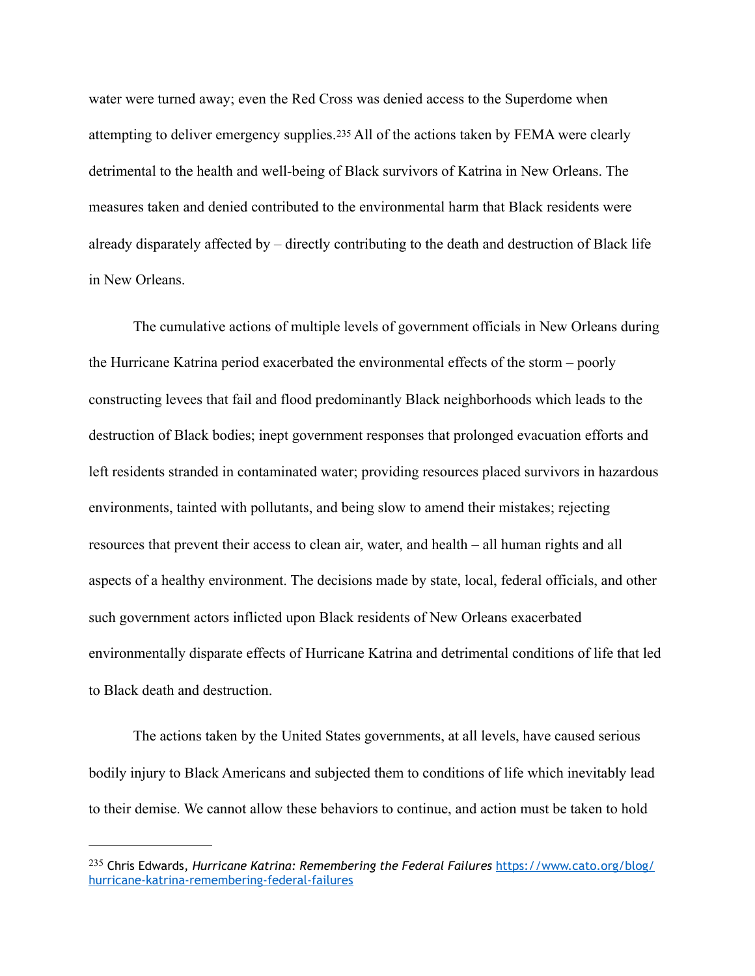<span id="page-63-1"></span>water were turned away; even the Red Cross was denied access to the Superdome when attempting to deliver emergency supplies.[235](#page-63-0) All of the actions taken by FEMA were clearly detrimental to the health and well-being of Black survivors of Katrina in New Orleans. The measures taken and denied contributed to the environmental harm that Black residents were already disparately affected by – directly contributing to the death and destruction of Black life in New Orleans.

 The cumulative actions of multiple levels of government officials in New Orleans during the Hurricane Katrina period exacerbated the environmental effects of the storm – poorly constructing levees that fail and flood predominantly Black neighborhoods which leads to the destruction of Black bodies; inept government responses that prolonged evacuation efforts and left residents stranded in contaminated water; providing resources placed survivors in hazardous environments, tainted with pollutants, and being slow to amend their mistakes; rejecting resources that prevent their access to clean air, water, and health – all human rights and all aspects of a healthy environment. The decisions made by state, local, federal officials, and other such government actors inflicted upon Black residents of New Orleans exacerbated environmentally disparate effects of Hurricane Katrina and detrimental conditions of life that led to Black death and destruction.

 The actions taken by the United States governments, at all levels, have caused serious bodily injury to Black Americans and subjected them to conditions of life which inevitably lead to their demise. We cannot allow these behaviors to continue, and action must be taken to hold

<span id="page-63-0"></span>Chris Edwards, *Hurricane Katrina: Remembering the Federal Failures* [https://www.cato.org/blog/](https://www.cato.org/blog/hurricane-katrina-remembering-federal-failures) [235](#page-63-1) [hurricane-katrina-remembering-federal-failures](https://www.cato.org/blog/hurricane-katrina-remembering-federal-failures)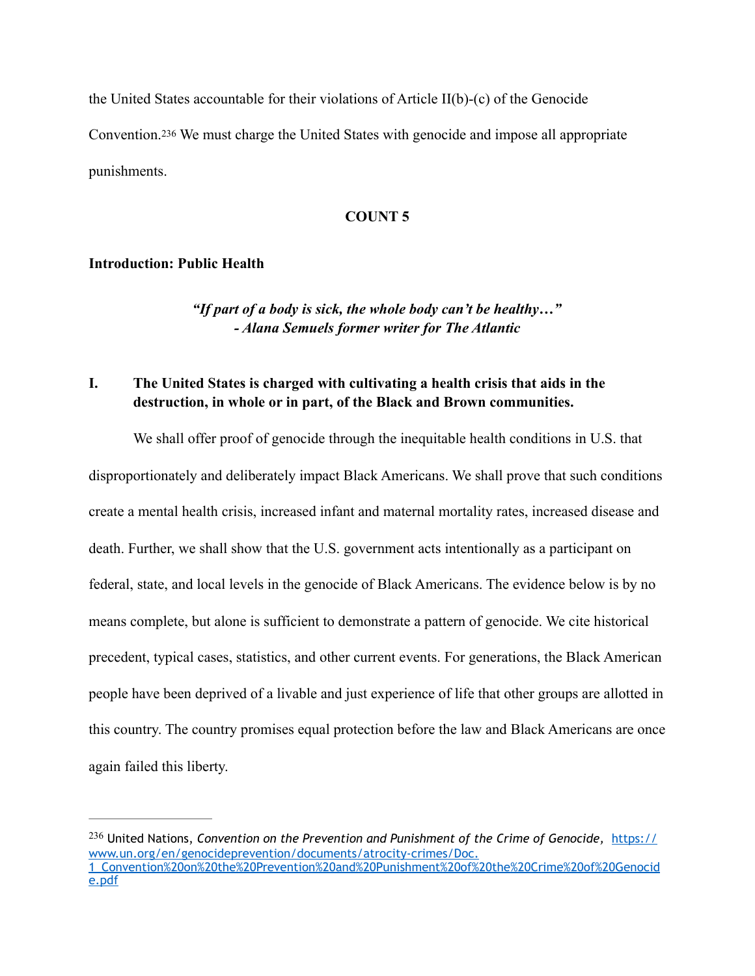<span id="page-64-1"></span>the United States accountable for their violations of Article II(b)-(c) of the Genocide Convention.[236](#page-64-0) We must charge the United States with genocide and impose all appropriate punishments.

#### **COUNT 5**

#### **Introduction: Public Health**

*"If part of a body is sick, the whole body can't be healthy…" - Alana Semuels former writer for The Atlantic*

### **I. The United States is charged with cultivating a health crisis that aids in the destruction, in whole or in part, of the Black and Brown communities.**

 We shall offer proof of genocide through the inequitable health conditions in U.S. that disproportionately and deliberately impact Black Americans. We shall prove that such conditions create a mental health crisis, increased infant and maternal mortality rates, increased disease and death. Further, we shall show that the U.S. government acts intentionally as a participant on federal, state, and local levels in the genocide of Black Americans. The evidence below is by no means complete, but alone is sufficient to demonstrate a pattern of genocide. We cite historical precedent, typical cases, statistics, and other current events. For generations, the Black American people have been deprived of a livable and just experience of life that other groups are allotted in this country. The country promises equal protection before the law and Black Americans are once again failed this liberty.

<span id="page-64-0"></span><sup>[236](#page-64-1)</sup> United Nations, *Convention on the Prevention and Punishment of the Crime of Genocide, [https://](https://www.un.org/en/genocideprevention/documents/atrocity-crimes/Doc.1_Convention%2520on%2520the%2520Prevention%2520and%2520Punishment%2520of%2520the%2520Crime%2520of%2520Genocide.pdf)* [www.un.org/en/genocideprevention/documents/atrocity-crimes/Doc.](https://www.un.org/en/genocideprevention/documents/atrocity-crimes/Doc.1_Convention%2520on%2520the%2520Prevention%2520and%2520Punishment%2520of%2520the%2520Crime%2520of%2520Genocide.pdf) [1\\_Convention%20on%20the%20Prevention%20and%20Punishment%20of%20the%20Crime%20of%20Genocid](https://www.un.org/en/genocideprevention/documents/atrocity-crimes/Doc.1_Convention%2520on%2520the%2520Prevention%2520and%2520Punishment%2520of%2520the%2520Crime%2520of%2520Genocide.pdf) [e.pdf](https://www.un.org/en/genocideprevention/documents/atrocity-crimes/Doc.1_Convention%2520on%2520the%2520Prevention%2520and%2520Punishment%2520of%2520the%2520Crime%2520of%2520Genocide.pdf)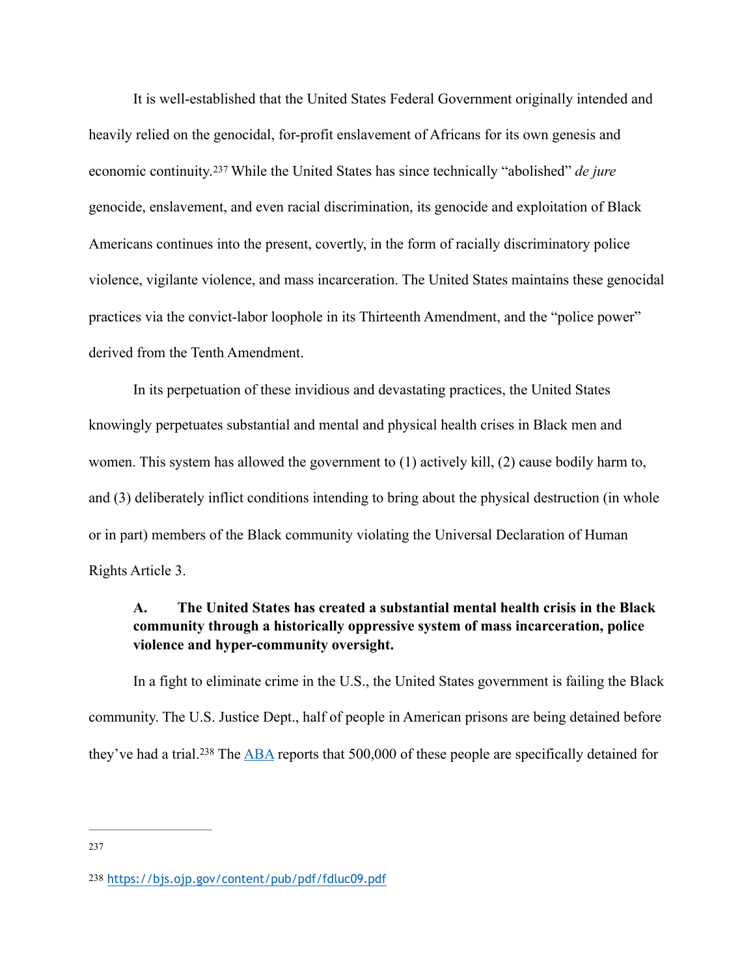<span id="page-65-2"></span> It is well-established that the United States Federal Government originally intended and heavily relied on the genocidal, for-profit enslavement of Africans for its own genesis and economiccontinuity.<sup>237</sup> While the United States has since technically "abolished" *de jure* genocide, enslavement, and even racial discrimination, its genocide and exploitation of Black Americans continues into the present, covertly, in the form of racially discriminatory police violence, vigilante violence, and mass incarceration. The United States maintains these genocidal practices via the convict-labor loophole in its Thirteenth Amendment, and the "police power" derived from the Tenth Amendment.

 In its perpetuation of these invidious and devastating practices, the United States knowingly perpetuates substantial and mental and physical health crises in Black men and women. This system has allowed the government to (1) actively kill, (2) cause bodily harm to, and (3) deliberately inflict conditions intending to bring about the physical destruction (in whole or in part) members of the Black community violating the Universal Declaration of Human Rights Article 3.

## **A. The United States has created a substantial mental health crisis in the Black community through a historically oppressive system of mass incarceration, police violence and hyper-community oversight.**

<span id="page-65-3"></span> In a fight to eliminate crime in the U.S., the United States government is failing the Black community. The U.S. Justice Dept., half of people in American prisons are being detained before they'vehad a trial.<sup>238</sup> The [ABA](https://www.americanbar.org/groups/crsj/publications/human_rights_magazine_home/economic-justice/criminal-justice-debt-problems/) reports that  $500,000$  of these people are specifically detained for

<span id="page-65-0"></span>[<sup>237</sup>](#page-65-2)

<span id="page-65-1"></span>[<sup>238</sup>](#page-65-3) <https://bjs.ojp.gov/content/pub/pdf/fdluc09.pdf>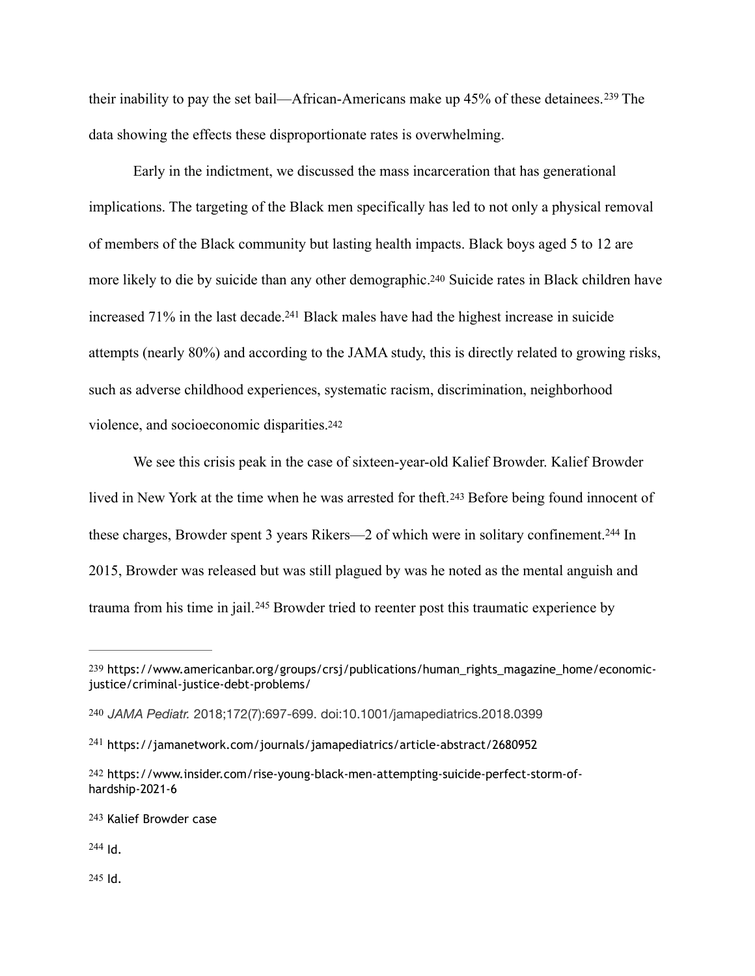<span id="page-66-7"></span>theirinability to pay the set bail—African-Americans make up  $45\%$  of these detainees.<sup>[239](#page-66-0)</sup> The data showing the effects these disproportionate rates is overwhelming.

<span id="page-66-9"></span><span id="page-66-8"></span> Early in the indictment, we discussed the mass incarceration that has generational implications. The targeting of the Black men specifically has led to not only a physical removal of members of the Black community but lasting health impacts. Black boys aged 5 to 12 are more likely to die by suicide than any other demographic[.240](#page-66-1) Suicide rates in Black children have increased  $71\%$  in the last decade[.](#page-66-2)<sup>[241](#page-66-2)</sup> Black males have had the highest increase in suicide attempts (nearly 80%) and according to the JAMA study, this is directly related to growing risks, such as adverse childhood experiences, systematic racism, discrimination, neighborhood violence, and socioeconomic disparities[.242](#page-66-3)

<span id="page-66-12"></span><span id="page-66-11"></span><span id="page-66-10"></span> We see this crisis peak in the case of sixteen-year-old Kalief Browder. Kalief Browder lived in New York at the time when he was arrested for theft.[243](#page-66-4) Before being found innocent of thesecharges, Browder spent 3 years Rikers—2 of which were in solitary confinement.<sup>[244](#page-66-5)</sup> In 2015, Browder was released but was still plagued by was he noted as the mental anguish and traumafrom his time in jail.<sup>[245](#page-66-6)</sup> Browder tried to reenter post this traumatic experience by

<span id="page-66-5"></span> $244$  Id.

<span id="page-66-6"></span>[245](#page-66-13) Id.

<span id="page-66-13"></span><span id="page-66-0"></span>[<sup>239</sup>](#page-66-7) https://www.americanbar.org/groups/crsj/publications/human\_rights\_magazine\_home/economicjustice/criminal-justice-debt-problems/

<span id="page-66-1"></span>[<sup>240</sup>](#page-66-8) *JAMA Pediatr.* 2018;172(7):697-699. doi:10.1001/jamapediatrics.2018.0399

<span id="page-66-2"></span><sup>&</sup>lt;sup>[241](#page-66-9)</sup> https://jamanetwork.com/journals/jamapediatrics/article-abstract/2680952

<span id="page-66-3"></span>[<sup>242</sup>](#page-66-10) https://www.insider.com/rise-young-black-men-attempting-suicide-perfect-storm-ofhardship-2021-6

<span id="page-66-4"></span>[<sup>243</sup>](#page-66-11) Kalief Browder case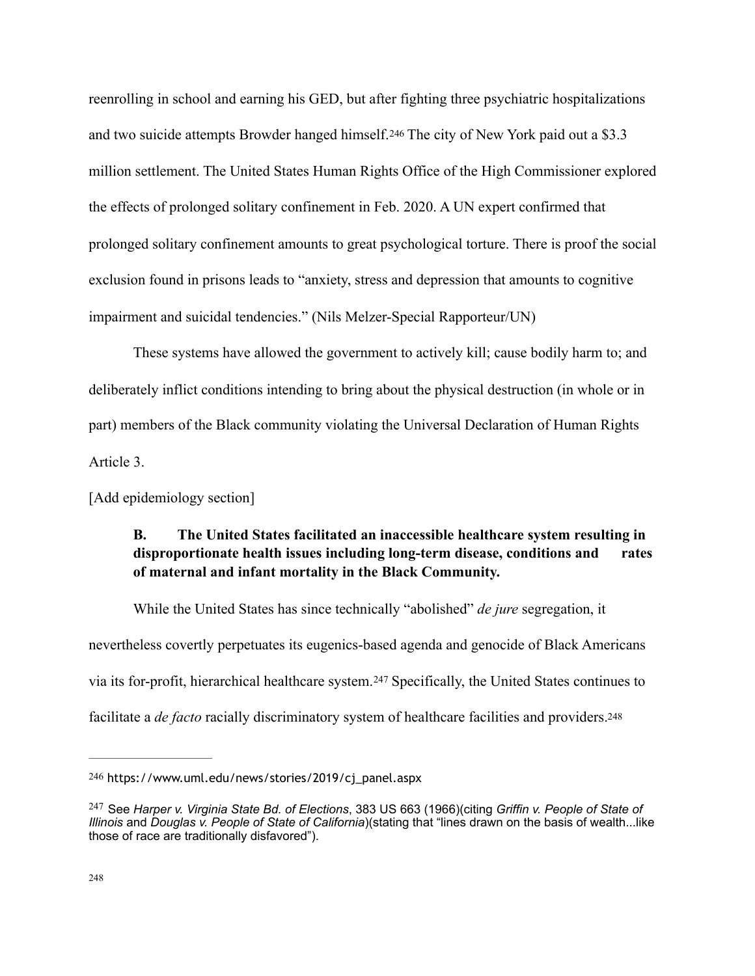<span id="page-67-3"></span>reenrolling in school and earning his GED, but after fighting three psychiatric hospitalizations and two suicide attempts Browder hanged himself.[246](#page-67-0) The city of New York paid out a \$3.3 million settlement. The United States Human Rights Office of the High Commissioner explored the effects of prolonged solitary confinement in Feb. 2020. A UN expert confirmed that prolonged solitary confinement amounts to great psychological torture. There is proof the social exclusion found in prisons leads to "anxiety, stress and depression that amounts to cognitive impairment and suicidal tendencies." (Nils Melzer-Special Rapporteur/UN)

 These systems have allowed the government to actively kill; cause bodily harm to; and deliberately inflict conditions intending to bring about the physical destruction (in whole or in part) members of the Black community violating the Universal Declaration of Human Rights Article 3.

[Add epidemiology section]

## <span id="page-67-5"></span><span id="page-67-4"></span>**B. The United States facilitated an inaccessible healthcare system resulting in disproportionate health issues including long-term disease, conditions and rates of maternal and infant mortality in the Black Community.**

 While the United States has since technically "abolished" *de jure* segregation, it nevertheless covertly perpetuates its eugenics-based agenda and genocide of Black Americans viaits for-profit, hierarchical healthcare system.<sup>[247](#page-67-1)</sup> Specifically, the United States continues to facilitate a *de facto* racially discriminatory system of healthcare facilities and providers.<sup>248</sup>

<span id="page-67-0"></span>[<sup>246</sup>](#page-67-3) https://www.uml.edu/news/stories/2019/cj\_panel.aspx

<span id="page-67-2"></span><span id="page-67-1"></span>See *Harper v. Virginia State Bd. of Elections*, 383 US 663 (1966)(citing *Griffin v. People of State of* [247](#page-67-4) *Illinois* and *Douglas v. People of State of California*)(stating that "lines drawn on the basis of wealth...like those of race are traditionally disfavored").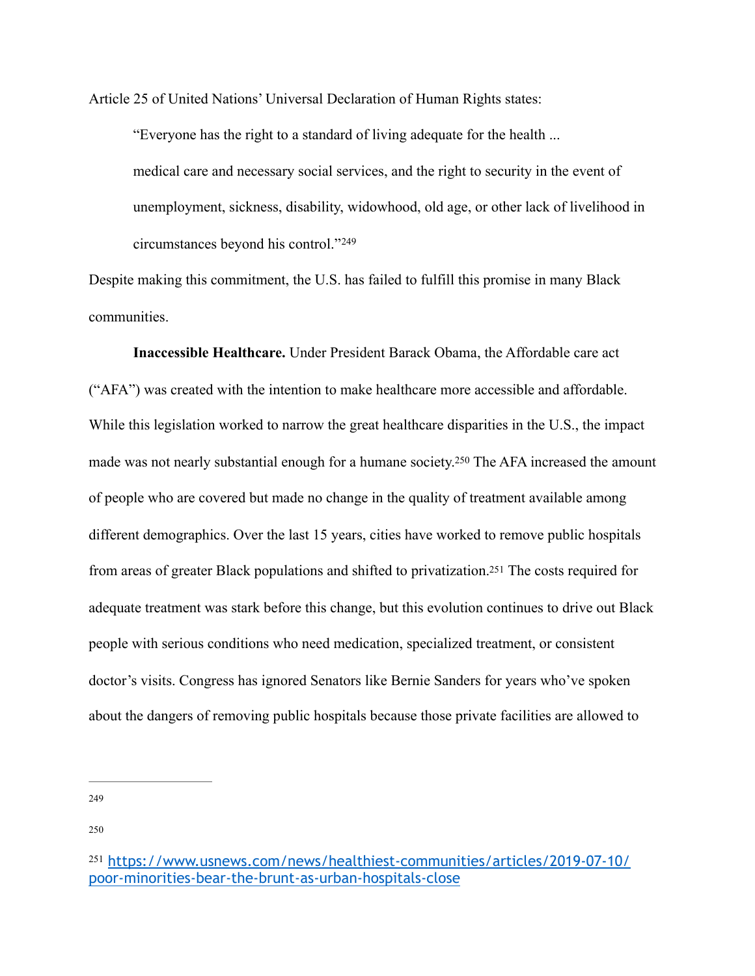Article 25 of United Nations' Universal Declaration of Human Rights states:

<span id="page-68-3"></span> "Everyone has the right to a standard of living adequate for the health ... medical care and necessary social services, and the right to security in the event of unemployment, sickness, disability, widowhood, old age, or other lack of livelihood in circumstances beyond his control." [249](#page-68-0)

Despite making this commitment, the U.S. has failed to fulfill this promise in many Black communities.

<span id="page-68-5"></span><span id="page-68-4"></span> **Inaccessible Healthcare.** Under President Barack Obama, the Affordable care act ("AFA") was created with the intention to make healthcare more accessible and affordable. While this legislation worked to narrow the great healthcare disparities in the U.S., the impact made was not nearly substantial enough for a humane society[.](#page-68-1)<sup>[250](#page-68-1)</sup> The AFA increased the amount of people who are covered but made no change in the quality of treatment available among different demographics. Over the last 15 years, cities have worked to remove public hospitals from areas of greater Black populations and shifted to privatization[.251](#page-68-2) The costs required for adequate treatment was stark before this change, but this evolution continues to drive out Black people with serious conditions who need medication, specialized treatment, or consistent doctor's visits. Congress has ignored Senators like Bernie Sanders for years who've spoken about the dangers of removing public hospitals because those private facilities are allowed to

<span id="page-68-0"></span>[249](#page-68-3)

<span id="page-68-1"></span>[250](#page-68-4)

<span id="page-68-2"></span>[<sup>251</sup>](#page-68-5) [https://www.usnews.com/news/healthiest-communities/articles/2019-07-10/](https://www.usnews.com/news/healthiest-communities/articles/2019-07-10/poor-minorities-bear-the-brunt-as-urban-hospitals-close) [poor-minorities-bear-the-brunt-as-urban-hospitals-close](https://www.usnews.com/news/healthiest-communities/articles/2019-07-10/poor-minorities-bear-the-brunt-as-urban-hospitals-close)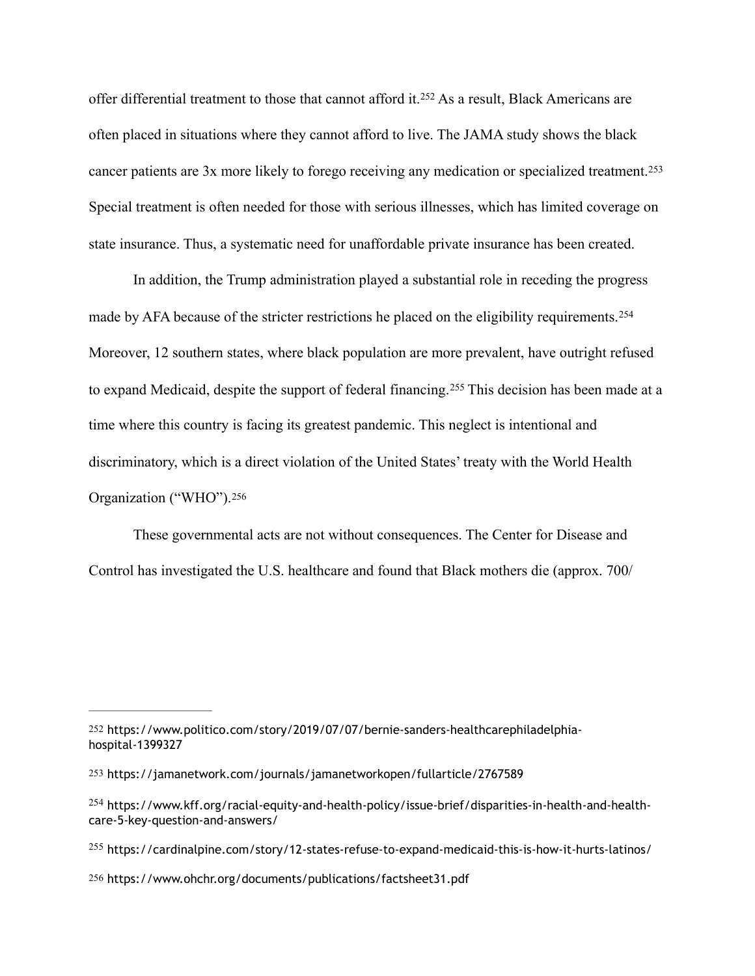<span id="page-69-6"></span><span id="page-69-5"></span>offerdifferential treatment to those that cannot afford it.<sup>[252](#page-69-0)</sup> As a result, Black Americans are often placed in situations where they cannot afford to live. The JAMA study shows the black cancer patients are 3x more likely to forego receiving any medication or specialized treatment.[253](#page-69-1) Special treatment is often needed for those with serious illnesses, which has limited coverage on state insurance. Thus, a systematic need for unaffordable private insurance has been created.

<span id="page-69-8"></span><span id="page-69-7"></span> In addition, the Trump administration played a substantial role in receding the progress made by AFA because of the stricter restrictions he placed on the eligibility requirements.<sup>[254](#page-69-2)</sup> Moreover, 12 southern states, where black population are more prevalent, have outright refused toexpand Medicaid, despite the support of federal financing.<sup>[255](#page-69-3)</sup> This decision has been made at a time where this country is facing its greatest pandemic. This neglect is intentional and discriminatory, which is a direct violation of the United States' treaty with the World Health Organization ("WHO").[256](#page-69-4)

<span id="page-69-9"></span> These governmental acts are not without consequences. The Center for Disease and Control has investigated the U.S. healthcare and found that Black mothers die (approx. 700/

<span id="page-69-0"></span>[<sup>252</sup>](#page-69-5) https://www.politico.com/story/2019/07/07/bernie-sanders-healthcarephiladelphiahospital-1399327

<span id="page-69-1"></span>[<sup>253</sup>](#page-69-6) https://jamanetwork.com/journals/jamanetworkopen/fullarticle/2767589

<span id="page-69-2"></span><sup>&</sup>lt;sup>[254](#page-69-7)</sup> https://www.kff.org/racial-equity-and-health-policy/issue-brief/disparities-in-health-and-healthcare-5-key-question-and-answers/

<span id="page-69-3"></span><sup>&</sup>lt;sup>[255](#page-69-8)</sup> https://cardinalpine.com/story/12-states-refuse-to-expand-medicaid-this-is-how-it-hurts-latinos/

<span id="page-69-4"></span>[<sup>256</sup>](#page-69-9) https://www.ohchr.org/documents/publications/factsheet31.pdf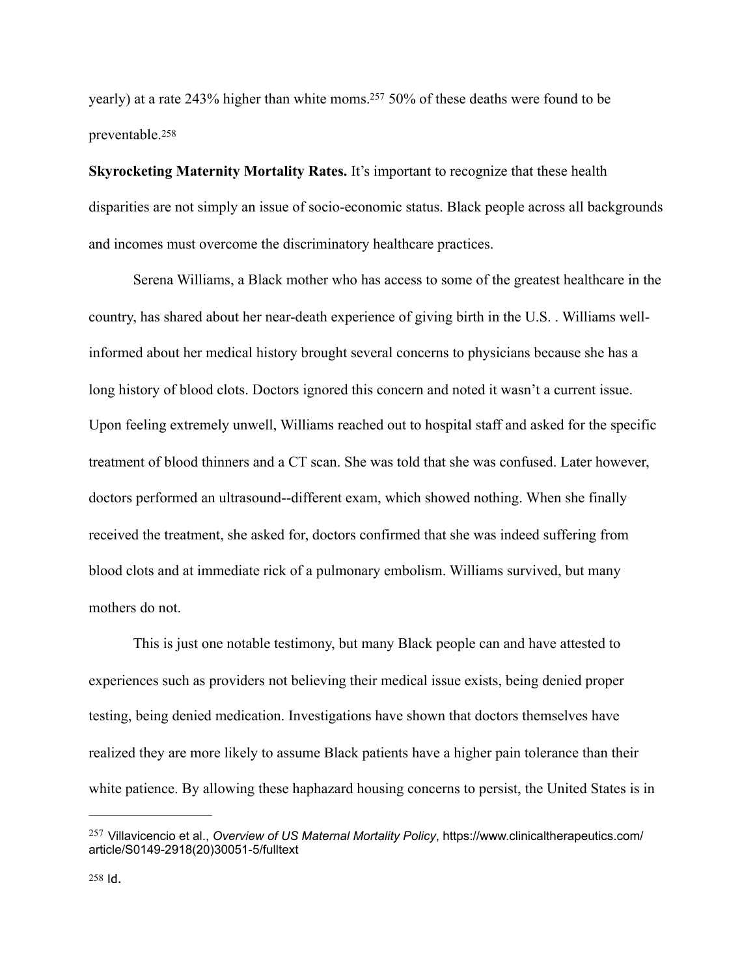<span id="page-70-3"></span><span id="page-70-2"></span>yearly) at a rate 243% higher than white moms[.](#page-70-0)<sup>[257](#page-70-0)</sup> 50% of these deaths were found to be preventable.[258](#page-70-1)

**Skyrocketing Maternity Mortality Rates.** It's important to recognize that these health disparities are not simply an issue of socio-economic status. Black people across all backgrounds and incomes must overcome the discriminatory healthcare practices.

 Serena Williams, a Black mother who has access to some of the greatest healthcare in the country, has shared about her near-death experience of giving birth in the U.S. . Williams wellinformed about her medical history brought several concerns to physicians because she has a long history of blood clots. Doctors ignored this concern and noted it wasn't a current issue. Upon feeling extremely unwell, Williams reached out to hospital staff and asked for the specific treatment of blood thinners and a CT scan. She was told that she was confused. Later however, doctors performed an ultrasound--different exam, which showed nothing. When she finally received the treatment, she asked for, doctors confirmed that she was indeed suffering from blood clots and at immediate rick of a pulmonary embolism. Williams survived, but many mothers do not.

 This is just one notable testimony, but many Black people can and have attested to experiences such as providers not believing their medical issue exists, being denied proper testing, being denied medication. Investigations have shown that doctors themselves have realized they are more likely to assume Black patients have a higher pain tolerance than their white patience. By allowing these haphazard housing concerns to persist, the United States is in

<span id="page-70-1"></span><span id="page-70-0"></span>Villavicencio et al., *Overview of US Maternal Mortality Policy*, https://www.clinicaltherapeutics.com/ [257](#page-70-2) article/S0149-2918(20)30051-5/fulltext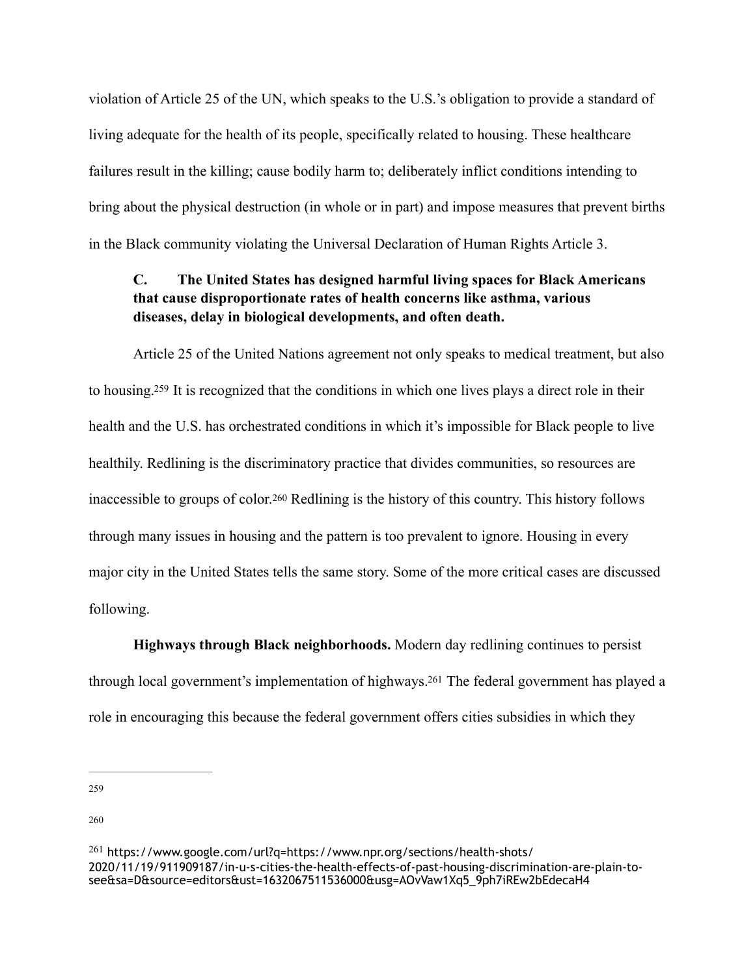violation of Article 25 of the UN, which speaks to the U.S.'s obligation to provide a standard of living adequate for the health of its people, specifically related to housing. These healthcare failures result in the killing; cause bodily harm to; deliberately inflict conditions intending to bring about the physical destruction (in whole or in part) and impose measures that prevent births in the Black community violating the Universal Declaration of Human Rights Article 3.

## **C. The United States has designed harmful living spaces for Black Americans that cause disproportionate rates of health concerns like asthma, various diseases, delay in biological developments, and often death.**

<span id="page-71-4"></span><span id="page-71-3"></span> Article 25 of the United Nations agreement not only speaks to medical treatment, but also to housing[.](#page-71-0)<sup>[259](#page-71-0)</sup> It is recognized that the conditions in which one lives plays a direct role in their health and the U.S. has orchestrated conditions in which it's impossible for Black people to live healthily. Redlining is the discriminatory practice that divides communities, so resources are inaccessible to groups of color.[260](#page-71-1) Redlining is the history of this country. This history follows through many issues in housing and the pattern is too prevalent to ignore. Housing in every major city in the United States tells the same story. Some of the more critical cases are discussed following.

<span id="page-71-5"></span> **Highways through Black neighborhoods.** Modern day redlining continues to persist through local government's implementation of highways.<sup>[261](#page-71-2)</sup> The federal government has played a role in encouraging this because the federal government offers cities subsidies in which they

<span id="page-71-0"></span>[259](#page-71-3)

<span id="page-71-1"></span>[260](#page-71-4)

<span id="page-71-2"></span><sup>&</sup>lt;sup>[261](#page-71-5)</sup> https://www.google.com/url?q=https://www.npr.org/sections/health-shots/ 2020/11/19/911909187/in-u-s-cities-the-health-effects-of-past-housing-discrimination-are-plain-tosee&sa=D&source=editors&ust=1632067511536000&usg=AOvVaw1Xq5\_9ph7iREw2bEdecaH4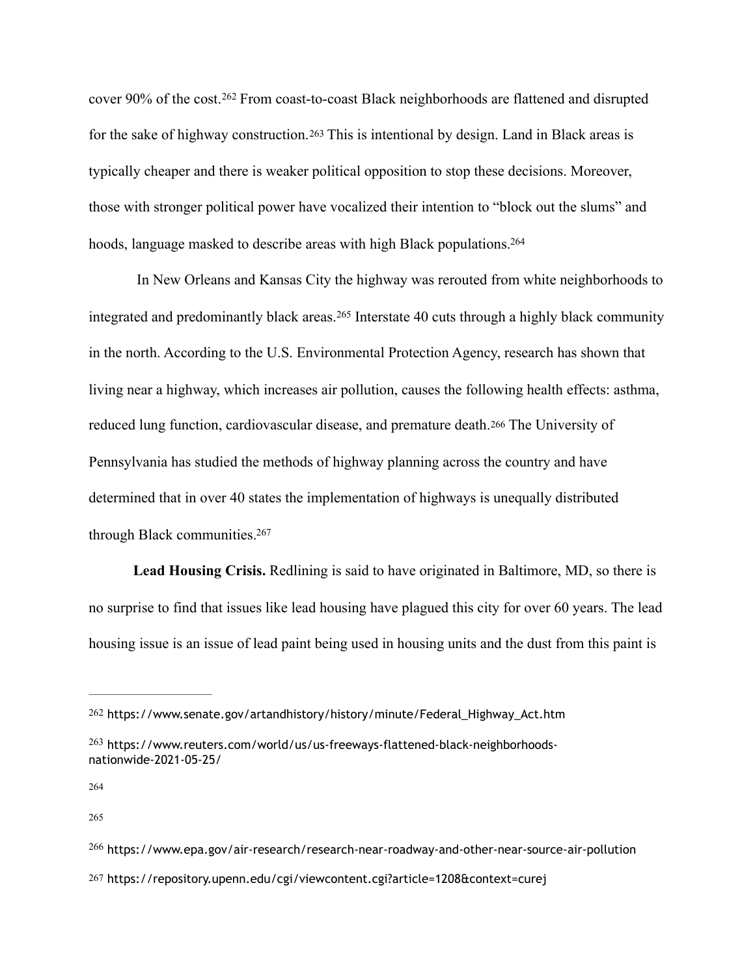<span id="page-72-7"></span><span id="page-72-6"></span>cover90% of the cost.<sup>[262](#page-72-0)</sup> From coast-to-coast Black neighborhoods are flattened and disrupted for the sake of highway construction.[263](#page-72-1) This is intentional by design. Land in Black areas is typically cheaper and there is weaker political opposition to stop these decisions. Moreover, those with stronger political power have vocalized their intention to "block out the slums" and hoods, language masked to describe areas with high Black populations[.](#page-72-2) [264](#page-72-2)

<span id="page-72-10"></span><span id="page-72-9"></span><span id="page-72-8"></span> In New Orleans and Kansas City the highway was rerouted from white neighborhoods to integratedand predominantly black areas.<sup>[265](#page-72-3)</sup> Interstate 40 cuts through a highly black community in the north. According to the U.S. Environmental Protection Agency, research has shown that living near a highway, which increases air pollution, causes the following health effects: asthma, reduced lung function, cardiovascular disease, and premature death.[266](#page-72-4) The University of Pennsylvania has studied the methods of highway planning across the country and have determined that in over 40 states the implementation of highways is unequally distributed through Black communities[.](#page-72-5) [267](#page-72-5)

<span id="page-72-11"></span> **Lead Housing Crisis.** Redlining is said to have originated in Baltimore, MD, so there is no surprise to find that issues like lead housing have plagued this city for over 60 years. The lead housing issue is an issue of lead paint being used in housing units and the dust from this paint is

<span id="page-72-3"></span>[265](#page-72-9)

<span id="page-72-0"></span>[<sup>262</sup>](#page-72-6) https://www.senate.gov/artandhistory/history/minute/Federal\_Highway\_Act.htm

<span id="page-72-1"></span><sup>&</sup>lt;sup>[263](#page-72-7)</sup> https://www.reuters.com/world/us/us-freeways-flattened-black-neighborhoodsnationwide-2021-05-25/

<span id="page-72-2"></span>[<sup>264</sup>](#page-72-8)

<span id="page-72-5"></span><span id="page-72-4"></span> $^{266}$  $^{266}$  $^{266}$  https://www.epa.gov/air-research/research-near-roadway-and-other-near-source-air-pollution [267](#page-72-11) https://repository.upenn.edu/cgi/viewcontent.cgi?article=1208&context=curej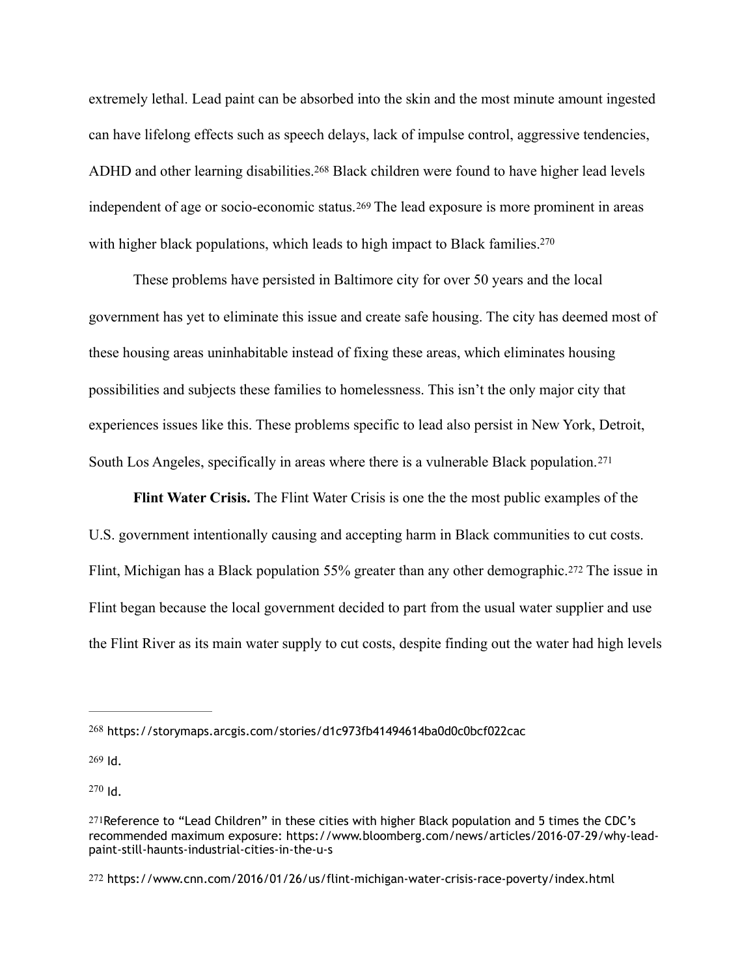<span id="page-73-5"></span>extremely lethal. Lead paint can be absorbed into the skin and the most minute amount ingested can have lifelong effects such as speech delays, lack of impulse control, aggressive tendencies, ADHDand other learning disabilities.<sup>[268](#page-73-0)</sup> Black children were found to have higher lead levels independent of age or socio-economic status.[269](#page-73-1) The lead exposure is more prominent in areas with higher black populations, which leads to high impact to Black families.<sup>270</sup>

<span id="page-73-7"></span><span id="page-73-6"></span> These problems have persisted in Baltimore city for over 50 years and the local government has yet to eliminate this issue and create safe housing. The city has deemed most of these housing areas uninhabitable instead of fixing these areas, which eliminates housing possibilities and subjects these families to homelessness. This isn't the only major city that experiences issues like this. These problems specific to lead also persist in New York, Detroit, South Los Angeles, specifically in areas where there is a vulnerable Black population.[271](#page-73-3)

<span id="page-73-9"></span><span id="page-73-8"></span> **Flint Water Crisis.** The Flint Water Crisis is one the the most public examples of the U.S. government intentionally causing and accepting harm in Black communities to cut costs. Flint, Michigan has a Black population 55% greater than any other demographic.[272](#page-73-4) The issue in Flint began because the local government decided to part from the usual water supplier and use the Flint River as its main water supply to cut costs, despite finding out the water had high levels

<span id="page-73-1"></span>[269](#page-73-6) Id.

<span id="page-73-2"></span> $270$  Id.

<span id="page-73-0"></span><sup>&</sup>lt;sup>[268](#page-73-5)</sup> https://storymaps.arcgis.com/stories/d1c973fb41494614ba0d0c0bcf022cac

<span id="page-73-3"></span>[<sup>271</sup>](#page-73-8)Reference to "Lead Children" in these cities with higher Black population and 5 times the CDC's recommended maximum exposure: https://www.bloomberg.com/news/articles/2016-07-29/why-leadpaint-still-haunts-industrial-cities-in-the-u-s

<span id="page-73-4"></span>[<sup>272</sup>](#page-73-9) https://www.cnn.com/2016/01/26/us/flint-michigan-water-crisis-race-poverty/index.html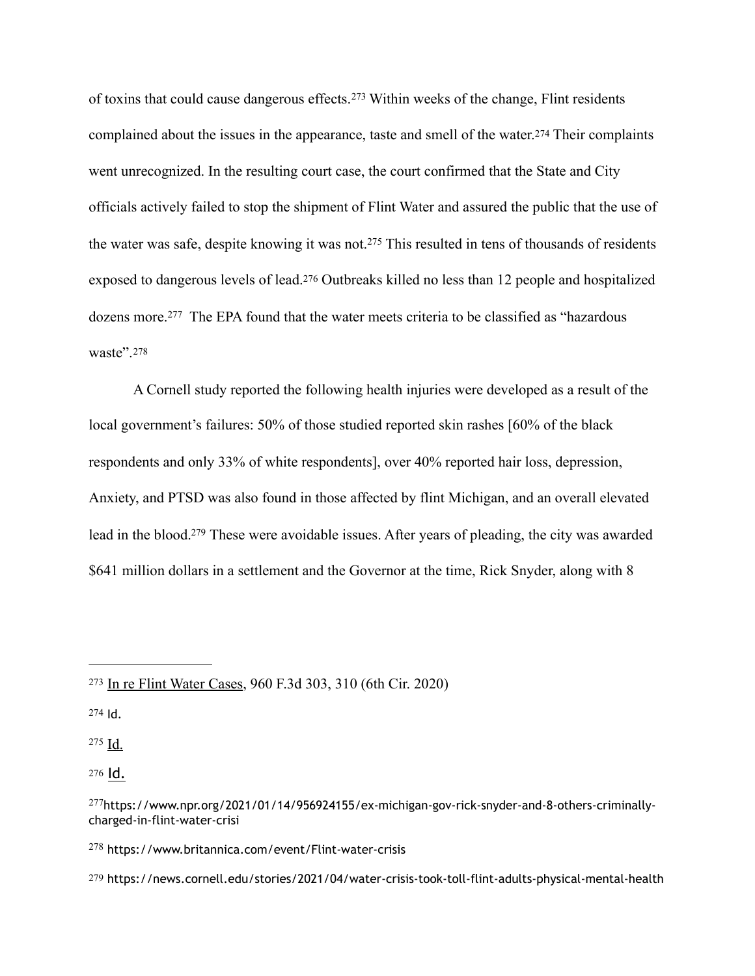<span id="page-74-9"></span><span id="page-74-8"></span><span id="page-74-7"></span>oftoxins that could cause dangerous effects.<sup>[273](#page-74-0)</sup> Within weeks of the change, Flint residents complained about the issues in the appearance, taste and smell of the water.[274](#page-74-1) Their complaints went unrecognized. In the resulting court case, the court confirmed that the State and City officials actively failed to stop the shipment of Flint Water and assured the public that the use of thewater was safe, despite knowing it was not.<sup>[275](#page-74-2)</sup> This resulted in tens of thousands of residents exposed to dangerous levels of lead.[276](#page-74-3) Outbreaks killed no less than 12 people and hospitalized dozensmore.<sup>[277](#page-74-4)</sup> The EPA found that the water meets criteria to be classified as "hazardous" waste".[278](#page-74-5)

<span id="page-74-13"></span><span id="page-74-12"></span><span id="page-74-11"></span><span id="page-74-10"></span> A Cornell study reported the following health injuries were developed as a result of the local government's failures: 50% of those studied reported skin rashes [60% of the black respondents and only 33% of white respondents], over 40% reported hair loss, depression, Anxiety, and PTSD was also found in those affected by flint Michigan, and an overall elevated lead in the blood[.](#page-74-6)<sup>[279](#page-74-6)</sup> These were avoidable issues. After years of pleading, the city was awarded \$641 million dollars in a settlement and the Governor at the time, Rick Snyder, along with 8

<span id="page-74-2"></span> $275$  Id.

<span id="page-74-3"></span>[276](#page-74-10) Id.

<span id="page-74-5"></span> $278$  https://www.britannica.com/event/Flint-water-crisis

<span id="page-74-6"></span>[279](#page-74-13) https://news.cornell.edu/stories/2021/04/water-crisis-took-toll-flint-adults-physical-mental-health

<span id="page-74-0"></span><sup>&</sup>lt;sup>[273](#page-74-7)</sup> In re Flint Water Cases, 960 F.3d 303, 310 (6th Cir. 2020)

<span id="page-74-1"></span>[<sup>274</sup>](#page-74-8) Id.

<span id="page-74-4"></span><sup>&</sup>lt;sup>[277](#page-74-11)</sup>https://www.npr.org/2021/01/14/956924155/ex-michigan-gov-rick-snyder-and-8-others-criminallycharged-in-flint-water-crisi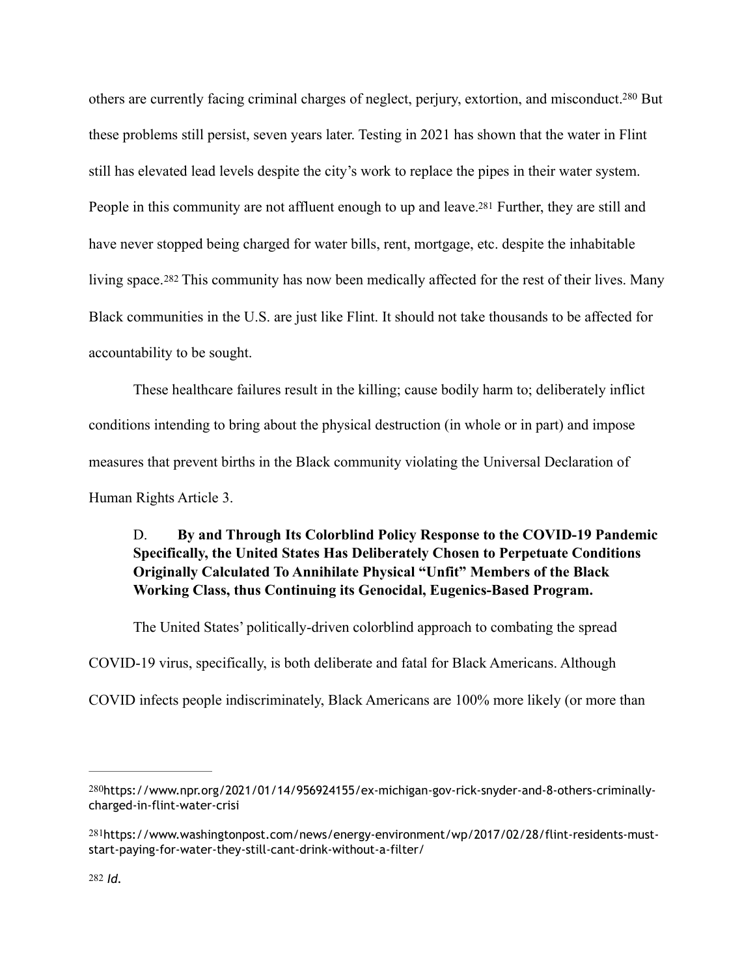<span id="page-75-4"></span><span id="page-75-3"></span>others are currently facing criminal charges of neglect, perjury, extortion, and misconduct[.](#page-75-0)<sup>[280](#page-75-0)</sup> But these problems still persist, seven years later. Testing in 2021 has shown that the water in Flint still has elevated lead levels despite the city's work to replace the pipes in their water system. People in this community are not affluent enough to up and leave[.281](#page-75-1) Further, they are still and have never stopped being charged for water bills, rent, mortgage, etc. despite the inhabitable living space.[282](#page-75-2) This community has now been medically affected for the rest of their lives. Many Black communities in the U.S. are just like Flint. It should not take thousands to be affected for accountability to be sought.

<span id="page-75-5"></span> These healthcare failures result in the killing; cause bodily harm to; deliberately inflict conditions intending to bring about the physical destruction (in whole or in part) and impose measures that prevent births in the Black community violating the Universal Declaration of Human Rights Article 3.

#### D. **By and Through Its Colorblind Policy Response to the COVID-19 Pandemic Specifically, the United States Has Deliberately Chosen to Perpetuate Conditions Originally Calculated To Annihilate Physical "Unfit" Members of the Black Working Class, thus Continuing its Genocidal, Eugenics-Based Program.**

The United States' politically-driven colorblind approach to combating the spread COVID-19 virus, specifically, is both deliberate and fatal for Black Americans. Although COVID infects people indiscriminately, Black Americans are 100% more likely (or more than

<span id="page-75-0"></span>[<sup>280</sup>](#page-75-3)https://www.npr.org/2021/01/14/956924155/ex-michigan-gov-rick-snyder-and-8-others-criminallycharged-in-flint-water-crisi

<span id="page-75-2"></span><span id="page-75-1"></span>[<sup>281</sup>](#page-75-4)https://www.washingtonpost.com/news/energy-environment/wp/2017/02/28/flint-residents-muststart-paying-for-water-they-still-cant-drink-without-a-filter/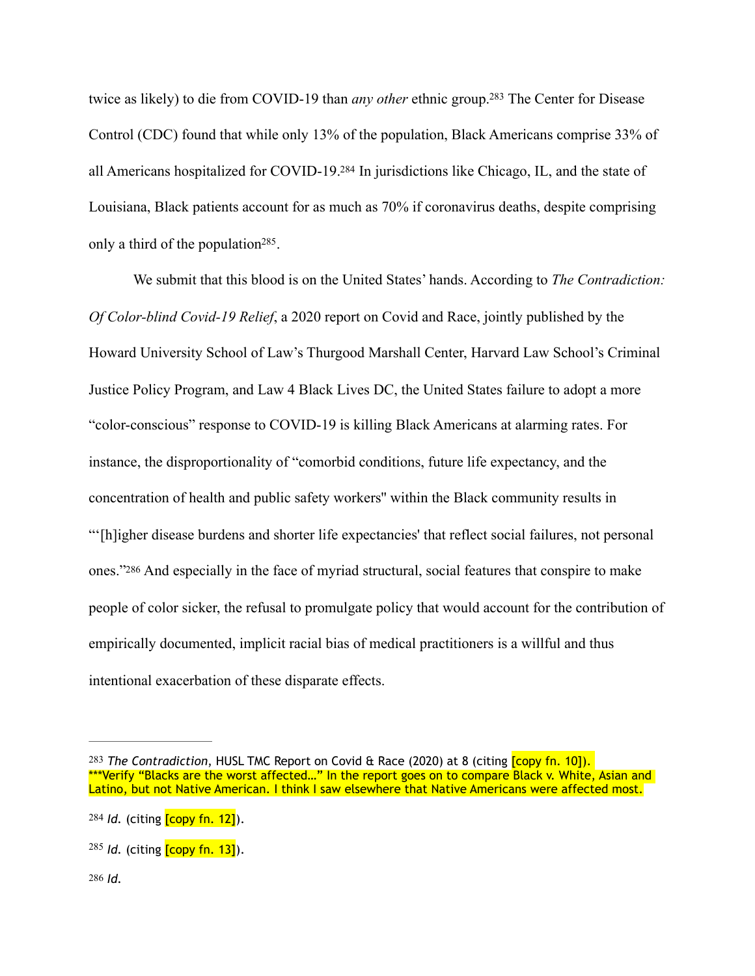<span id="page-76-5"></span><span id="page-76-4"></span>twice as likely) to die from COVID-19 than *any other* ethnic group[.](#page-76-0)<sup>[283](#page-76-0)</sup> The Center for Disease Control (CDC) found that while only 13% of the population, Black Americans comprise 33% of all Americans hospitalized for COVID-19[.](#page-76-1)<sup>[284](#page-76-1)</sup> In jurisdictions like Chicago, IL, and the state of Louisiana, Black patients account for as much as 70% if coronavirus deaths, despite comprising only a third of the population<sup> $285$ </sup>.

<span id="page-76-6"></span>We submit that this blood is on the United States' hands. According to *The Contradiction: Of Color-blind Covid-19 Relief*, a 2020 report on Covid and Race, jointly published by the Howard University School of Law's Thurgood Marshall Center, Harvard Law School's Criminal Justice Policy Program, and Law 4 Black Lives DC, the United States failure to adopt a more "color-conscious" response to COVID-19 is killing Black Americans at alarming rates. For instance, the disproportionality of "comorbid conditions, future life expectancy, and the concentration of health and public safety workers'' within the Black community results in "'[h]igher disease burdens and shorter life expectancies' that reflect social failures, not personal ones.["286](#page-76-3) And especially in the face of myriad structural, social features that conspire to make people of color sicker, the refusal to promulgate policy that would account for the contribution of empirically documented, implicit racial bias of medical practitioners is a willful and thus intentional exacerbation of these disparate effects.

<span id="page-76-7"></span><span id="page-76-0"></span>[<sup>283</sup>](#page-76-4) *The Contradiction*, HUSL TMC Report on Covid & Race (2020) at 8 (citing [copy fn. 10]). \*\*\*Verify "Blacks are the worst affected..." In the report goes on to compare Black v. White, Asian and Latino, but not Native American. I think I saw elsewhere that Native Americans were affected most.

<span id="page-76-1"></span>[<sup>284</sup>](#page-76-5) *Id.* (citing [copy fn. 12]).

<span id="page-76-3"></span><span id="page-76-2"></span>[<sup>285</sup>](#page-76-6) *Id.* (citing **[copy fn. 13]**).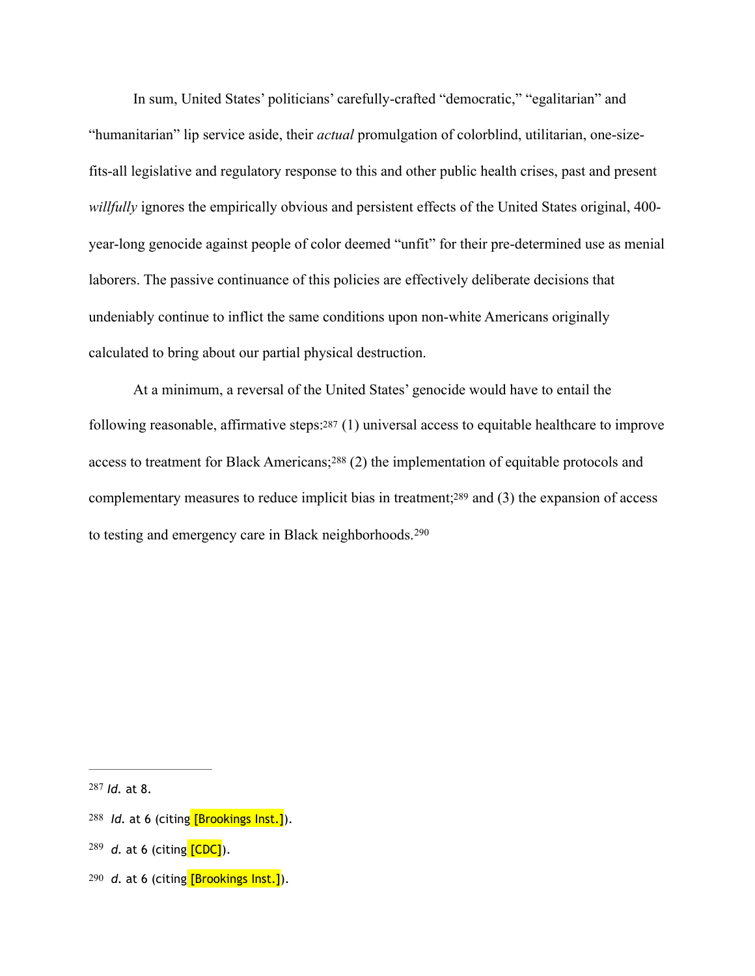In sum, United States' politicians' carefully-crafted "democratic," "egalitarian" and "humanitarian" lip service aside, their *actual* promulgation of colorblind, utilitarian, one-sizefits-all legislative and regulatory response to this and other public health crises, past and present *willfully* ignores the empirically obvious and persistent effects of the United States original, 400 year-long genocide against people of color deemed "unfit" for their pre-determined use as menial laborers. The passive continuance of this policies are effectively deliberate decisions that undeniably continue to inflict the same conditions upon non-white Americans originally calculated to bring about our partial physical destruction.

<span id="page-77-7"></span><span id="page-77-6"></span><span id="page-77-5"></span><span id="page-77-4"></span>At a minimum, a reversal of the United States' genocide would have to entail the following reasonable, affirmative steps[:287](#page-77-0) (1) universal access to equitable healthcare to improve accessto treatment for Black Americans;  $288$  (2) the implementation of equitable protocols and complementary measures to reduce implicit bias in treatment[;289](#page-77-2) and (3) the expansion of access to testing and emergency care in Black neighborhoods.[290](#page-77-3)

<span id="page-77-0"></span>[<sup>287</sup>](#page-77-4) **Id.** at 8.

<span id="page-77-1"></span>[<sup>288</sup>](#page-77-5) *Id.* at 6 (citing [Brookings Inst.]).

<span id="page-77-2"></span>[<sup>289</sup>](#page-77-6) d. at 6 (citing **[CDC]**).

<span id="page-77-3"></span>[<sup>290</sup>](#page-77-7) *d.* at 6 (citing [Brookings Inst.]).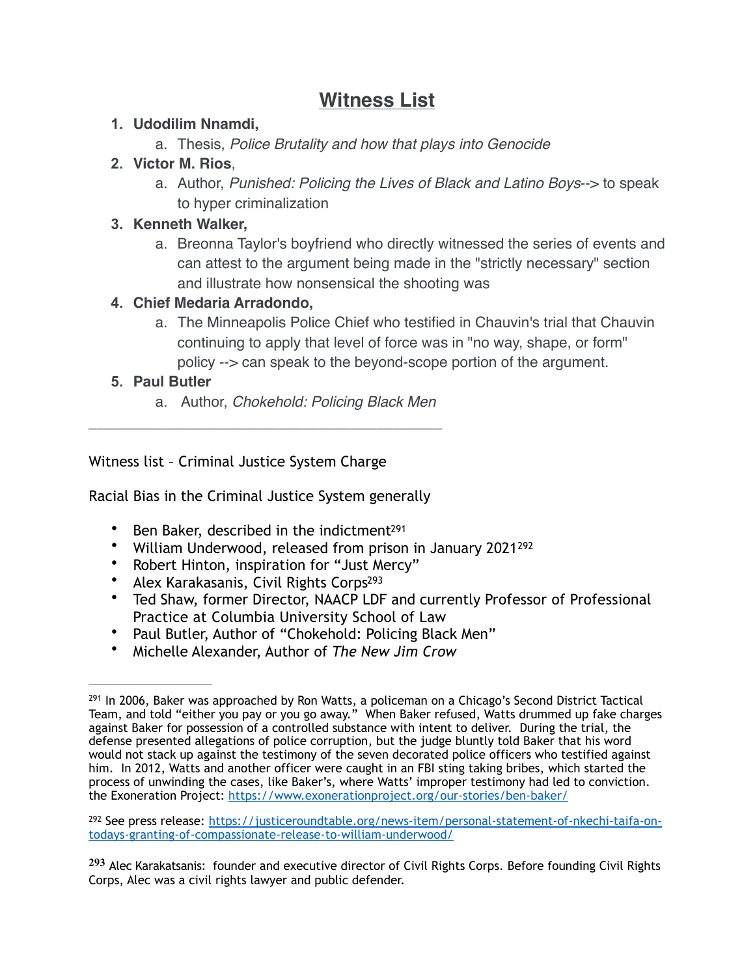# **Witness List**

## **1. Udodilim Nnamdi,**

a. Thesis, *Police Brutality and how that plays into Genocide*

## **2. Victor M. Rios**,

a. Author, *Punished: Policing the Lives of Black and Latino Boys*--> to speak to hyper criminalization

## **3. Kenneth Walker,**

a. Breonna Taylor's boyfriend who directly witnessed the series of events and can attest to the argument being made in the "strictly necessary" section and illustrate how nonsensical the shooting was

## **4. Chief Medaria Arradondo,**

a. The Minneapolis Police Chief who testified in Chauvin's trial that Chauvin continuing to apply that level of force was in "no way, shape, or form" policy --> can speak to the beyond-scope portion of the argument.

## **5. Paul Butler**

<span id="page-78-4"></span><span id="page-78-3"></span>a. Author, *Chokehold: Policing Black Men*

Witness list – Criminal Justice System Charge

Racial Bias in the Criminal Justice System generally

*\_\_\_\_\_\_\_\_\_\_\_\_\_\_\_\_\_\_\_\_\_\_\_\_\_\_\_\_\_\_\_\_\_\_\_\_\_\_\_\_\_\_\_*

- Ben Baker, described in the indictment<sup>[291](#page-78-0)</sup>
- William Underwood, released from prison in January 2021<sup>[292](#page-78-1)</sup>
- <span id="page-78-5"></span>• Robert Hinton, inspiration for "Just Mercy"
- Alex Karakasanis, Civil Rights Corps<sup>293</sup>
- Ted Shaw, former Director, NAACP LDF and currently Professor of Professional Practice at Columbia University School of Law
- Paul Butler, Author of "Chokehold: Policing Black Men"
- Michelle Alexander, Author of *The New Jim Crow*

<span id="page-78-1"></span>292 See press release: [https://justiceroundtable.org/news-item/personal-statement-of-nkechi-taifa-on](https://justiceroundtable.org/news-item/personal-statement-of-nkechi-taifa-on-todays-granting-of-compassionate-release-to-william-underwood/) [todays-granting-of-compassionate-release-to-william-underwood/](https://justiceroundtable.org/news-item/personal-statement-of-nkechi-taifa-on-todays-granting-of-compassionate-release-to-william-underwood/)

<span id="page-78-2"></span>Alec Karakatsanis: founder and executive director of Civil Rights Corps. Before founding Civil Rights **[293](#page-78-5)** Corps, Alec was a civil rights lawyer and public defender.

<span id="page-78-0"></span> $^{291}$  $^{291}$  $^{291}$  In 2006, Baker was approached by Ron Watts, a policeman on a Chicago's Second District Tactical Team, and told "either you pay or you go away." When Baker refused, Watts drummed up fake charges against Baker for possession of a controlled substance with intent to deliver. During the trial, the defense presented allegations of police corruption, but the judge bluntly told Baker that his word would not stack up against the testimony of the seven decorated police officers who testified against him. In 2012, Watts and another officer were caught in an FBI sting taking bribes, which started the process of unwinding the cases, like Baker's, where Watts' improper testimony had led to conviction. the Exoneration Project:<https://www.exonerationproject.org/our-stories/ben-baker/>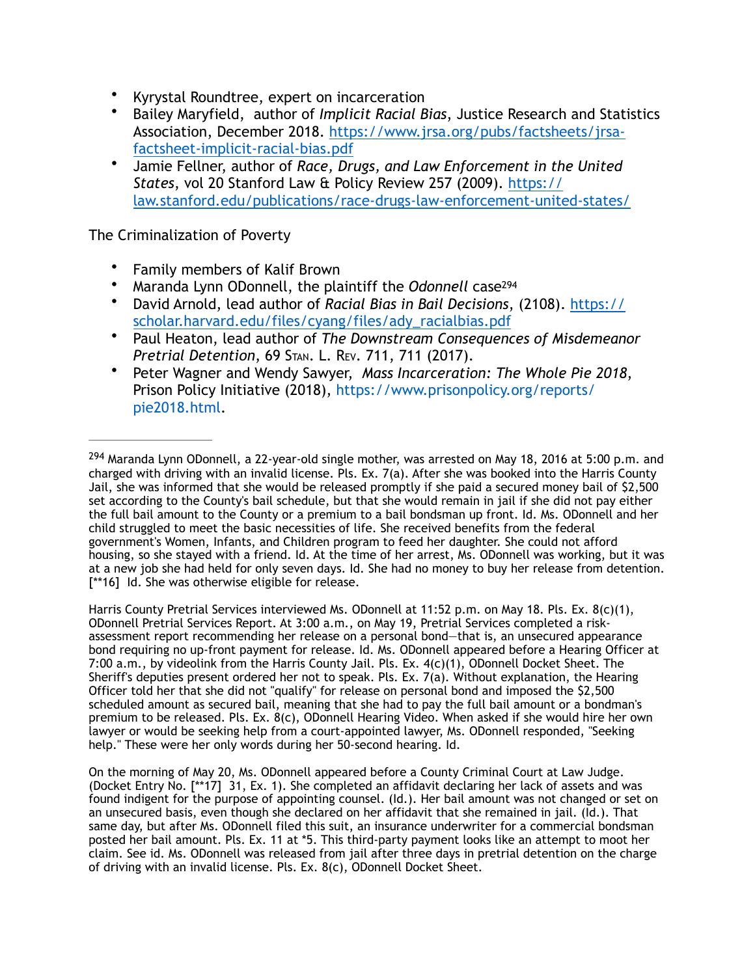- Kyrystal Roundtree, expert on incarceration
- Bailey Maryfield, author of *Implicit Racial Bias*, Justice Research and Statistics [Association, December 2018. https://www.jrsa.org/pubs/factsheets/jrsa](https://www.jrsa.org/pubs/factsheets/jrsa-factsheet-implicit-racial-bias.pdf)[factsheet-implicit-racial-bias.pdf](https://www.jrsa.org/pubs/factsheets/jrsa-factsheet-implicit-racial-bias.pdf)
- Jamie Fellner, author of *Race, Drugs, and Law Enforcement in the United States*, vol 20 Stanford Law & Policy Review 257 (2009). [https://](https://law.stanford.edu/publications/race-drugs-law-enforcement-united-states/) [law.stanford.edu/publications/race-drugs-law-enforcement-united-states/](https://law.stanford.edu/publications/race-drugs-law-enforcement-united-states/)

The Criminalization of Poverty

- Family members of Kalif Brown
- <span id="page-79-1"></span>• Maranda Lynn ODonnell, the plaintiff the *Odonnell* cas[e294](#page-79-0)
- David Arnold, lead author of *Racial Bias in Bail Decisions*, (2108). [https://](https://scholar.harvard.edu/files/cyang/files/ady_racialbias.pdf) [scholar.harvard.edu/files/cyang/files/ady\\_racialbias.pdf](https://scholar.harvard.edu/files/cyang/files/ady_racialbias.pdf)
- Paul Heaton, lead author of *The Downstream Consequences of Misdemeanor Pretrial Detention*, 69 STAN. L. REV. 711, 711 (2017).
- Peter Wagner and Wendy Sawyer, *Mass Incarceration: The Whole Pie 2018*, Prison Policy Initiative (2018), https://www.prisonpolicy.org/reports/ pie2018.html.

Harris County Pretrial Services interviewed Ms. ODonnell at 11:52 p.m. on May 18. Pls. Ex. 8(c)(1), ODonnell Pretrial Services Report. At 3:00 a.m., on May 19, Pretrial Services completed a riskassessment report recommending her release on a personal bond—that is, an unsecured appearance bond requiring no up-front payment for release. Id. Ms. ODonnell appeared before a Hearing Officer at 7:00 a.m., by videolink from the Harris County Jail. Pls. Ex. 4(c)(1), ODonnell Docket Sheet. The Sheriff's deputies present ordered her not to speak. Pls. Ex. 7(a). Without explanation, the Hearing Officer told her that she did not "qualify" for release on personal bond and imposed the \$2,500 scheduled amount as secured bail, meaning that she had to pay the full bail amount or a bondman's premium to be released. Pls. Ex. 8(c), ODonnell Hearing Video. When asked if she would hire her own lawyer or would be seeking help from a court-appointed lawyer, Ms. ODonnell responded, "Seeking help." These were her only words during her 50-second hearing. Id.

On the morning of May 20, Ms. ODonnell appeared before a County Criminal Court at Law Judge. (Docket Entry No. [\*\*17] 31, Ex. 1). She completed an affidavit declaring her lack of assets and was found indigent for the purpose of appointing counsel. (Id.). Her bail amount was not changed or set on an unsecured basis, even though she declared on her affidavit that she remained in jail. (Id.). That same day, but after Ms. ODonnell filed this suit, an insurance underwriter for a commercial bondsman posted her bail amount. Pls. Ex. 11 at \*5. This third-party payment looks like an attempt to moot her claim. See id. Ms. ODonnell was released from jail after three days in pretrial detention on the charge of driving with an invalid license. Pls. Ex. 8(c), ODonnell Docket Sheet.

<span id="page-79-0"></span><sup>&</sup>lt;sup>294</sup>Maranda Lynn ODonnell, a 22-year-old single mother, was arrested on May 18, 2016 at 5:00 p.m. and charged with driving with an invalid license. Pls. Ex. 7(a). After she was booked into the Harris County Jail, she was informed that she would be released promptly if she paid a secured money bail of \$2,500 set according to the County's bail schedule, but that she would remain in jail if she did not pay either the full bail amount to the County or a premium to a bail bondsman up front. Id. Ms. ODonnell and her child struggled to meet the basic necessities of life. She received benefits from the federal government's Women, Infants, and Children program to feed her daughter. She could not afford housing, so she stayed with a friend. Id. At the time of her arrest, Ms. ODonnell was working, but it was at a new job she had held for only seven days. Id. She had no money to buy her release from detention. [\*\*16] Id. She was otherwise eligible for release.